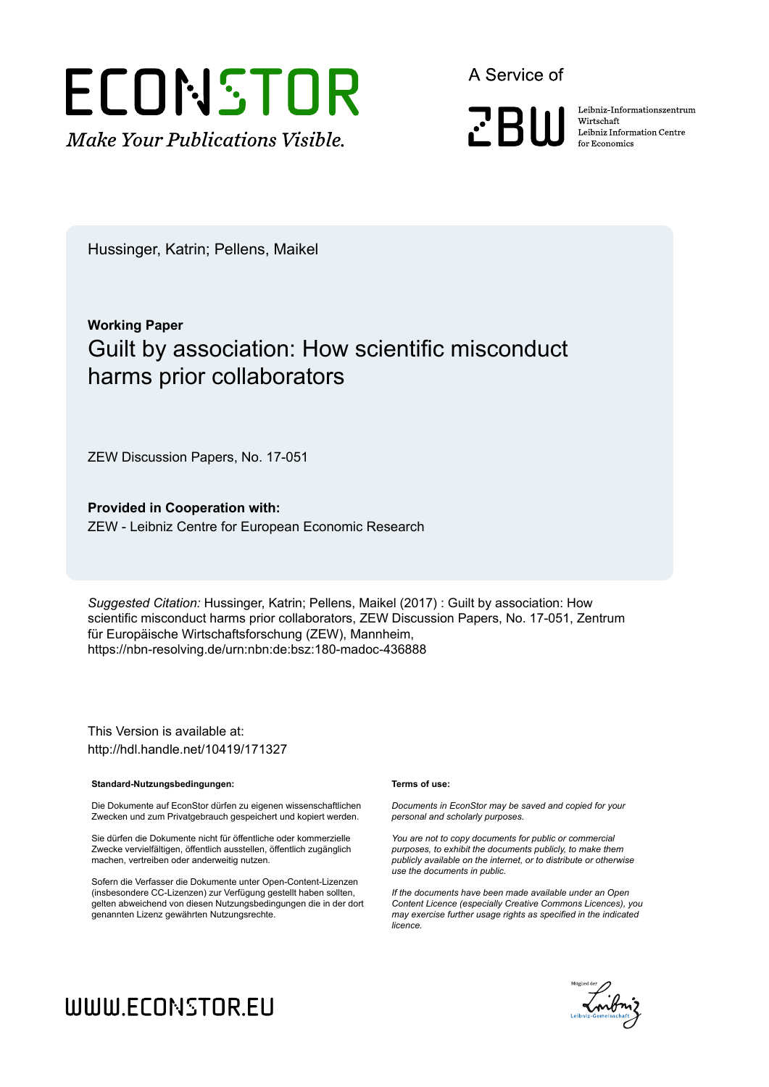

A Service of

**PRIII** 

Leibniz-Informationszentrum Wirtschaft Leibniz Information Centre for Economics

Hussinger, Katrin; Pellens, Maikel

## **Working Paper** Guilt by association: How scientific misconduct harms prior collaborators

ZEW Discussion Papers, No. 17-051

**Provided in Cooperation with:** ZEW - Leibniz Centre for European Economic Research

*Suggested Citation:* Hussinger, Katrin; Pellens, Maikel (2017) : Guilt by association: How scientific misconduct harms prior collaborators, ZEW Discussion Papers, No. 17-051, Zentrum für Europäische Wirtschaftsforschung (ZEW), Mannheim, https://nbn-resolving.de/urn:nbn:de:bsz:180-madoc-436888

This Version is available at: http://hdl.handle.net/10419/171327

#### **Standard-Nutzungsbedingungen:**

Die Dokumente auf EconStor dürfen zu eigenen wissenschaftlichen Zwecken und zum Privatgebrauch gespeichert und kopiert werden.

Sie dürfen die Dokumente nicht für öffentliche oder kommerzielle Zwecke vervielfältigen, öffentlich ausstellen, öffentlich zugänglich machen, vertreiben oder anderweitig nutzen.

Sofern die Verfasser die Dokumente unter Open-Content-Lizenzen (insbesondere CC-Lizenzen) zur Verfügung gestellt haben sollten, gelten abweichend von diesen Nutzungsbedingungen die in der dort genannten Lizenz gewährten Nutzungsrechte.

#### **Terms of use:**

*Documents in EconStor may be saved and copied for your personal and scholarly purposes.*

*You are not to copy documents for public or commercial purposes, to exhibit the documents publicly, to make them publicly available on the internet, or to distribute or otherwise use the documents in public.*

*If the documents have been made available under an Open Content Licence (especially Creative Commons Licences), you may exercise further usage rights as specified in the indicated licence.*



# WWW.ECONSTOR.EU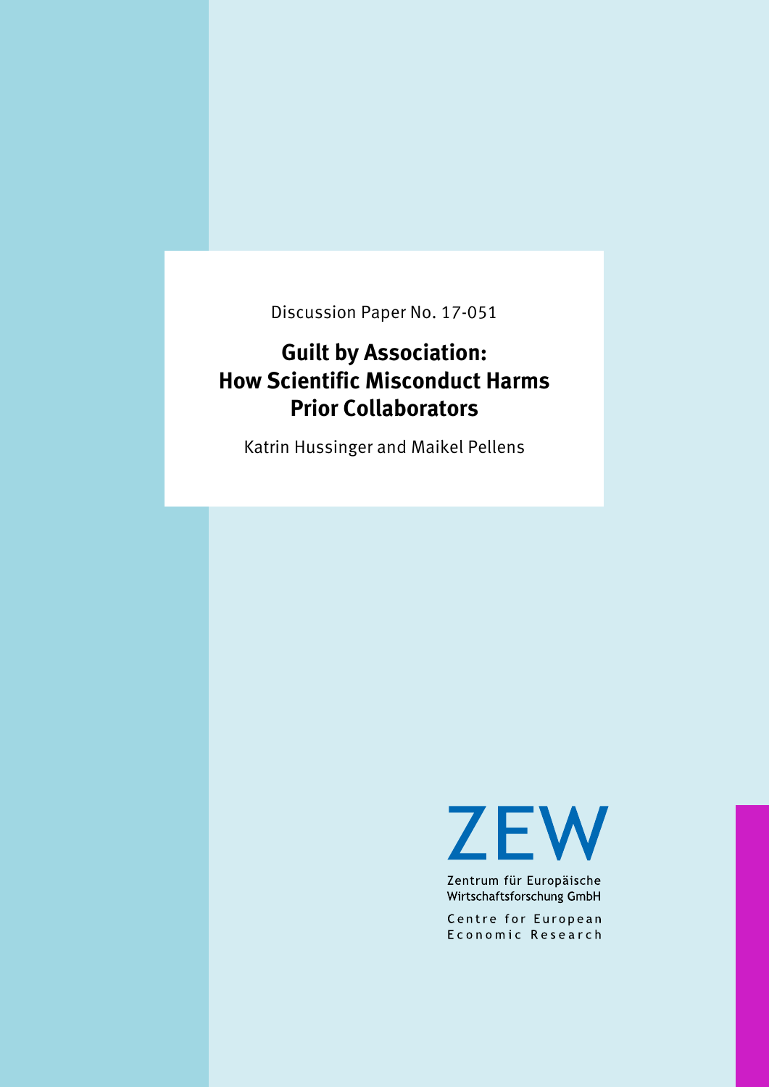Discussion Paper No. 17-051

## **Guilt by Association: How Scientific Misconduct Harms Prior Collaborators**

Katrin Hussinger and Maikel Pellens

**ZEW** 

Zentrum für Europäische Wirtschaftsforschung GmbH

Centre for European Economic Research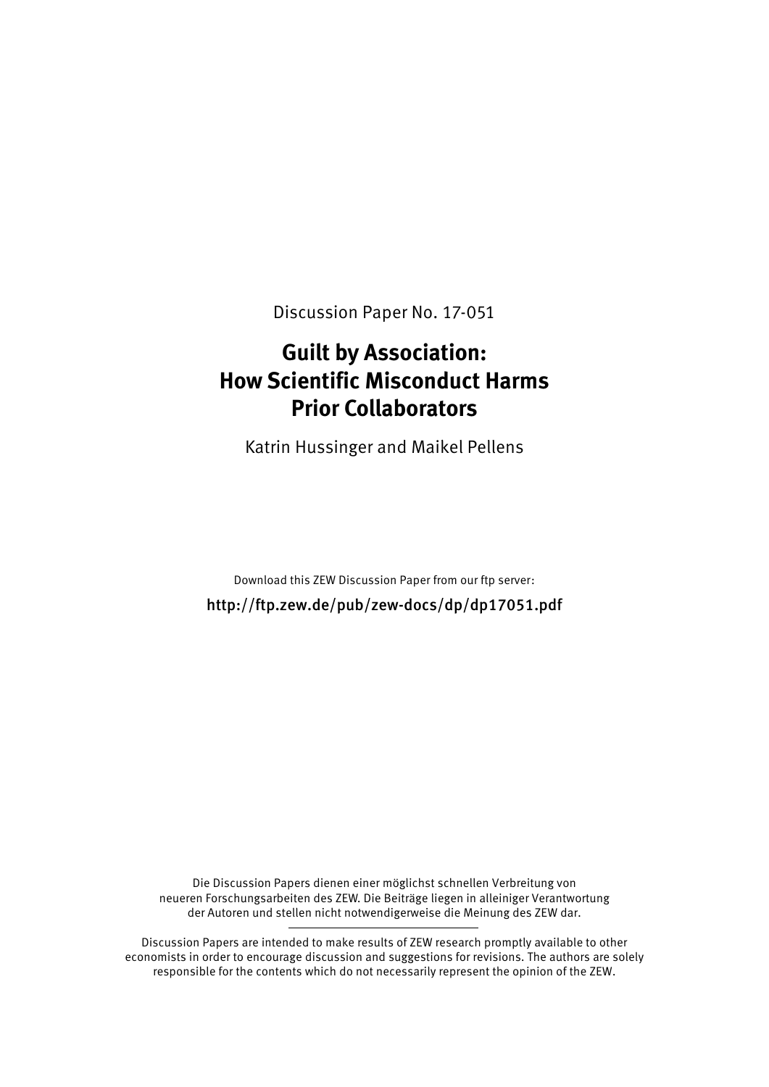Discussion Paper No. 17-051

## **Guilt by Association: How Scientific Misconduct Harms Prior Collaborators**

Katrin Hussinger and Maikel Pellens

Download this ZEW Discussion Paper from our ftp server: http://ftp.zew.de/pub/zew-docs/dp/dp17051.pdf

Die Discussion Papers dienen einer möglichst schnellen Verbreitung von neueren Forschungsarbeiten des ZEW. Die Beiträge liegen in alleiniger Verantwortung der Autoren und stellen nicht notwendigerweise die Meinung des ZEW dar.

Discussion Papers are intended to make results of ZEW research promptly available to other economists in order to encourage discussion and suggestions for revisions. The authors are solely responsible for the contents which do not necessarily represent the opinion of the ZEW.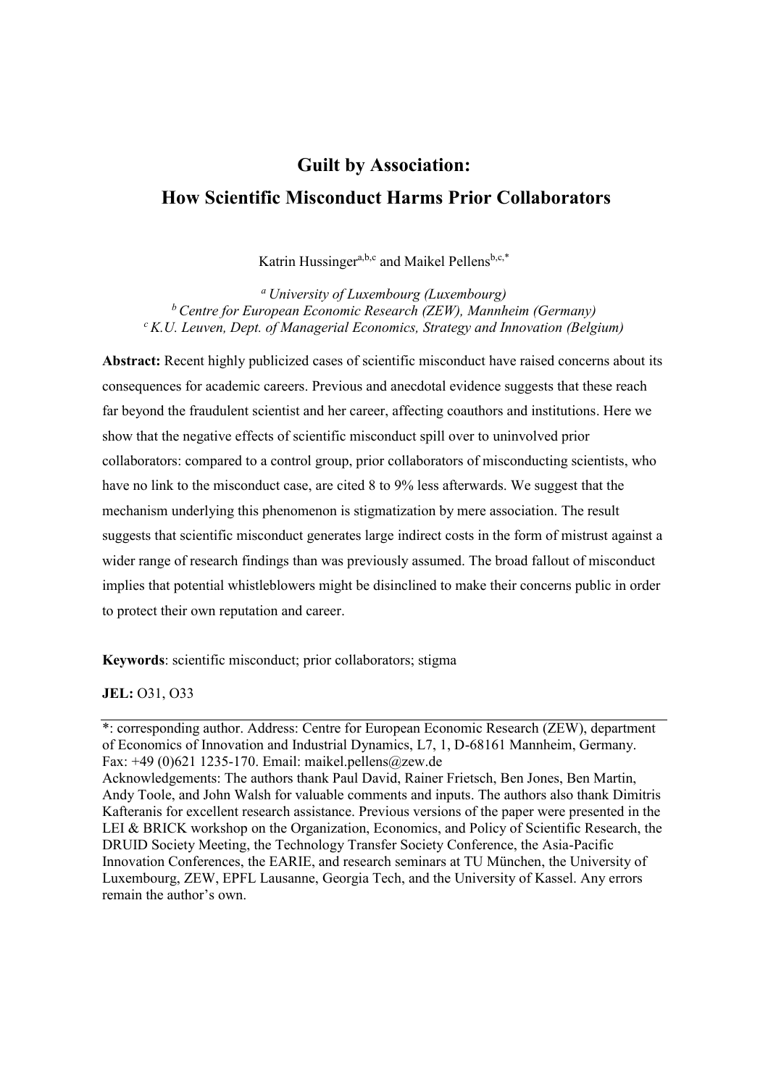## **Guilt by Association: How Scientific Misconduct Harms Prior Collaborators**

Katrin Hussinger<sup>a,b,c</sup> and Maikel Pellens<sup>b,c,\*</sup>

*a University of Luxembourg (Luxembourg) b Centre for European Economic Research (ZEW), Mannheim (Germany) c K.U. Leuven, Dept. of Managerial Economics, Strategy and Innovation (Belgium)* 

**Abstract:** Recent highly publicized cases of scientific misconduct have raised concerns about its consequences for academic careers. Previous and anecdotal evidence suggests that these reach far beyond the fraudulent scientist and her career, affecting coauthors and institutions. Here we show that the negative effects of scientific misconduct spill over to uninvolved prior collaborators: compared to a control group, prior collaborators of misconducting scientists, who have no link to the misconduct case, are cited 8 to 9% less afterwards. We suggest that the mechanism underlying this phenomenon is stigmatization by mere association. The result suggests that scientific misconduct generates large indirect costs in the form of mistrust against a wider range of research findings than was previously assumed. The broad fallout of misconduct implies that potential whistleblowers might be disinclined to make their concerns public in order to protect their own reputation and career.

**Keywords**: scientific misconduct; prior collaborators; stigma

**JEL:** O31, O33

<sup>\*:</sup> corresponding author. Address: Centre for European Economic Research (ZEW), department of Economics of Innovation and Industrial Dynamics, L7, 1, D-68161 Mannheim, Germany. Fax: +49 (0)621 1235-170. Email: maikel.pellens@zew.de

Acknowledgements: The authors thank Paul David, Rainer Frietsch, Ben Jones, Ben Martin, Andy Toole, and John Walsh for valuable comments and inputs. The authors also thank Dimitris Kafteranis for excellent research assistance. Previous versions of the paper were presented in the LEI & BRICK workshop on the Organization, Economics, and Policy of Scientific Research, the DRUID Society Meeting, the Technology Transfer Society Conference, the Asia-Pacific Innovation Conferences, the EARIE, and research seminars at TU München, the University of Luxembourg, ZEW, EPFL Lausanne, Georgia Tech, and the University of Kassel. Any errors remain the author's own.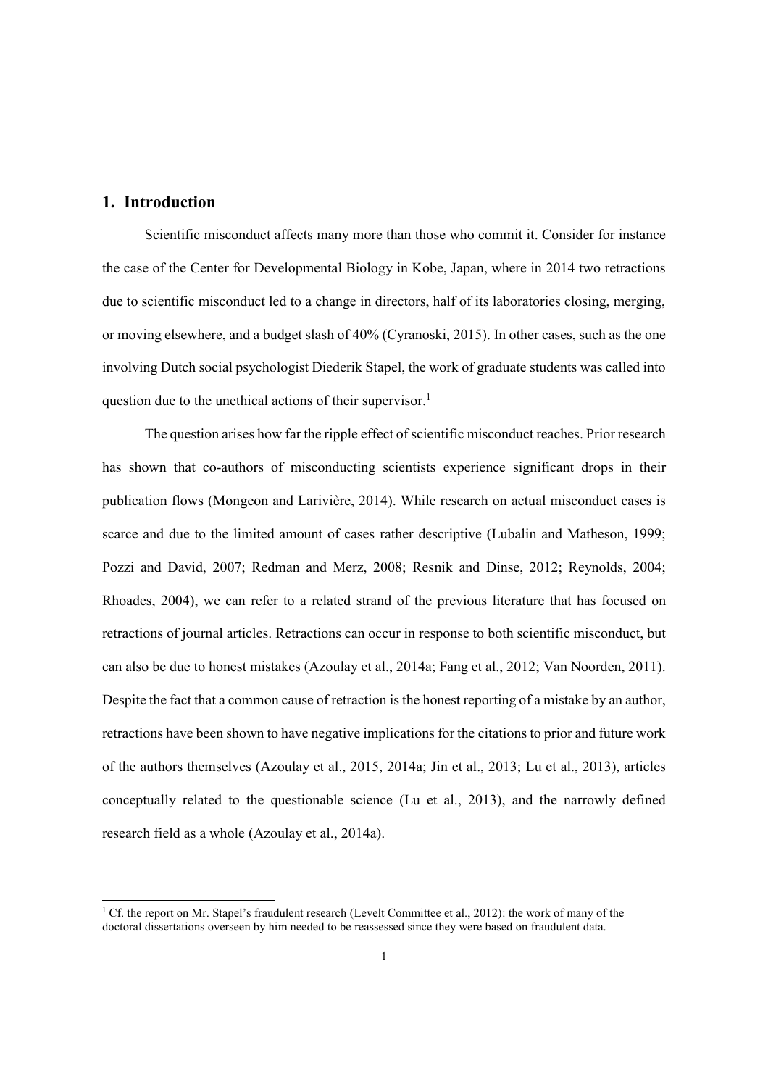## **1. Introduction**

Scientific misconduct affects many more than those who commit it. Consider for instance the case of the Center for Developmental Biology in Kobe, Japan, where in 2014 two retractions due to scientific misconduct led to a change in directors, half of its laboratories closing, merging, or moving elsewhere, and a budget slash of 40% (Cyranoski, 2015). In other cases, such as the one involving Dutch social psychologist Diederik Stapel, the work of graduate students was called into question due to the unethical actions of their supervisor.<sup>1</sup>

The question arises how far the ripple effect of scientific misconduct reaches. Prior research has shown that co-authors of misconducting scientists experience significant drops in their publication flows (Mongeon and Larivière, 2014). While research on actual misconduct cases is scarce and due to the limited amount of cases rather descriptive (Lubalin and Matheson, 1999; Pozzi and David, 2007; Redman and Merz, 2008; Resnik and Dinse, 2012; Reynolds, 2004; Rhoades, 2004), we can refer to a related strand of the previous literature that has focused on retractions of journal articles. Retractions can occur in response to both scientific misconduct, but can also be due to honest mistakes (Azoulay et al., 2014a; Fang et al., 2012; Van Noorden, 2011). Despite the fact that a common cause of retraction is the honest reporting of a mistake by an author, retractions have been shown to have negative implications for the citations to prior and future work of the authors themselves (Azoulay et al., 2015, 2014a; Jin et al., 2013; Lu et al., 2013), articles conceptually related to the questionable science (Lu et al., 2013), and the narrowly defined research field as a whole (Azoulay et al., 2014a).

<sup>&</sup>lt;sup>1</sup> Cf. the report on Mr. Stapel's fraudulent research (Levelt Committee et al., 2012): the work of many of the doctoral dissertations overseen by him needed to be reassessed since they were based on fraudulent data.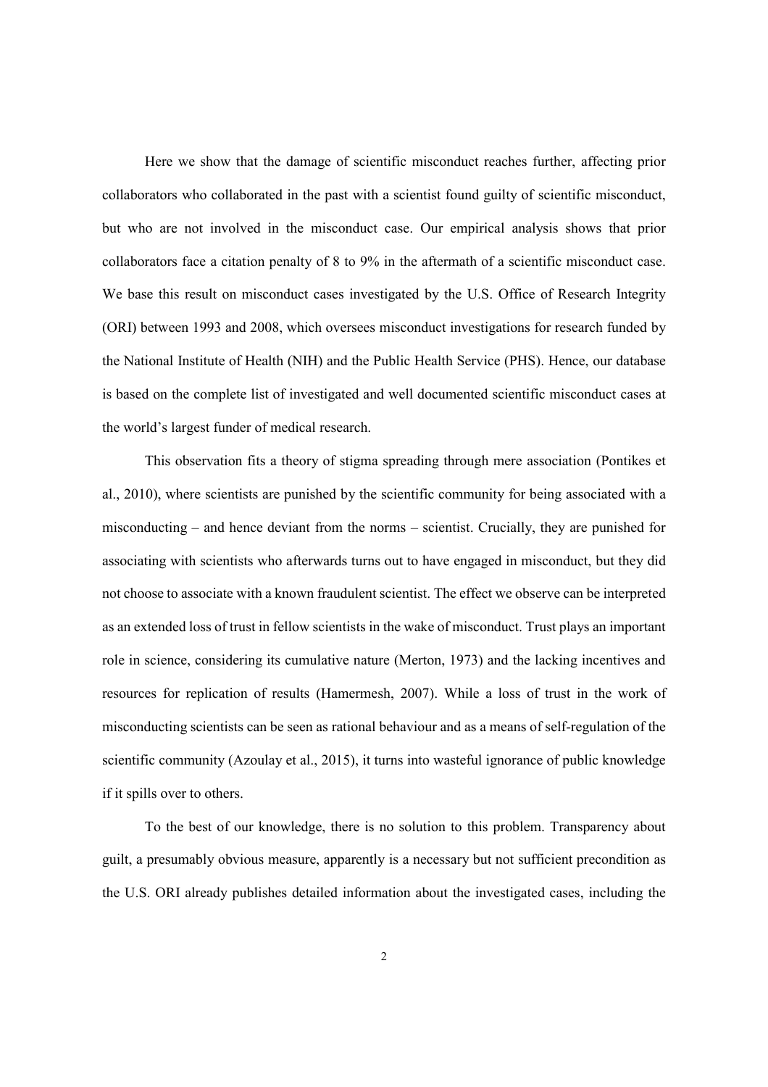Here we show that the damage of scientific misconduct reaches further, affecting prior collaborators who collaborated in the past with a scientist found guilty of scientific misconduct, but who are not involved in the misconduct case. Our empirical analysis shows that prior collaborators face a citation penalty of 8 to 9% in the aftermath of a scientific misconduct case. We base this result on misconduct cases investigated by the U.S. Office of Research Integrity (ORI) between 1993 and 2008, which oversees misconduct investigations for research funded by the National Institute of Health (NIH) and the Public Health Service (PHS). Hence, our database is based on the complete list of investigated and well documented scientific misconduct cases at the world's largest funder of medical research.

This observation fits a theory of stigma spreading through mere association (Pontikes et al., 2010), where scientists are punished by the scientific community for being associated with a misconducting – and hence deviant from the norms – scientist. Crucially, they are punished for associating with scientists who afterwards turns out to have engaged in misconduct, but they did not choose to associate with a known fraudulent scientist. The effect we observe can be interpreted as an extended loss of trust in fellow scientists in the wake of misconduct. Trust plays an important role in science, considering its cumulative nature (Merton, 1973) and the lacking incentives and resources for replication of results (Hamermesh, 2007). While a loss of trust in the work of misconducting scientists can be seen as rational behaviour and as a means of self-regulation of the scientific community (Azoulay et al., 2015), it turns into wasteful ignorance of public knowledge if it spills over to others.

To the best of our knowledge, there is no solution to this problem. Transparency about guilt, a presumably obvious measure, apparently is a necessary but not sufficient precondition as the U.S. ORI already publishes detailed information about the investigated cases, including the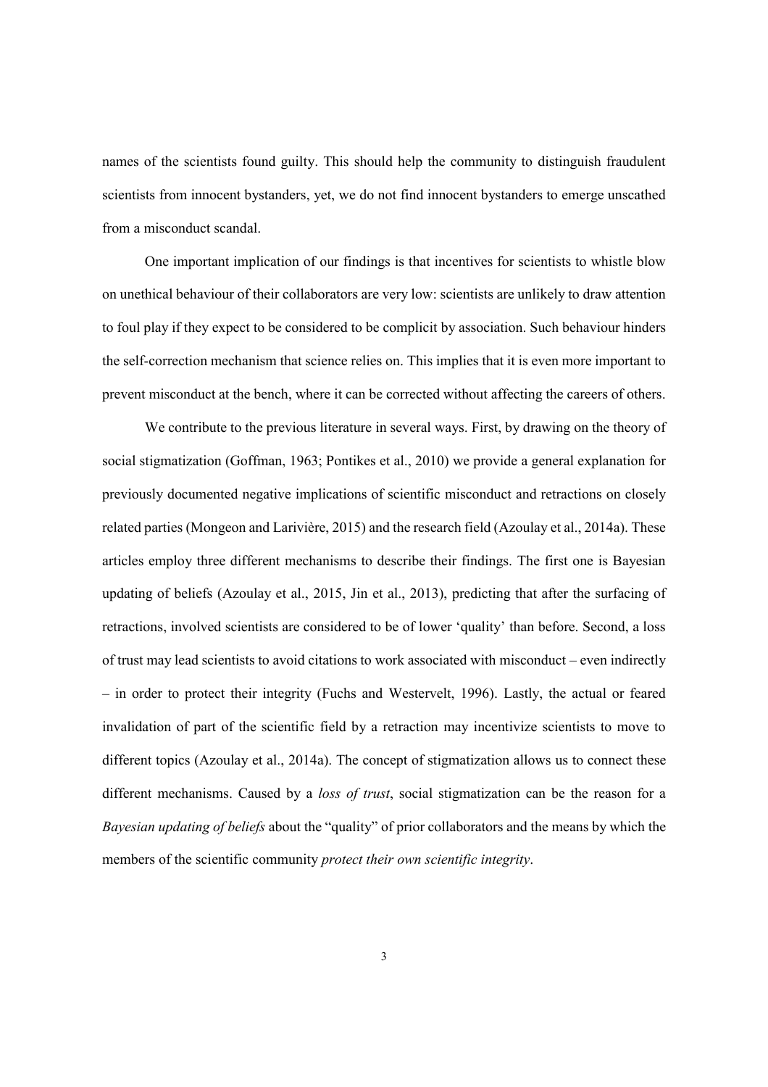names of the scientists found guilty. This should help the community to distinguish fraudulent scientists from innocent bystanders, yet, we do not find innocent bystanders to emerge unscathed from a misconduct scandal.

One important implication of our findings is that incentives for scientists to whistle blow on unethical behaviour of their collaborators are very low: scientists are unlikely to draw attention to foul play if they expect to be considered to be complicit by association. Such behaviour hinders the self-correction mechanism that science relies on. This implies that it is even more important to prevent misconduct at the bench, where it can be corrected without affecting the careers of others.

We contribute to the previous literature in several ways. First, by drawing on the theory of social stigmatization (Goffman, 1963; Pontikes et al., 2010) we provide a general explanation for previously documented negative implications of scientific misconduct and retractions on closely related parties (Mongeon and Larivière, 2015) and the research field (Azoulay et al., 2014a). These articles employ three different mechanisms to describe their findings. The first one is Bayesian updating of beliefs (Azoulay et al., 2015, Jin et al., 2013), predicting that after the surfacing of retractions, involved scientists are considered to be of lower 'quality' than before. Second, a loss of trust may lead scientists to avoid citations to work associated with misconduct – even indirectly – in order to protect their integrity (Fuchs and Westervelt, 1996). Lastly, the actual or feared invalidation of part of the scientific field by a retraction may incentivize scientists to move to different topics (Azoulay et al., 2014a). The concept of stigmatization allows us to connect these different mechanisms. Caused by a *loss of trust*, social stigmatization can be the reason for a *Bayesian updating of beliefs* about the "quality" of prior collaborators and the means by which the members of the scientific community *protect their own scientific integrity*.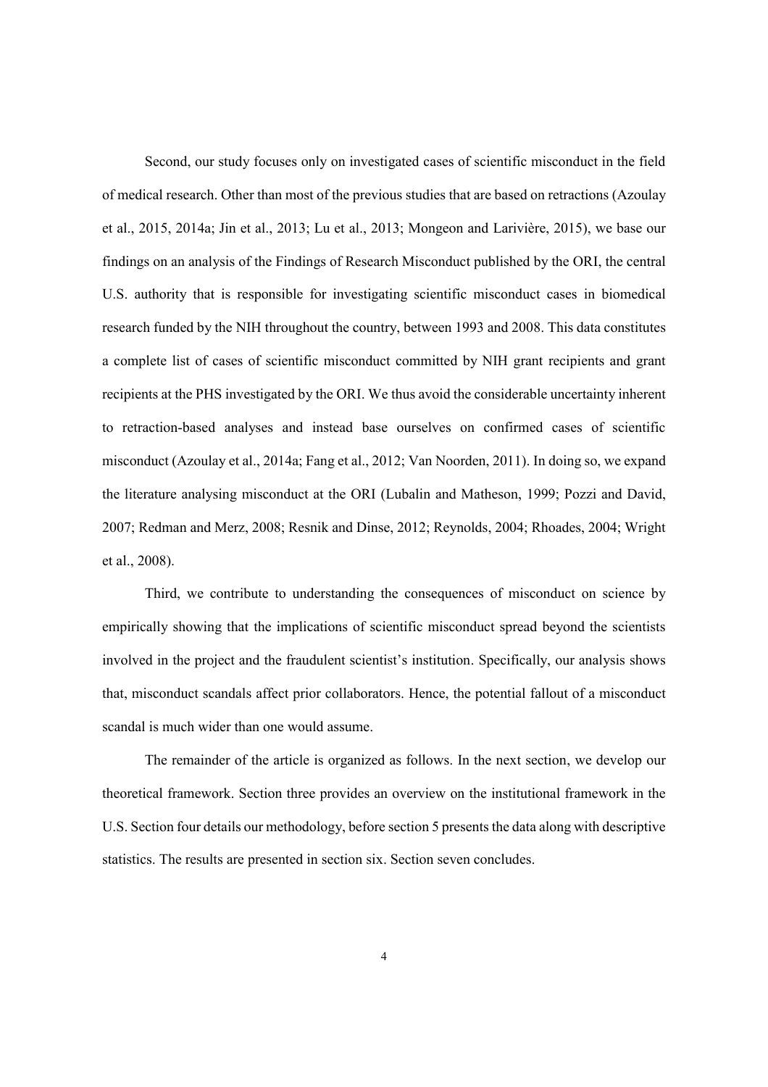Second, our study focuses only on investigated cases of scientific misconduct in the field of medical research. Other than most of the previous studies that are based on retractions (Azoulay et al., 2015, 2014a; Jin et al., 2013; Lu et al., 2013; Mongeon and Larivière, 2015), we base our findings on an analysis of the Findings of Research Misconduct published by the ORI, the central U.S. authority that is responsible for investigating scientific misconduct cases in biomedical research funded by the NIH throughout the country, between 1993 and 2008. This data constitutes a complete list of cases of scientific misconduct committed by NIH grant recipients and grant recipients at the PHS investigated by the ORI. We thus avoid the considerable uncertainty inherent to retraction-based analyses and instead base ourselves on confirmed cases of scientific misconduct (Azoulay et al., 2014a; Fang et al., 2012; Van Noorden, 2011). In doing so, we expand the literature analysing misconduct at the ORI (Lubalin and Matheson, 1999; Pozzi and David, 2007; Redman and Merz, 2008; Resnik and Dinse, 2012; Reynolds, 2004; Rhoades, 2004; Wright et al., 2008).

Third, we contribute to understanding the consequences of misconduct on science by empirically showing that the implications of scientific misconduct spread beyond the scientists involved in the project and the fraudulent scientist's institution. Specifically, our analysis shows that, misconduct scandals affect prior collaborators. Hence, the potential fallout of a misconduct scandal is much wider than one would assume.

The remainder of the article is organized as follows. In the next section, we develop our theoretical framework. Section three provides an overview on the institutional framework in the U.S. Section four details our methodology, before section 5 presents the data along with descriptive statistics. The results are presented in section six. Section seven concludes.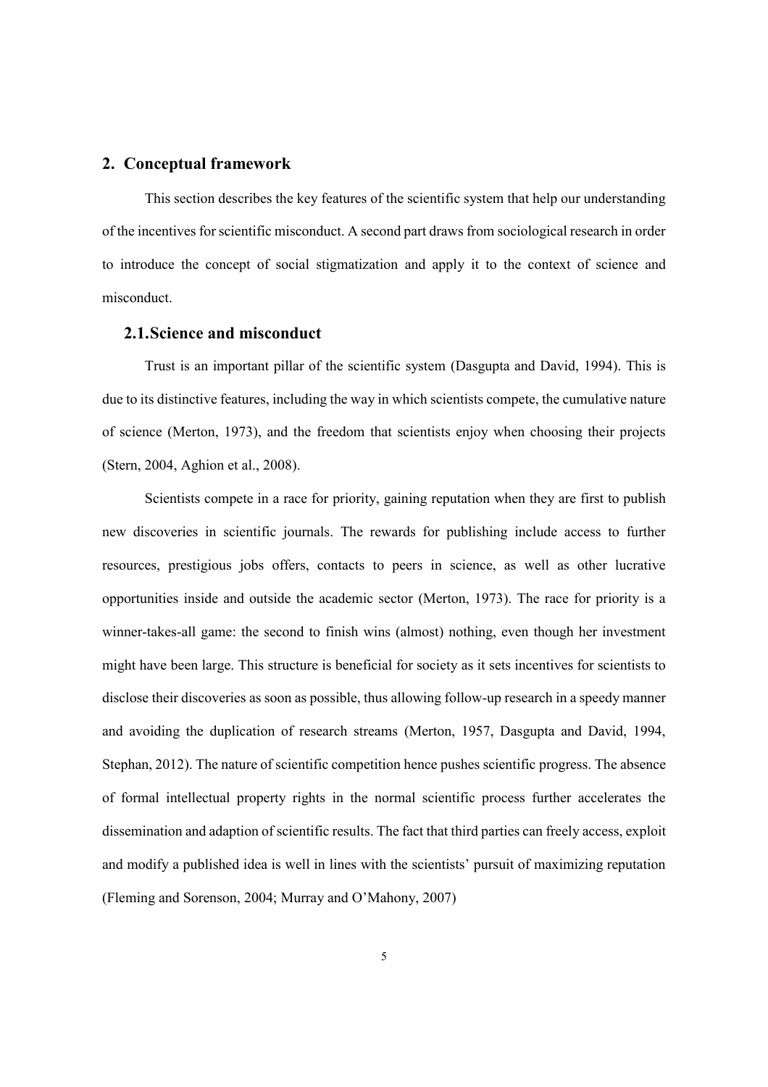#### **2. Conceptual framework**

This section describes the key features of the scientific system that help our understanding of the incentives for scientific misconduct. A second part draws from sociological research in order to introduce the concept of social stigmatization and apply it to the context of science and misconduct.

#### **2.1.Science and misconduct**

Trust is an important pillar of the scientific system (Dasgupta and David, 1994). This is due to its distinctive features, including the way in which scientists compete, the cumulative nature of science (Merton, 1973), and the freedom that scientists enjoy when choosing their projects (Stern, 2004, Aghion et al., 2008).

Scientists compete in a race for priority, gaining reputation when they are first to publish new discoveries in scientific journals. The rewards for publishing include access to further resources, prestigious jobs offers, contacts to peers in science, as well as other lucrative opportunities inside and outside the academic sector (Merton, 1973). The race for priority is a winner-takes-all game: the second to finish wins (almost) nothing, even though her investment might have been large. This structure is beneficial for society as it sets incentives for scientists to disclose their discoveries as soon as possible, thus allowing follow-up research in a speedy manner and avoiding the duplication of research streams (Merton, 1957, Dasgupta and David, 1994, Stephan, 2012). The nature of scientific competition hence pushes scientific progress. The absence of formal intellectual property rights in the normal scientific process further accelerates the dissemination and adaption of scientific results. The fact that third parties can freely access, exploit and modify a published idea is well in lines with the scientists' pursuit of maximizing reputation (Fleming and Sorenson, 2004; Murray and O'Mahony, 2007)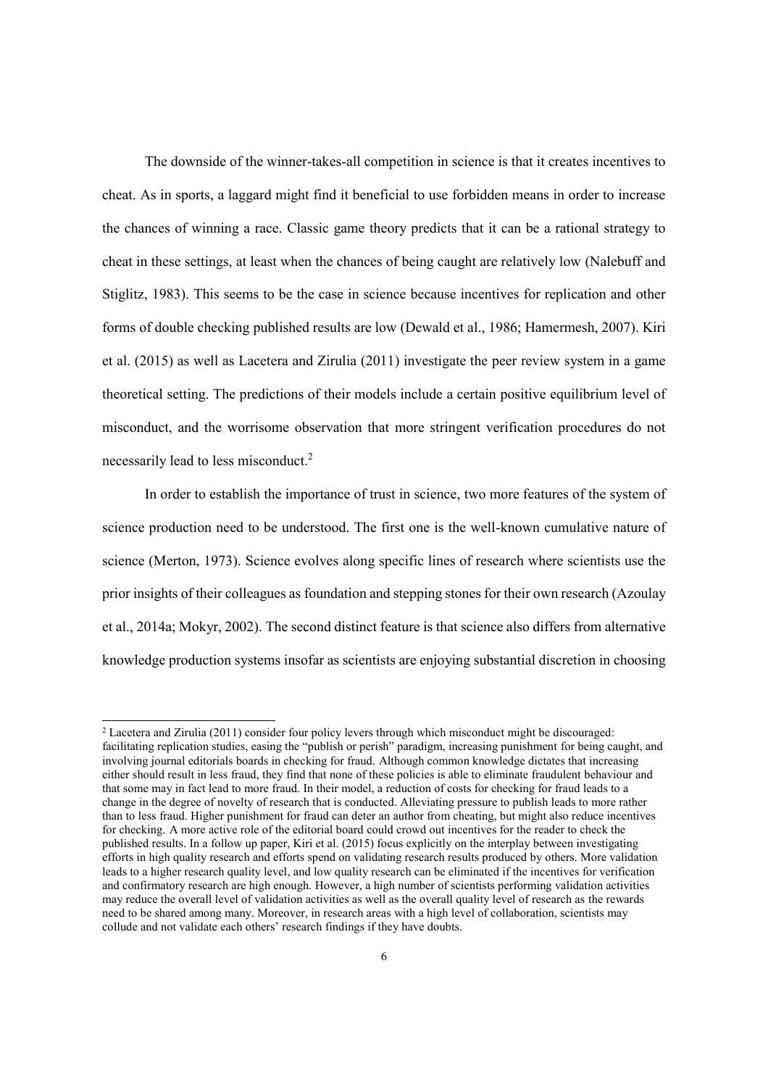The downside of the winner-takes-all competition in science is that it creates incentives to cheat. As in sports, a laggard might find it beneficial to use forbidden means in order to increase the chances of winning a race. Classic game theory predicts that it can be a rational strategy to cheat in these settings, at least when the chances of being caught are relatively low (Nalebuff and Stiglitz, 1983). This seems to be the case in science because incentives for replication and other forms of double checking published results are low (Dewald et al., 1986; Hamermesh, 2007). Kiri et al. (2015) as well as Lacetera and Zirulia (2011) investigate the peer review system in a game theoretical setting. The predictions of their models include a certain positive equilibrium level of misconduct, and the worrisome observation that more stringent verification procedures do not necessarily lead to less misconduct.<sup>2</sup>

In order to establish the importance of trust in science, two more features of the system of science production need to be understood. The first one is the well-known cumulative nature of science (Merton, 1973). Science evolves along specific lines of research where scientists use the prior insights of their colleagues as foundation and stepping stones for their own research (Azoulay et al., 2014a; Mokyr, 2002). The second distinct feature is that science also differs from alternative knowledge production systems insofar as scientists are enjoying substantial discretion in choosing

 $2$  Lacetera and Zirulia (2011) consider four policy levers through which misconduct might be discouraged: facilitating replication studies, easing the "publish or perish" paradigm, increasing punishment for being caught, and involving journal editorials boards in checking for fraud. Although common knowledge dictates that increasing either should result in less fraud, they find that none of these policies is able to eliminate fraudulent behaviour and that some may in fact lead to more fraud. In their model, a reduction of costs for checking for fraud leads to a change in the degree of novelty of research that is conducted. Alleviating pressure to publish leads to more rather than to less fraud. Higher punishment for fraud can deter an author from cheating, but might also reduce incentives for checking. A more active role of the editorial board could crowd out incentives for the reader to check the published results. In a follow up paper, Kiri et al. (2015) focus explicitly on the interplay between investigating efforts in high quality research and efforts spend on validating research results produced by others. More validation leads to a higher research quality level, and low quality research can be eliminated if the incentives for verification and confirmatory research are high enough. However, a high number of scientists performing validation activities may reduce the overall level of validation activities as well as the overall quality level of research as the rewards need to be shared among many. Moreover, in research areas with a high level of collaboration, scientists may collude and not validate each others' research findings if they have doubts.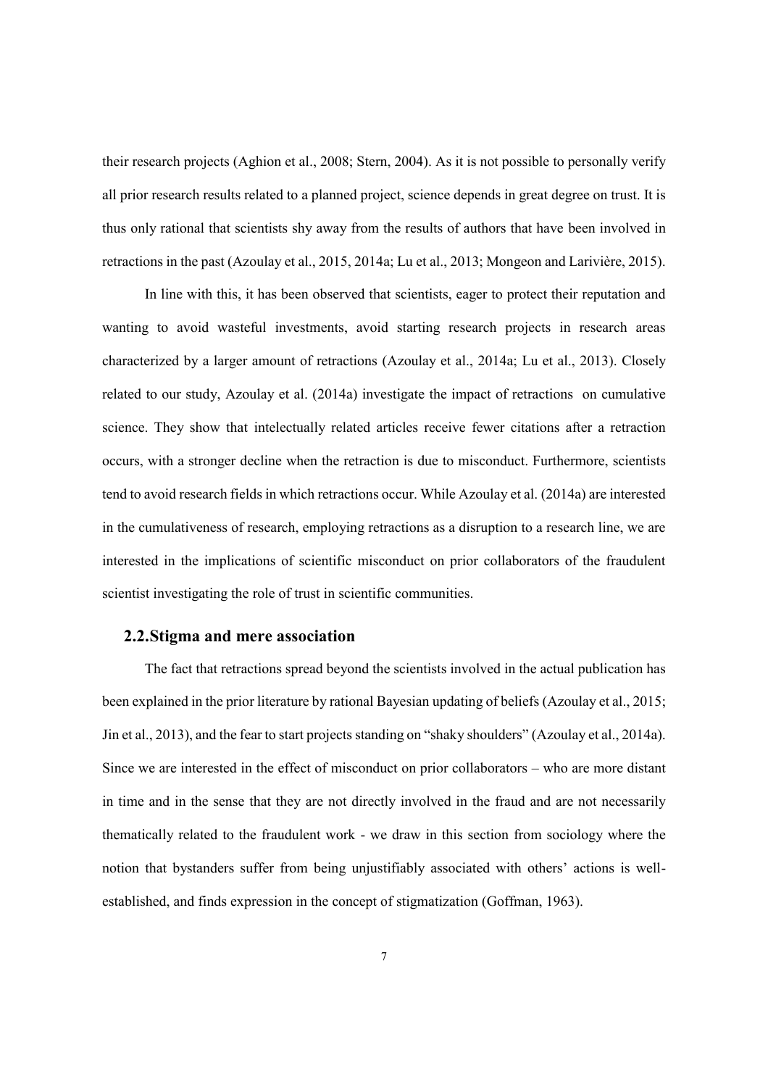their research projects (Aghion et al., 2008; Stern, 2004). As it is not possible to personally verify all prior research results related to a planned project, science depends in great degree on trust. It is thus only rational that scientists shy away from the results of authors that have been involved in retractions in the past (Azoulay et al., 2015, 2014a; Lu et al., 2013; Mongeon and Larivière, 2015).

In line with this, it has been observed that scientists, eager to protect their reputation and wanting to avoid wasteful investments, avoid starting research projects in research areas characterized by a larger amount of retractions (Azoulay et al., 2014a; Lu et al., 2013). Closely related to our study, Azoulay et al. (2014a) investigate the impact of retractions on cumulative science. They show that intelectually related articles receive fewer citations after a retraction occurs, with a stronger decline when the retraction is due to misconduct. Furthermore, scientists tend to avoid research fields in which retractions occur. While Azoulay et al. (2014a) are interested in the cumulativeness of research, employing retractions as a disruption to a research line, we are interested in the implications of scientific misconduct on prior collaborators of the fraudulent scientist investigating the role of trust in scientific communities.

#### **2.2.Stigma and mere association**

The fact that retractions spread beyond the scientists involved in the actual publication has been explained in the prior literature by rational Bayesian updating of beliefs (Azoulay et al., 2015; Jin et al., 2013), and the fear to start projects standing on "shaky shoulders" (Azoulay et al., 2014a). Since we are interested in the effect of misconduct on prior collaborators – who are more distant in time and in the sense that they are not directly involved in the fraud and are not necessarily thematically related to the fraudulent work - we draw in this section from sociology where the notion that bystanders suffer from being unjustifiably associated with others' actions is wellestablished, and finds expression in the concept of stigmatization (Goffman, 1963).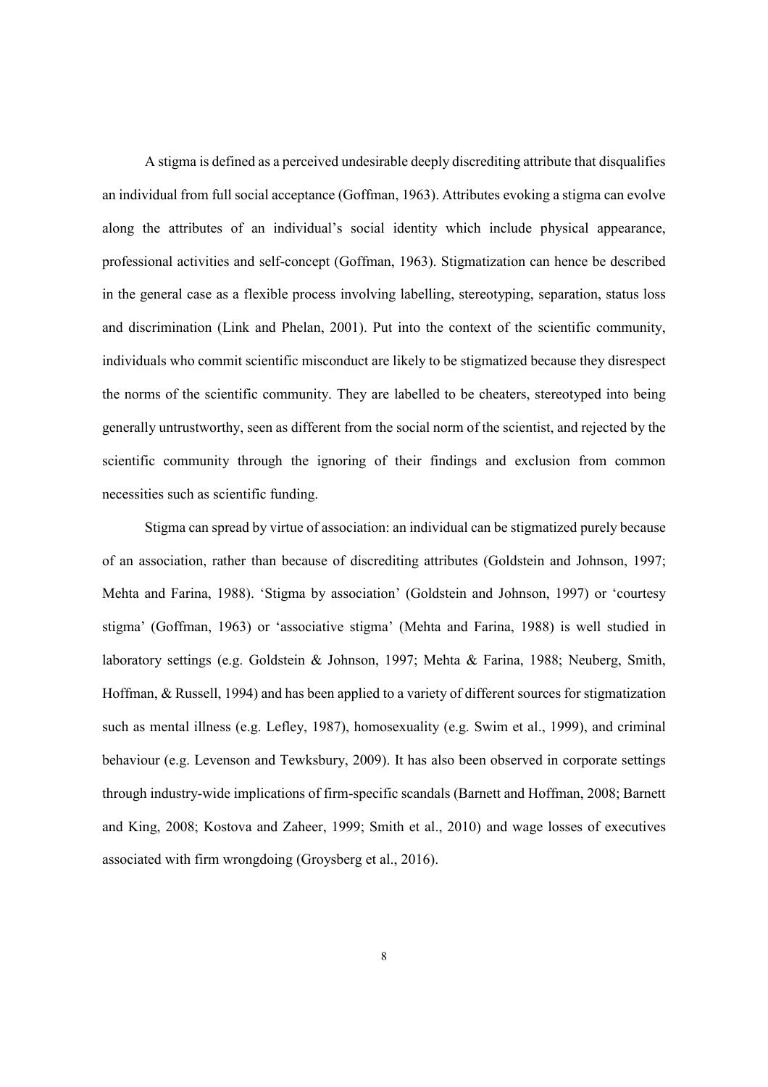A stigma is defined as a perceived undesirable deeply discrediting attribute that disqualifies an individual from full social acceptance (Goffman, 1963). Attributes evoking a stigma can evolve along the attributes of an individual's social identity which include physical appearance, professional activities and self-concept (Goffman, 1963). Stigmatization can hence be described in the general case as a flexible process involving labelling, stereotyping, separation, status loss and discrimination (Link and Phelan, 2001). Put into the context of the scientific community, individuals who commit scientific misconduct are likely to be stigmatized because they disrespect the norms of the scientific community. They are labelled to be cheaters, stereotyped into being generally untrustworthy, seen as different from the social norm of the scientist, and rejected by the scientific community through the ignoring of their findings and exclusion from common necessities such as scientific funding.

Stigma can spread by virtue of association: an individual can be stigmatized purely because of an association, rather than because of discrediting attributes (Goldstein and Johnson, 1997; Mehta and Farina, 1988). 'Stigma by association' (Goldstein and Johnson, 1997) or 'courtesy stigma' (Goffman, 1963) or 'associative stigma' (Mehta and Farina, 1988) is well studied in laboratory settings (e.g. Goldstein & Johnson, 1997; Mehta & Farina, 1988; Neuberg, Smith, Hoffman, & Russell, 1994) and has been applied to a variety of different sources for stigmatization such as mental illness (e.g. Lefley, 1987), homosexuality (e.g. Swim et al., 1999), and criminal behaviour (e.g. Levenson and Tewksbury, 2009). It has also been observed in corporate settings through industry-wide implications of firm-specific scandals (Barnett and Hoffman, 2008; Barnett and King, 2008; Kostova and Zaheer, 1999; Smith et al., 2010) and wage losses of executives associated with firm wrongdoing (Groysberg et al., 2016).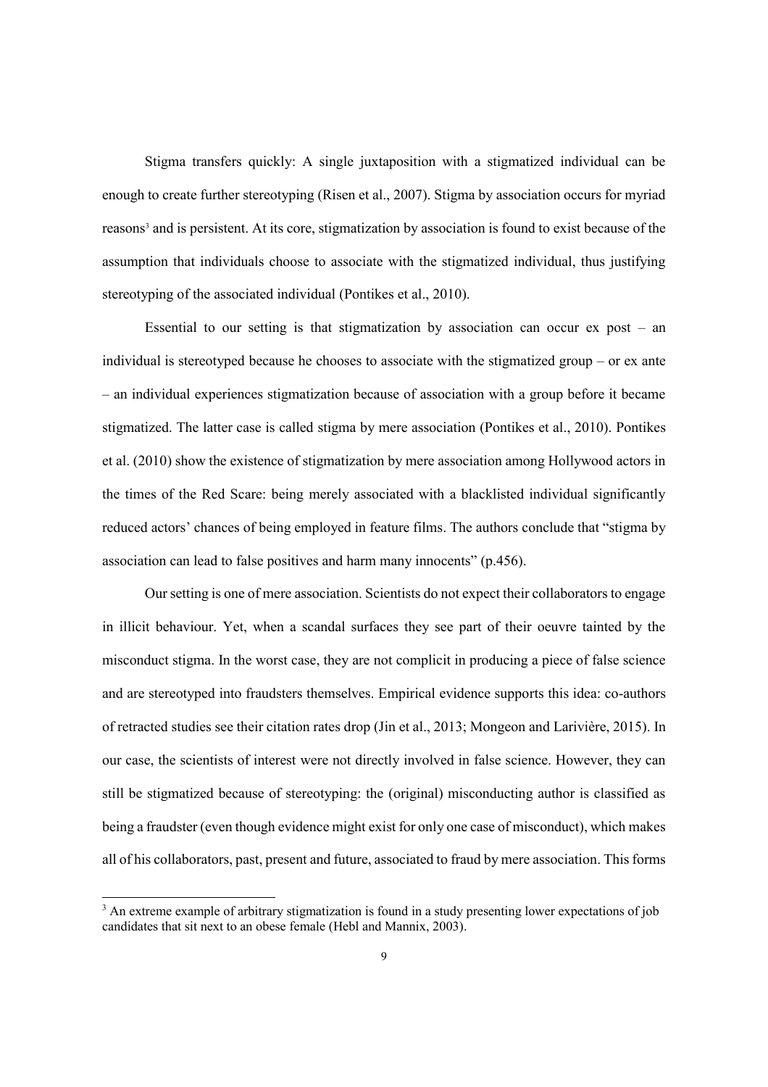Stigma transfers quickly: A single juxtaposition with a stigmatized individual can be enough to create further stereotyping (Risen et al., 2007). Stigma by association occurs for myriad reasons<sup>3</sup> and is persistent. At its core, stigmatization by association is found to exist because of the assumption that individuals choose to associate with the stigmatized individual, thus justifying stereotyping of the associated individual (Pontikes et al., 2010).

Essential to our setting is that stigmatization by association can occur ex post – an individual is stereotyped because he chooses to associate with the stigmatized group – or ex ante – an individual experiences stigmatization because of association with a group before it became stigmatized. The latter case is called stigma by mere association (Pontikes et al., 2010). Pontikes et al. (2010) show the existence of stigmatization by mere association among Hollywood actors in the times of the Red Scare: being merely associated with a blacklisted individual significantly reduced actors' chances of being employed in feature films. The authors conclude that "stigma by association can lead to false positives and harm many innocents" (p.456).

Our setting is one of mere association. Scientists do not expect their collaborators to engage in illicit behaviour. Yet, when a scandal surfaces they see part of their oeuvre tainted by the misconduct stigma. In the worst case, they are not complicit in producing a piece of false science and are stereotyped into fraudsters themselves. Empirical evidence supports this idea: co-authors of retracted studies see their citation rates drop (Jin et al., 2013; Mongeon and Larivière, 2015). In our case, the scientists of interest were not directly involved in false science. However, they can still be stigmatized because of stereotyping: the (original) misconducting author is classified as being a fraudster (even though evidence might exist for only one case of misconduct), which makes all of his collaborators, past, present and future, associated to fraud by mere association. This forms

<sup>&</sup>lt;sup>3</sup> An extreme example of arbitrary stigmatization is found in a study presenting lower expectations of job candidates that sit next to an obese female (Hebl and Mannix, 2003).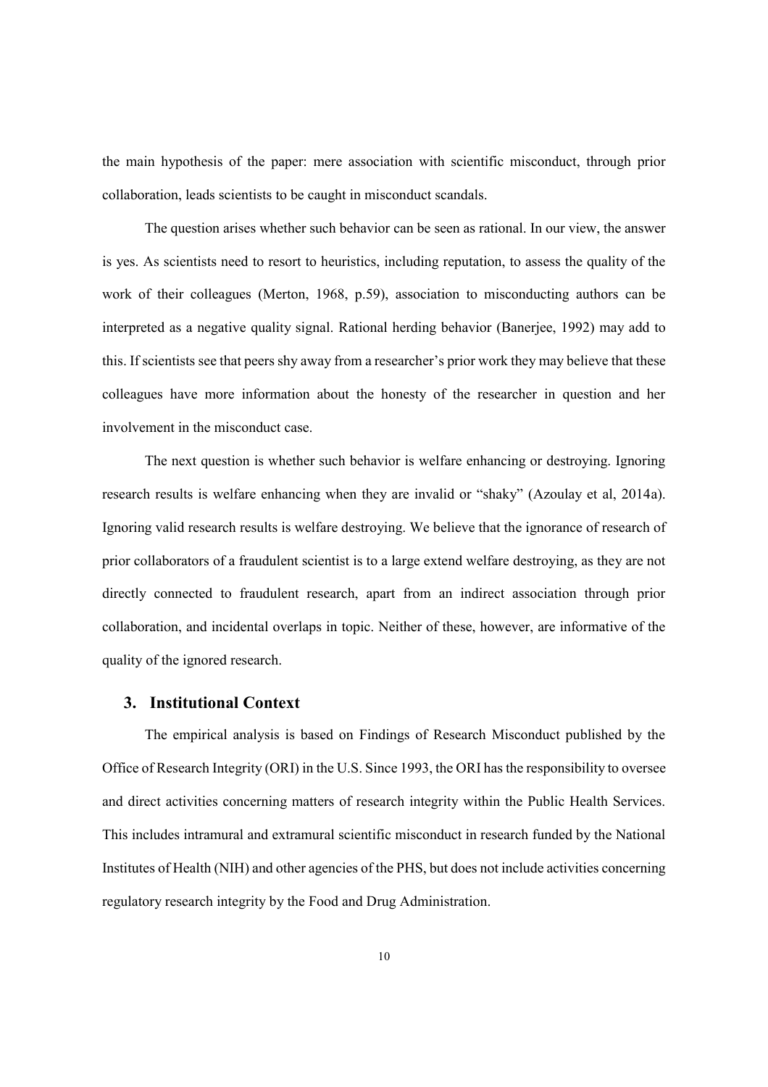the main hypothesis of the paper: mere association with scientific misconduct, through prior collaboration, leads scientists to be caught in misconduct scandals.

The question arises whether such behavior can be seen as rational. In our view, the answer is yes. As scientists need to resort to heuristics, including reputation, to assess the quality of the work of their colleagues (Merton, 1968, p.59), association to misconducting authors can be interpreted as a negative quality signal. Rational herding behavior (Banerjee, 1992) may add to this. If scientists see that peers shy away from a researcher's prior work they may believe that these colleagues have more information about the honesty of the researcher in question and her involvement in the misconduct case.

The next question is whether such behavior is welfare enhancing or destroying. Ignoring research results is welfare enhancing when they are invalid or "shaky" (Azoulay et al, 2014a). Ignoring valid research results is welfare destroying. We believe that the ignorance of research of prior collaborators of a fraudulent scientist is to a large extend welfare destroying, as they are not directly connected to fraudulent research, apart from an indirect association through prior collaboration, and incidental overlaps in topic. Neither of these, however, are informative of the quality of the ignored research.

### **3. Institutional Context**

The empirical analysis is based on Findings of Research Misconduct published by the Office of Research Integrity (ORI) in the U.S. Since 1993, the ORI has the responsibility to oversee and direct activities concerning matters of research integrity within the Public Health Services. This includes intramural and extramural scientific misconduct in research funded by the National Institutes of Health (NIH) and other agencies of the PHS, but does not include activities concerning regulatory research integrity by the Food and Drug Administration.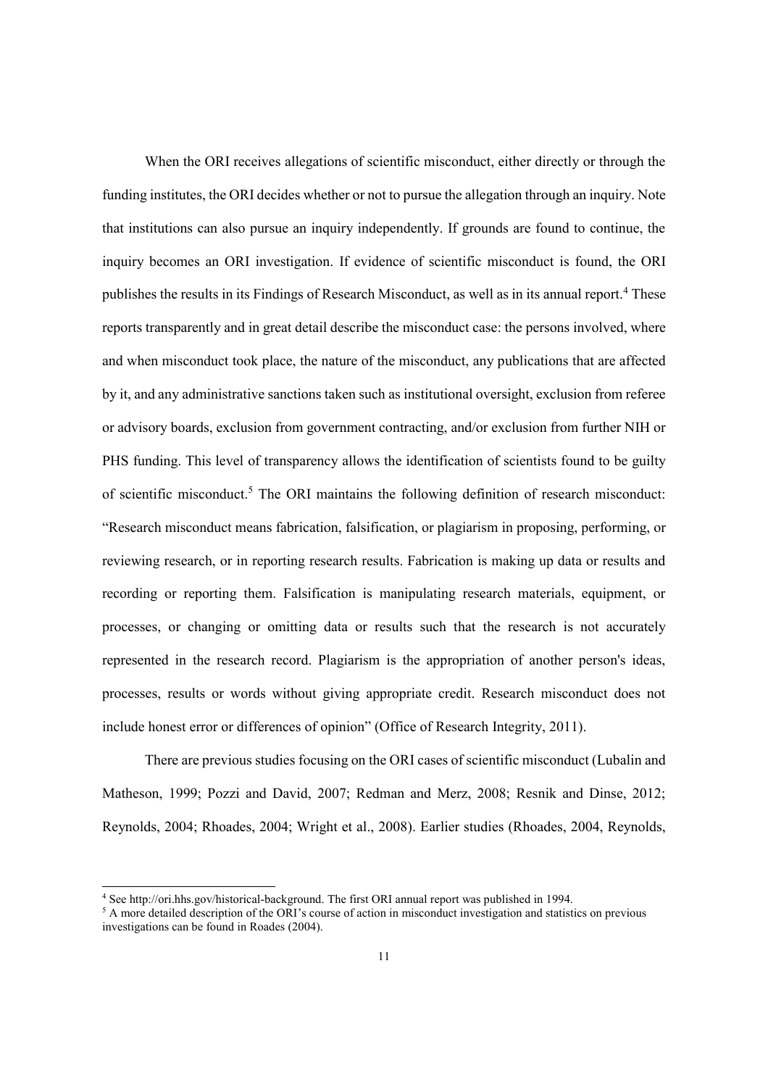When the ORI receives allegations of scientific misconduct, either directly or through the funding institutes, the ORI decides whether or not to pursue the allegation through an inquiry. Note that institutions can also pursue an inquiry independently. If grounds are found to continue, the inquiry becomes an ORI investigation. If evidence of scientific misconduct is found, the ORI publishes the results in its Findings of Research Misconduct, as well as in its annual report.<sup>4</sup> These reports transparently and in great detail describe the misconduct case: the persons involved, where and when misconduct took place, the nature of the misconduct, any publications that are affected by it, and any administrative sanctions taken such as institutional oversight, exclusion from referee or advisory boards, exclusion from government contracting, and/or exclusion from further NIH or PHS funding. This level of transparency allows the identification of scientists found to be guilty of scientific misconduct.<sup>5</sup> The ORI maintains the following definition of research misconduct: "Research misconduct means fabrication, falsification, or plagiarism in proposing, performing, or reviewing research, or in reporting research results. Fabrication is making up data or results and recording or reporting them. Falsification is manipulating research materials, equipment, or processes, or changing or omitting data or results such that the research is not accurately represented in the research record. Plagiarism is the appropriation of another person's ideas, processes, results or words without giving appropriate credit. Research misconduct does not include honest error or differences of opinion" (Office of Research Integrity, 2011).

There are previous studies focusing on the ORI cases of scientific misconduct (Lubalin and Matheson, 1999; Pozzi and David, 2007; Redman and Merz, 2008; Resnik and Dinse, 2012; Reynolds, 2004; Rhoades, 2004; Wright et al., 2008). Earlier studies (Rhoades, 2004, Reynolds,

<sup>&</sup>lt;sup>4</sup> See http://ori.hhs.gov/historical-background. The first ORI annual report was published in 1994.<br><sup>5</sup> A more detailed description of the ORI's course of action in misconduct investigation and statistics on previous investigations can be found in Roades (2004).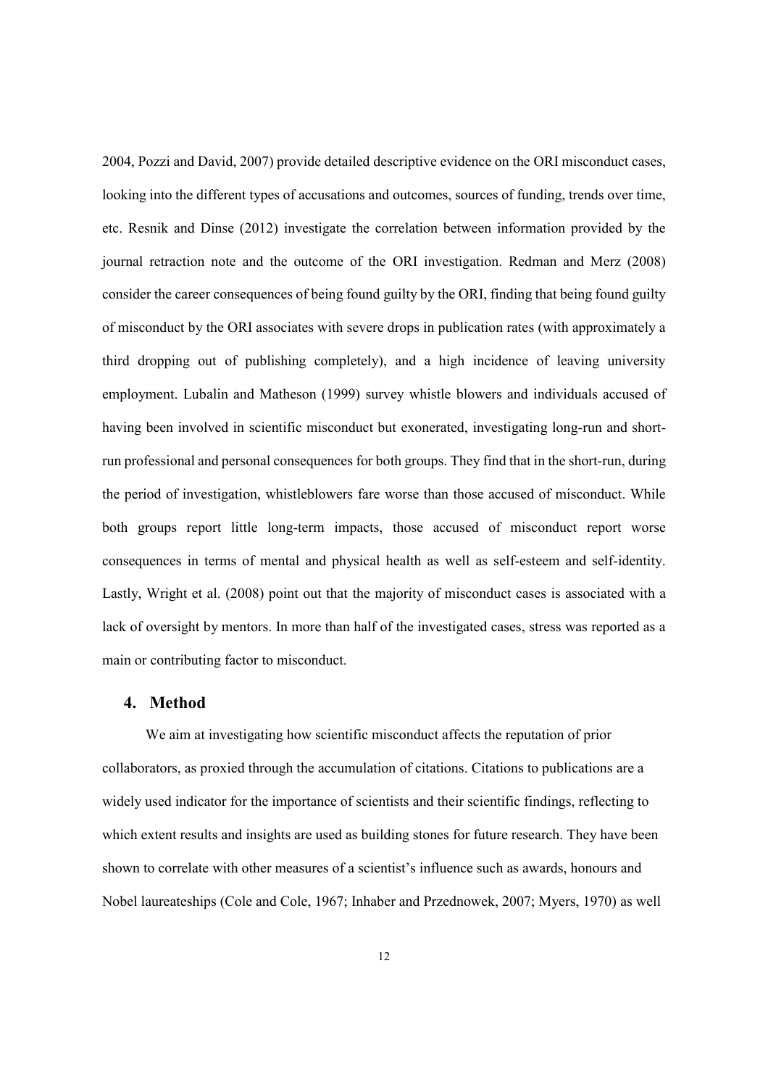2004, Pozzi and David, 2007) provide detailed descriptive evidence on the ORI misconduct cases, looking into the different types of accusations and outcomes, sources of funding, trends over time, etc. Resnik and Dinse (2012) investigate the correlation between information provided by the journal retraction note and the outcome of the ORI investigation. Redman and Merz (2008) consider the career consequences of being found guilty by the ORI, finding that being found guilty of misconduct by the ORI associates with severe drops in publication rates (with approximately a third dropping out of publishing completely), and a high incidence of leaving university employment. Lubalin and Matheson (1999) survey whistle blowers and individuals accused of having been involved in scientific misconduct but exonerated, investigating long-run and shortrun professional and personal consequences for both groups. They find that in the short-run, during the period of investigation, whistleblowers fare worse than those accused of misconduct. While both groups report little long-term impacts, those accused of misconduct report worse consequences in terms of mental and physical health as well as self-esteem and self-identity. Lastly, Wright et al. (2008) point out that the majority of misconduct cases is associated with a lack of oversight by mentors. In more than half of the investigated cases, stress was reported as a main or contributing factor to misconduct.

### **4. Method**

We aim at investigating how scientific misconduct affects the reputation of prior collaborators, as proxied through the accumulation of citations. Citations to publications are a widely used indicator for the importance of scientists and their scientific findings, reflecting to which extent results and insights are used as building stones for future research. They have been shown to correlate with other measures of a scientist's influence such as awards, honours and Nobel laureateships (Cole and Cole, 1967; Inhaber and Przednowek, 2007; Myers, 1970) as well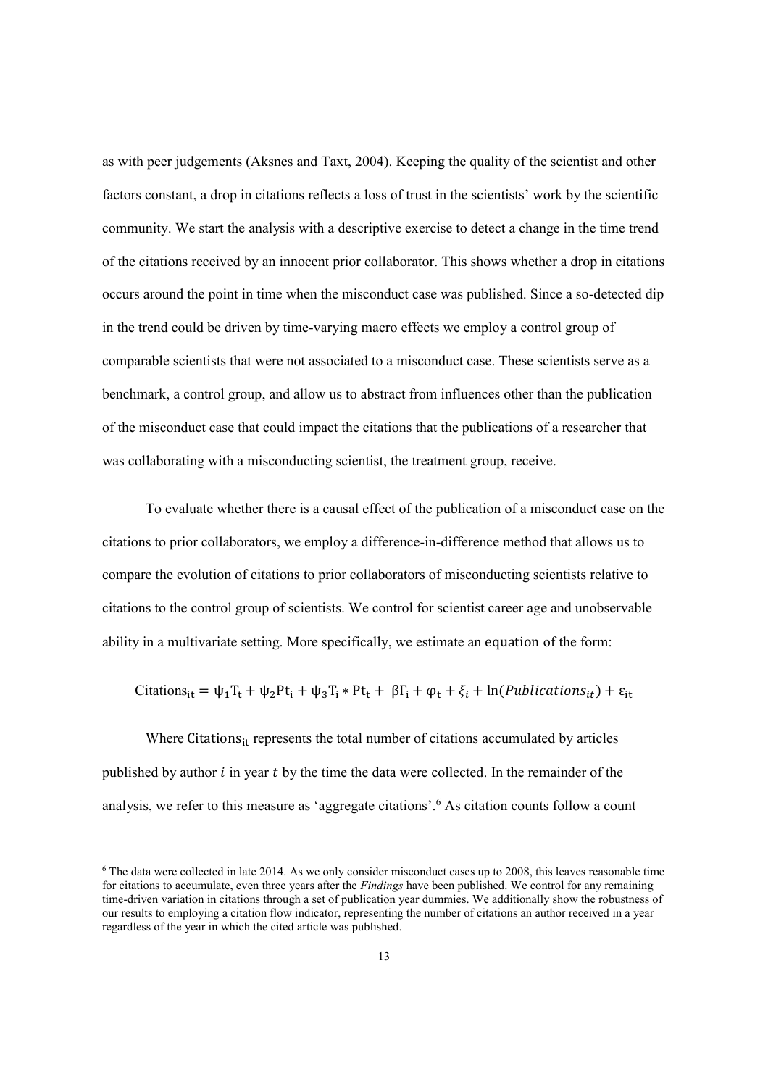as with peer judgements (Aksnes and Taxt, 2004). Keeping the quality of the scientist and other factors constant, a drop in citations reflects a loss of trust in the scientists' work by the scientific community. We start the analysis with a descriptive exercise to detect a change in the time trend of the citations received by an innocent prior collaborator. This shows whether a drop in citations occurs around the point in time when the misconduct case was published. Since a so-detected dip in the trend could be driven by time-varying macro effects we employ a control group of comparable scientists that were not associated to a misconduct case. These scientists serve as a benchmark, a control group, and allow us to abstract from influences other than the publication of the misconduct case that could impact the citations that the publications of a researcher that was collaborating with a misconducting scientist, the treatment group, receive.

To evaluate whether there is a causal effect of the publication of a misconduct case on the citations to prior collaborators, we employ a difference-in-difference method that allows us to compare the evolution of citations to prior collaborators of misconducting scientists relative to citations to the control group of scientists. We control for scientist career age and unobservable ability in a multivariate setting. More specifically, we estimate an equation of the form:

Citations<sub>it</sub> = 
$$
\psi_1 T_t + \psi_2 Pt_i + \psi_3 T_i * Pt_t + \beta \Gamma_i + \varphi_t + \xi_i + \ln(Publications_{it}) + \varepsilon_{it}
$$

Where Citations $s_{it}$  represents the total number of citations accumulated by articles published by author  $i$  in year  $t$  by the time the data were collected. In the remainder of the analysis, we refer to this measure as 'aggregate citations'.<sup>6</sup> As citation counts follow a count

 $6$  The data were collected in late 2014. As we only consider misconduct cases up to 2008, this leaves reasonable time for citations to accumulate, even three years after the *Findings* have been published. We control for any remaining time-driven variation in citations through a set of publication year dummies. We additionally show the robustness of our results to employing a citation flow indicator, representing the number of citations an author received in a year regardless of the year in which the cited article was published.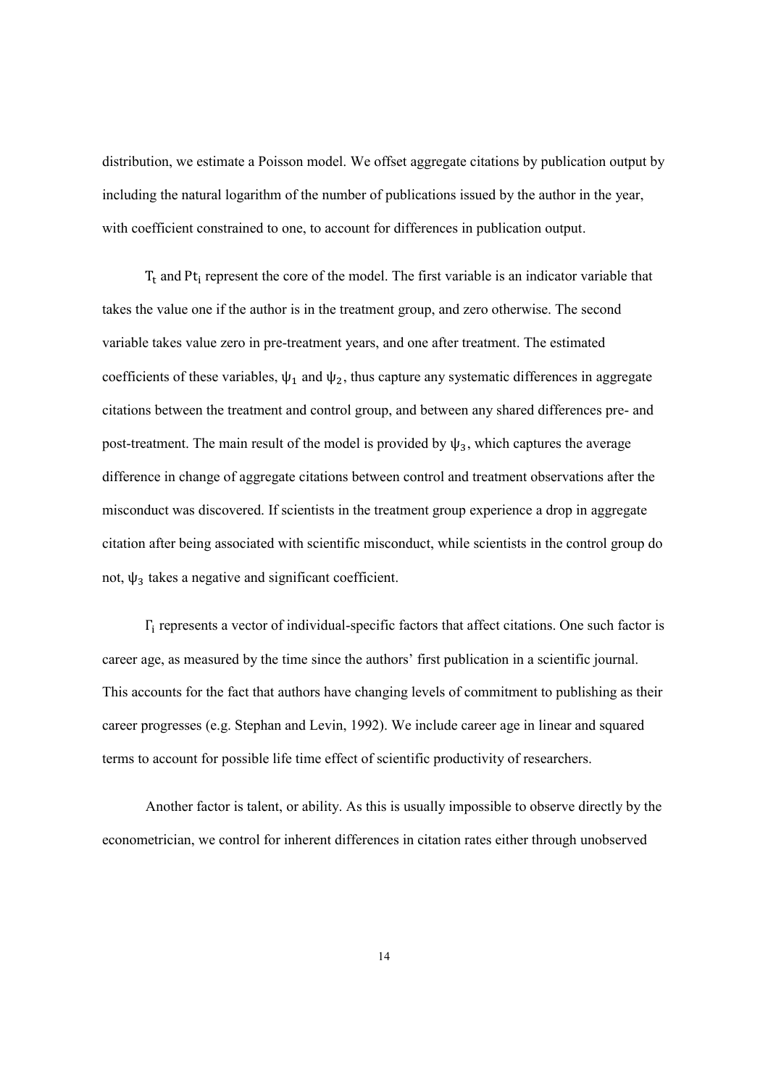distribution, we estimate a Poisson model. We offset aggregate citations by publication output by including the natural logarithm of the number of publications issued by the author in the year, with coefficient constrained to one, to account for differences in publication output.

 $T_t$  and Pt<sub>i</sub> represent the core of the model. The first variable is an indicator variable that takes the value one if the author is in the treatment group, and zero otherwise. The second variable takes value zero in pre-treatment years, and one after treatment. The estimated coefficients of these variables,  $\psi_1$  and  $\psi_2$ , thus capture any systematic differences in aggregate citations between the treatment and control group, and between any shared differences pre- and post-treatment. The main result of the model is provided by  $\psi_3$ , which captures the average difference in change of aggregate citations between control and treatment observations after the misconduct was discovered. If scientists in the treatment group experience a drop in aggregate citation after being associated with scientific misconduct, while scientists in the control group do not,  $ψ_3$  takes a negative and significant coefficient.

 $\Gamma_i$  represents a vector of individual-specific factors that affect citations. One such factor is career age, as measured by the time since the authors' first publication in a scientific journal. This accounts for the fact that authors have changing levels of commitment to publishing as their career progresses (e.g. Stephan and Levin, 1992). We include career age in linear and squared terms to account for possible life time effect of scientific productivity of researchers.

Another factor is talent, or ability. As this is usually impossible to observe directly by the econometrician, we control for inherent differences in citation rates either through unobserved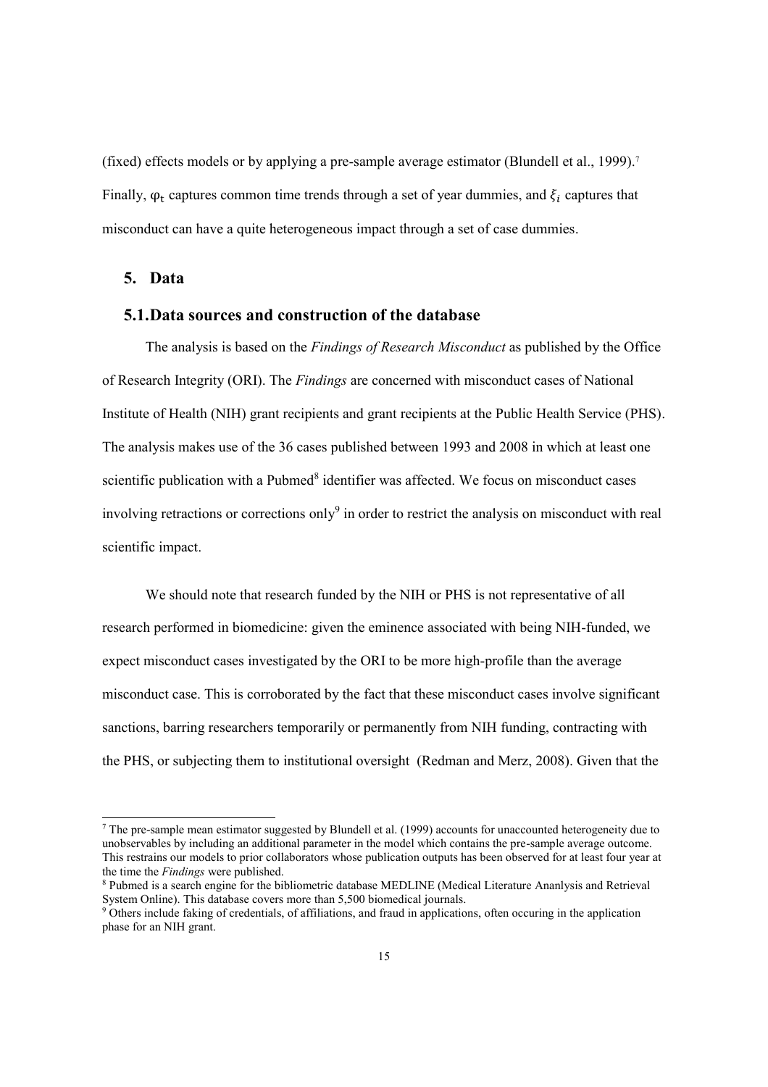(fixed) effects models or by applying a pre-sample average estimator (Blundell et al., 1999). 7 Finally,  $\varphi_t$  captures common time trends through a set of year dummies, and  $\xi_i$  captures that misconduct can have a quite heterogeneous impact through a set of case dummies.

### **5. Data**

#### **5.1.Data sources and construction of the database**

The analysis is based on the *Findings of Research Misconduct* as published by the Office of Research Integrity (ORI). The *Findings* are concerned with misconduct cases of National Institute of Health (NIH) grant recipients and grant recipients at the Public Health Service (PHS). The analysis makes use of the 36 cases published between 1993 and 2008 in which at least one scientific publication with a Pubmed<sup>8</sup> identifier was affected. We focus on misconduct cases involving retractions or corrections only<sup>9</sup> in order to restrict the analysis on misconduct with real scientific impact.

We should note that research funded by the NIH or PHS is not representative of all research performed in biomedicine: given the eminence associated with being NIH-funded, we expect misconduct cases investigated by the ORI to be more high-profile than the average misconduct case. This is corroborated by the fact that these misconduct cases involve significant sanctions, barring researchers temporarily or permanently from NIH funding, contracting with the PHS, or subjecting them to institutional oversight (Redman and Merz, 2008). Given that the

 $^7$  The pre-sample mean estimator suggested by Blundell et al. (1999) accounts for unaccounted heterogeneity due to unobservables by including an additional parameter in the model which contains the pre-sample average outcome. This restrains our models to prior collaborators whose publication outputs has been observed for at least four year at the time the *Findings* were published.

<sup>&</sup>lt;sup>8</sup> Pubmed is a search engine for the bibliometric database MEDLINE (Medical Literature Ananlysis and Retrieval System Online). This database covers more than 5,500 biomedical journals.

<sup>&</sup>lt;sup>9</sup> Others include faking of credentials, of affiliations, and fraud in applications, often occuring in the application phase for an NIH grant.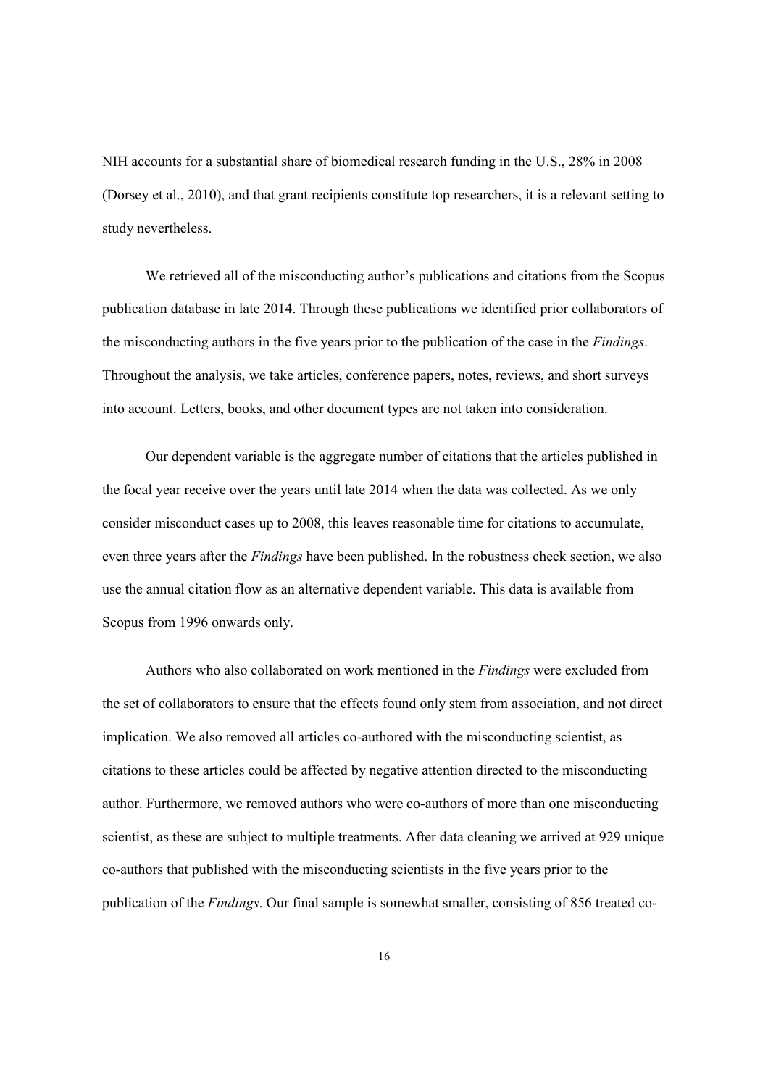NIH accounts for a substantial share of biomedical research funding in the U.S., 28% in 2008 (Dorsey et al., 2010), and that grant recipients constitute top researchers, it is a relevant setting to study nevertheless.

We retrieved all of the misconducting author's publications and citations from the Scopus publication database in late 2014. Through these publications we identified prior collaborators of the misconducting authors in the five years prior to the publication of the case in the *Findings*. Throughout the analysis, we take articles, conference papers, notes, reviews, and short surveys into account. Letters, books, and other document types are not taken into consideration.

Our dependent variable is the aggregate number of citations that the articles published in the focal year receive over the years until late 2014 when the data was collected. As we only consider misconduct cases up to 2008, this leaves reasonable time for citations to accumulate, even three years after the *Findings* have been published. In the robustness check section, we also use the annual citation flow as an alternative dependent variable. This data is available from Scopus from 1996 onwards only.

Authors who also collaborated on work mentioned in the *Findings* were excluded from the set of collaborators to ensure that the effects found only stem from association, and not direct implication. We also removed all articles co-authored with the misconducting scientist, as citations to these articles could be affected by negative attention directed to the misconducting author. Furthermore, we removed authors who were co-authors of more than one misconducting scientist, as these are subject to multiple treatments. After data cleaning we arrived at 929 unique co-authors that published with the misconducting scientists in the five years prior to the publication of the *Findings*. Our final sample is somewhat smaller, consisting of 856 treated co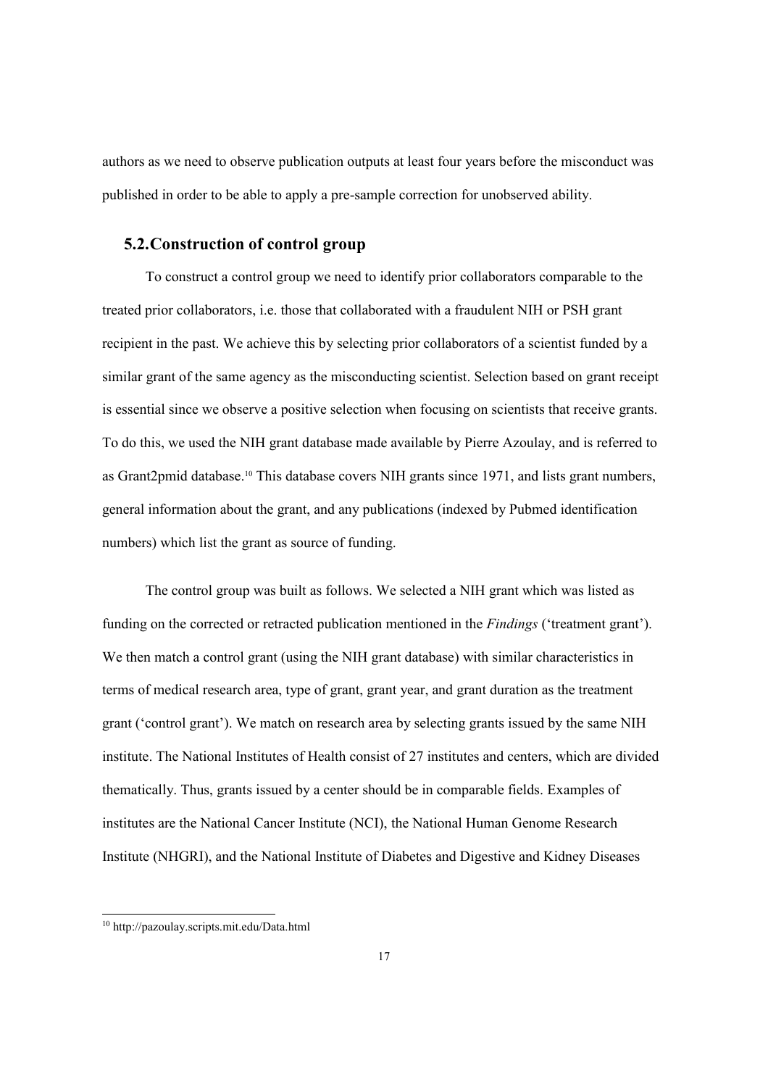authors as we need to observe publication outputs at least four years before the misconduct was published in order to be able to apply a pre-sample correction for unobserved ability.

### **5.2.Construction of control group**

To construct a control group we need to identify prior collaborators comparable to the treated prior collaborators, i.e. those that collaborated with a fraudulent NIH or PSH grant recipient in the past. We achieve this by selecting prior collaborators of a scientist funded by a similar grant of the same agency as the misconducting scientist. Selection based on grant receipt is essential since we observe a positive selection when focusing on scientists that receive grants. To do this, we used the NIH grant database made available by Pierre Azoulay, and is referred to as Grant2pmid database. <sup>10</sup> This database covers NIH grants since 1971, and lists grant numbers, general information about the grant, and any publications (indexed by Pubmed identification numbers) which list the grant as source of funding.

The control group was built as follows. We selected a NIH grant which was listed as funding on the corrected or retracted publication mentioned in the *Findings* ('treatment grant'). We then match a control grant (using the NIH grant database) with similar characteristics in terms of medical research area, type of grant, grant year, and grant duration as the treatment grant ('control grant'). We match on research area by selecting grants issued by the same NIH institute. The National Institutes of Health consist of 27 institutes and centers, which are divided thematically. Thus, grants issued by a center should be in comparable fields. Examples of institutes are the National Cancer Institute (NCI), the National Human Genome Research Institute (NHGRI), and the National Institute of Diabetes and Digestive and Kidney Diseases

 <sup>10</sup> http://pazoulay.scripts.mit.edu/Data.html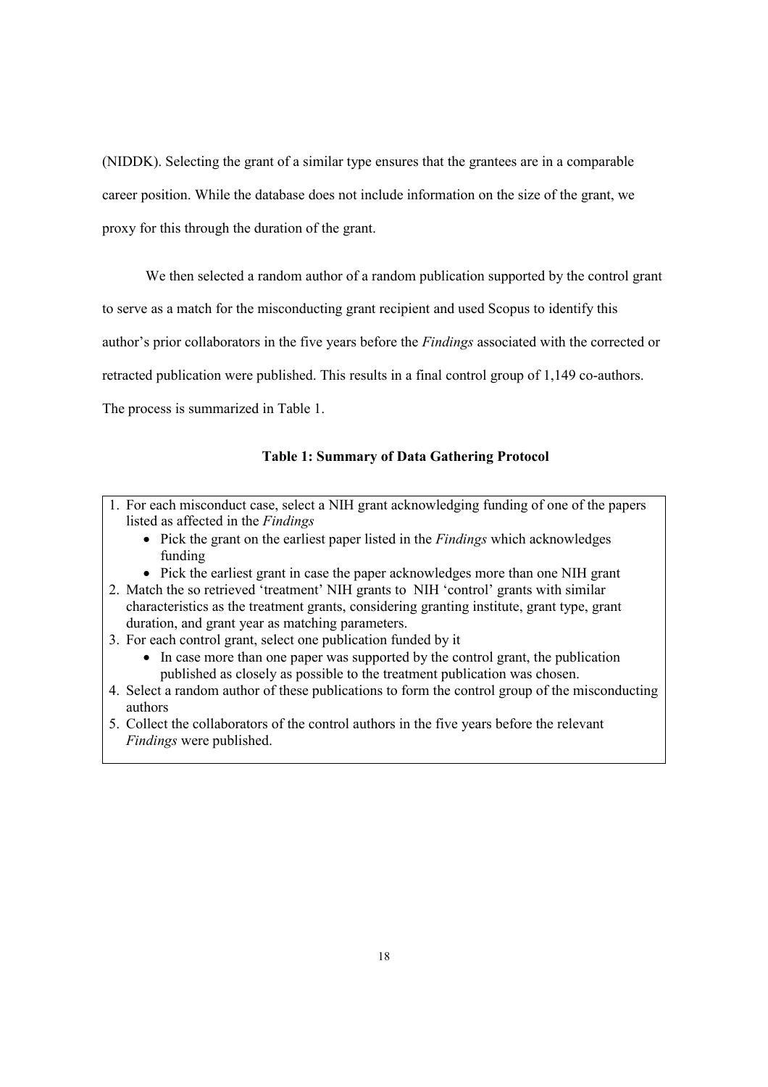(NIDDK). Selecting the grant of a similar type ensures that the grantees are in a comparable career position. While the database does not include information on the size of the grant, we proxy for this through the duration of the grant.

We then selected a random author of a random publication supported by the control grant

to serve as a match for the misconducting grant recipient and used Scopus to identify this

author's prior collaborators in the five years before the *Findings* associated with the corrected or

retracted publication were published. This results in a final control group of 1,149 co-authors.

The process is summarized in Table 1.

#### **Table 1: Summary of Data Gathering Protocol**

- 1. For each misconduct case, select a NIH grant acknowledging funding of one of the papers listed as affected in the *Findings*
	- x Pick the grant on the earliest paper listed in the *Findings* which acknowledges funding
	- Pick the earliest grant in case the paper acknowledges more than one NIH grant
- 2. Match the so retrieved 'treatment' NIH grants to NIH 'control' grants with similar characteristics as the treatment grants, considering granting institute, grant type, grant duration, and grant year as matching parameters.
- 3. For each control grant, select one publication funded by it
	- $\bullet$  In case more than one paper was supported by the control grant, the publication published as closely as possible to the treatment publication was chosen.
- 4. Select a random author of these publications to form the control group of the misconducting authors
- 5. Collect the collaborators of the control authors in the five years before the relevant *Findings* were published.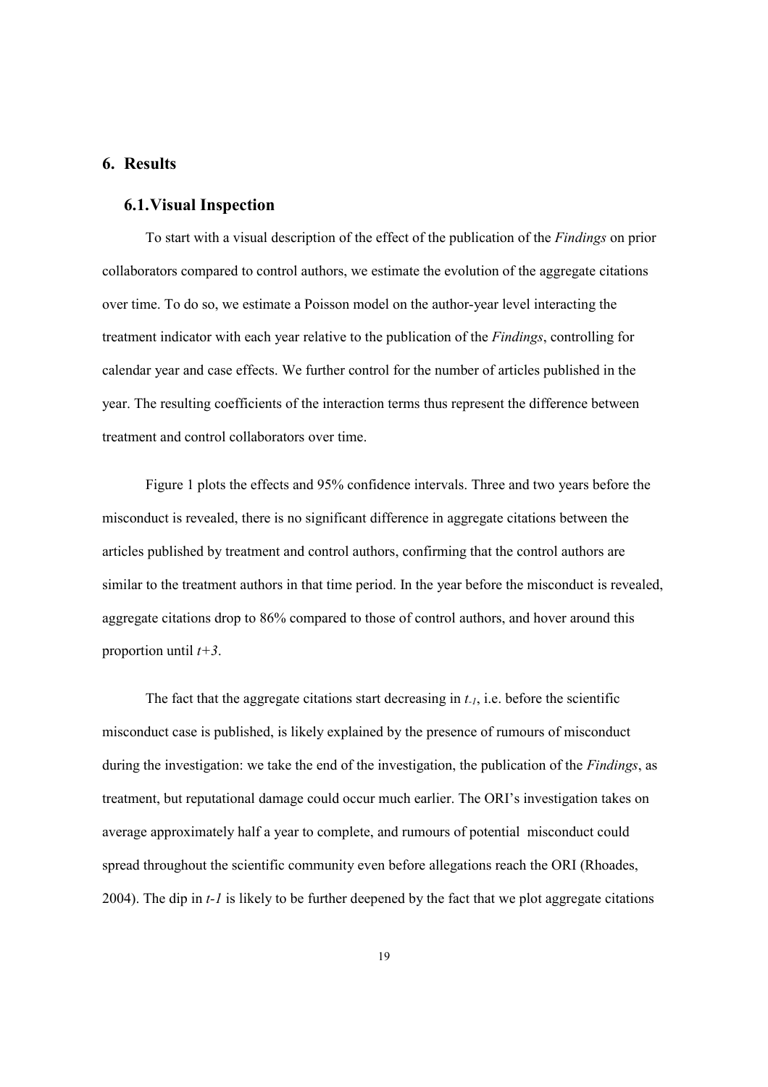### **6. Results**

## **6.1.Visual Inspection**

To start with a visual description of the effect of the publication of the *Findings* on prior collaborators compared to control authors, we estimate the evolution of the aggregate citations over time. To do so, we estimate a Poisson model on the author-year level interacting the treatment indicator with each year relative to the publication of the *Findings*, controlling for calendar year and case effects. We further control for the number of articles published in the year. The resulting coefficients of the interaction terms thus represent the difference between treatment and control collaborators over time.

Figure 1 plots the effects and 95% confidence intervals. Three and two years before the misconduct is revealed, there is no significant difference in aggregate citations between the articles published by treatment and control authors, confirming that the control authors are similar to the treatment authors in that time period. In the year before the misconduct is revealed, aggregate citations drop to 86% compared to those of control authors, and hover around this proportion until *t+3*.

The fact that the aggregate citations start decreasing in *t-1*, i.e. before the scientific misconduct case is published, is likely explained by the presence of rumours of misconduct during the investigation: we take the end of the investigation, the publication of the *Findings*, as treatment, but reputational damage could occur much earlier. The ORI's investigation takes on average approximately half a year to complete, and rumours of potential misconduct could spread throughout the scientific community even before allegations reach the ORI (Rhoades, 2004). The dip in *t-1* is likely to be further deepened by the fact that we plot aggregate citations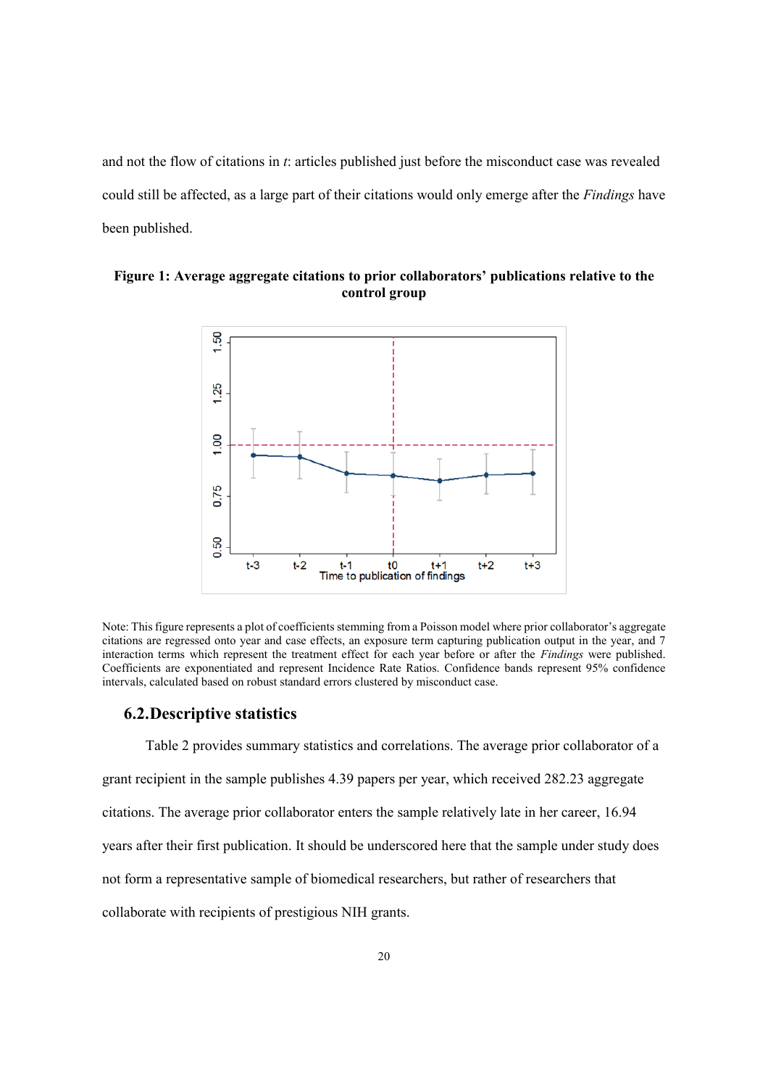and not the flow of citations in *t*: articles published just before the misconduct case was revealed could still be affected, as a large part of their citations would only emerge after the *Findings* have been published.



### **Figure 1: Average aggregate citations to prior collaborators' publications relative to the control group**

Note: This figure represents a plot of coefficients stemming from a Poisson model where prior collaborator's aggregate citations are regressed onto year and case effects, an exposure term capturing publication output in the year, and 7 interaction terms which represent the treatment effect for each year before or after the *Findings* were published. Coefficients are exponentiated and represent Incidence Rate Ratios. Confidence bands represent 95% confidence intervals, calculated based on robust standard errors clustered by misconduct case.

#### **6.2.Descriptive statistics**

Table 2 provides summary statistics and correlations. The average prior collaborator of a grant recipient in the sample publishes 4.39 papers per year, which received 282.23 aggregate citations. The average prior collaborator enters the sample relatively late in her career, 16.94 years after their first publication. It should be underscored here that the sample under study does not form a representative sample of biomedical researchers, but rather of researchers that collaborate with recipients of prestigious NIH grants.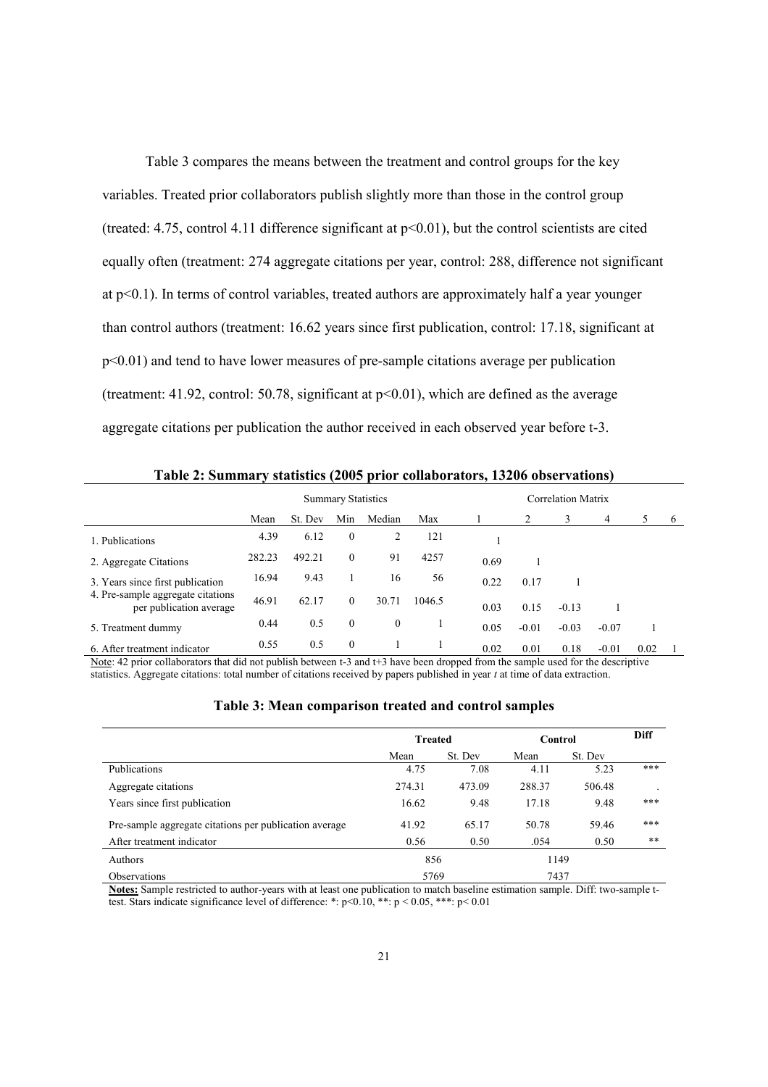Table 3 compares the means between the treatment and control groups for the key variables. Treated prior collaborators publish slightly more than those in the control group (treated: 4.75, control 4.11 difference significant at  $p<0.01$ ), but the control scientists are cited equally often (treatment: 274 aggregate citations per year, control: 288, difference not significant at p<0.1). In terms of control variables, treated authors are approximately half a year younger than control authors (treatment: 16.62 years since first publication, control: 17.18, significant at p<0.01) and tend to have lower measures of pre-sample citations average per publication (treatment:  $41.92$ , control:  $50.78$ , significant at  $p<0.01$ ), which are defined as the average aggregate citations per publication the author received in each observed year before t-3.

|                                                              |        |         | <b>Summary Statistics</b> |              |        | <b>Correlation Matrix</b> |         |         |         |      |    |  |
|--------------------------------------------------------------|--------|---------|---------------------------|--------------|--------|---------------------------|---------|---------|---------|------|----|--|
|                                                              | Mean   | St. Dev | Min                       | Median       | Max    |                           | 2       | 3       | 4       |      | -6 |  |
| 1. Publications                                              | 4.39   | 6.12    | $\mathbf{0}$              | 2            | 121    |                           |         |         |         |      |    |  |
| 2. Aggregate Citations                                       | 282.23 | 492.21  | $\Omega$                  | 91           | 4257   | 0.69                      |         |         |         |      |    |  |
| 3. Years since first publication                             | 16.94  | 9.43    |                           | 16           | 56     | 0.22                      | 0.17    |         |         |      |    |  |
| 4. Pre-sample aggregate citations<br>per publication average | 46.91  | 62.17   | $\Omega$                  | 30.71        | 1046.5 | 0.03                      | 0.15    | $-0.13$ |         |      |    |  |
| 5. Treatment dummy                                           | 0.44   | 0.5     | $\theta$                  | $\mathbf{0}$ |        | 0.05                      | $-0.01$ | $-0.03$ | $-0.07$ |      |    |  |
| 6. After treatment indicator                                 | 0.55   | 0.5     | $\Omega$                  |              |        | 0.02                      | 0.01    | 0.18    | $-0.01$ | 0.02 |    |  |

**Table 2: Summary statistics (2005 prior collaborators, 13206 observations)**

Note: 42 prior collaborators that did not publish between t-3 and t+3 have been dropped from the sample used for the descriptive statistics. Aggregate citations: total number of citations received by papers published in year *t* at time of data extraction.

| Table 3: Mean comparison treated and control samples |  |  |  |
|------------------------------------------------------|--|--|--|
|                                                      |  |  |  |

|                                                        | <b>Treated</b> |         | Control | Diff    |     |
|--------------------------------------------------------|----------------|---------|---------|---------|-----|
|                                                        | Mean           | St. Dev | Mean    | St. Dev |     |
| Publications                                           | 4.75           | 7.08    | 4.11    | 5.23    | *** |
| Aggregate citations                                    | 274.31         | 473.09  | 288.37  | 506.48  |     |
| Years since first publication                          | 16.62          | 9.48    | 17.18   | 9.48    | *** |
| Pre-sample aggregate citations per publication average | 41.92          | 65.17   | 50.78   | 59.46   | *** |
| After treatment indicator                              | 0.56           | 0.50    | .054    | 0.50    | **  |
| Authors                                                | 856            |         | 1149    |         |     |
| <b>Observations</b>                                    | 5769           |         | 7437    |         |     |

**Notes:** Sample restricted to author-years with at least one publication to match baseline estimation sample. Diff: two-sample ttest. Stars indicate significance level of difference: \*:  $p < 0.10$ , \*\*:  $p < 0.05$ , \*\*\*:  $p < 0.01$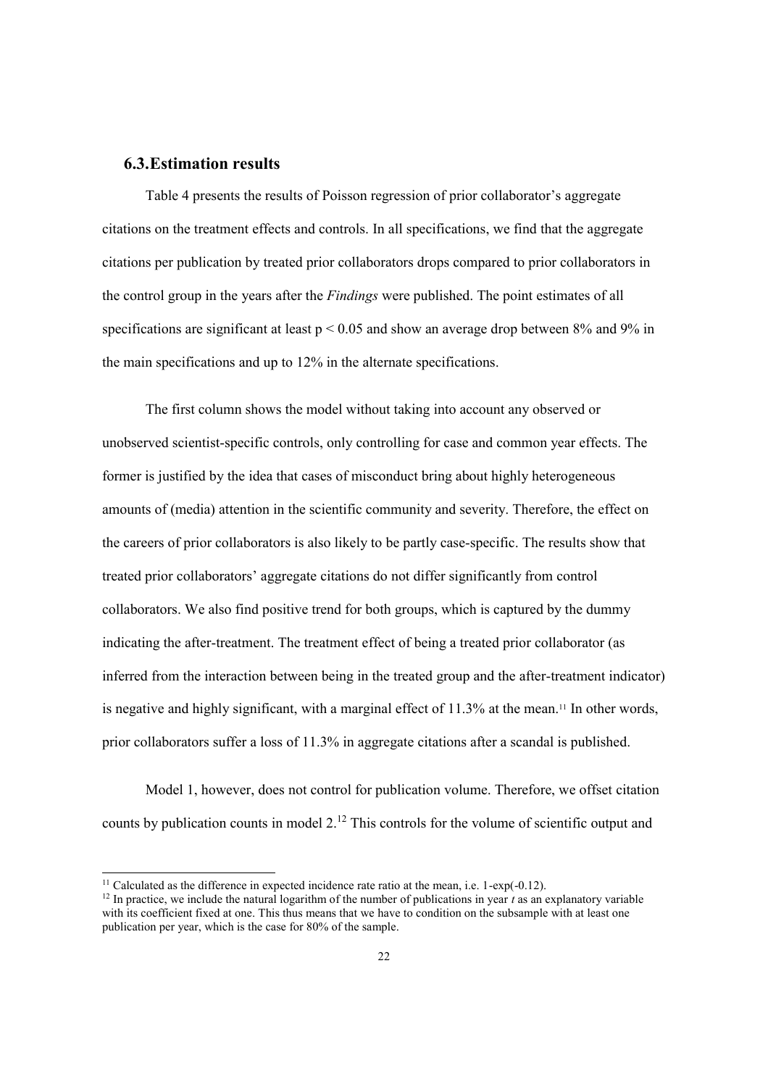## **6.3.Estimation results**

Table 4 presents the results of Poisson regression of prior collaborator's aggregate citations on the treatment effects and controls. In all specifications, we find that the aggregate citations per publication by treated prior collaborators drops compared to prior collaborators in the control group in the years after the *Findings* were published. The point estimates of all specifications are significant at least  $p < 0.05$  and show an average drop between 8% and 9% in the main specifications and up to 12% in the alternate specifications.

The first column shows the model without taking into account any observed or unobserved scientist-specific controls, only controlling for case and common year effects. The former is justified by the idea that cases of misconduct bring about highly heterogeneous amounts of (media) attention in the scientific community and severity. Therefore, the effect on the careers of prior collaborators is also likely to be partly case-specific. The results show that treated prior collaborators' aggregate citations do not differ significantly from control collaborators. We also find positive trend for both groups, which is captured by the dummy indicating the after-treatment. The treatment effect of being a treated prior collaborator (as inferred from the interaction between being in the treated group and the after-treatment indicator) is negative and highly significant, with a marginal effect of  $11.3\%$  at the mean.<sup>11</sup> In other words, prior collaborators suffer a loss of 11.3% in aggregate citations after a scandal is published.

Model 1, however, does not control for publication volume. Therefore, we offset citation counts by publication counts in model  $2<sup>12</sup>$ . This controls for the volume of scientific output and

<sup>&</sup>lt;sup>11</sup> Calculated as the difference in expected incidence rate ratio at the mean, i.e.  $1$ -exp(-0.12).<br><sup>12</sup> In practice, we include the natural logarithm of the number of publications in year *t* as an explanatory variable with its coefficient fixed at one. This thus means that we have to condition on the subsample with at least one publication per year, which is the case for 80% of the sample.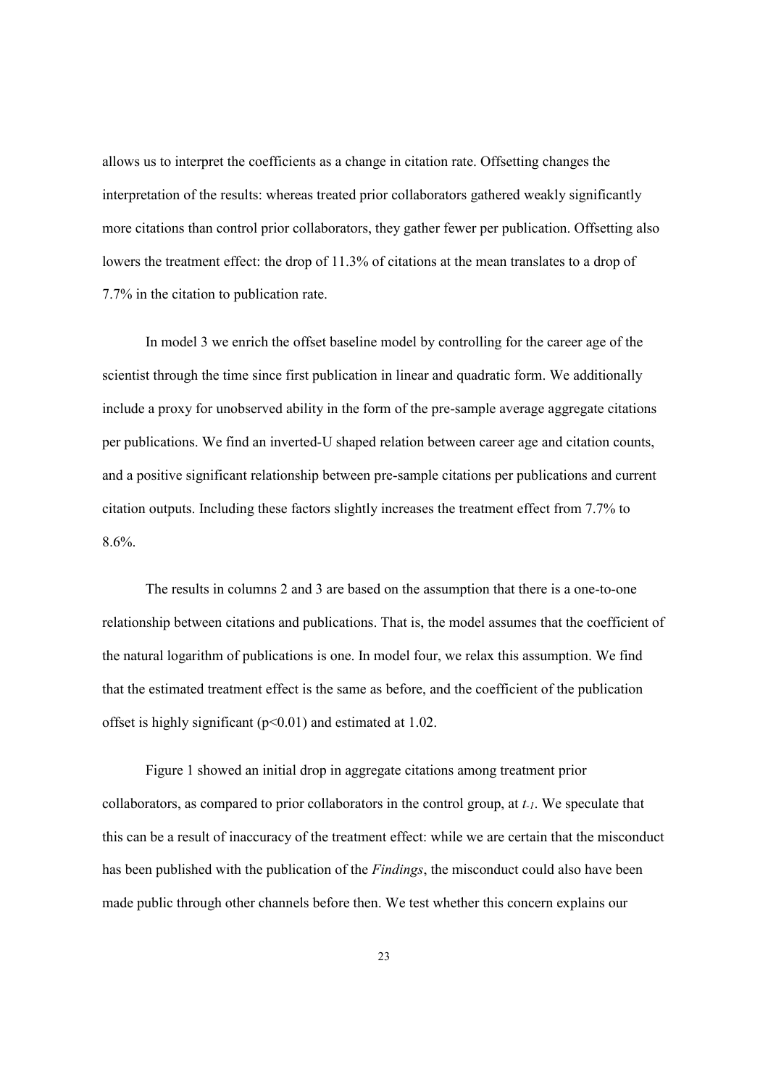allows us to interpret the coefficients as a change in citation rate. Offsetting changes the interpretation of the results: whereas treated prior collaborators gathered weakly significantly more citations than control prior collaborators, they gather fewer per publication. Offsetting also lowers the treatment effect: the drop of 11.3% of citations at the mean translates to a drop of 7.7% in the citation to publication rate.

In model 3 we enrich the offset baseline model by controlling for the career age of the scientist through the time since first publication in linear and quadratic form. We additionally include a proxy for unobserved ability in the form of the pre-sample average aggregate citations per publications. We find an inverted-U shaped relation between career age and citation counts, and a positive significant relationship between pre-sample citations per publications and current citation outputs. Including these factors slightly increases the treatment effect from 7.7% to 8.6%.

The results in columns 2 and 3 are based on the assumption that there is a one-to-one relationship between citations and publications. That is, the model assumes that the coefficient of the natural logarithm of publications is one. In model four, we relax this assumption. We find that the estimated treatment effect is the same as before, and the coefficient of the publication offset is highly significant  $(p<0.01)$  and estimated at 1.02.

Figure 1 showed an initial drop in aggregate citations among treatment prior collaborators, as compared to prior collaborators in the control group, at *t-1*. We speculate that this can be a result of inaccuracy of the treatment effect: while we are certain that the misconduct has been published with the publication of the *Findings*, the misconduct could also have been made public through other channels before then. We test whether this concern explains our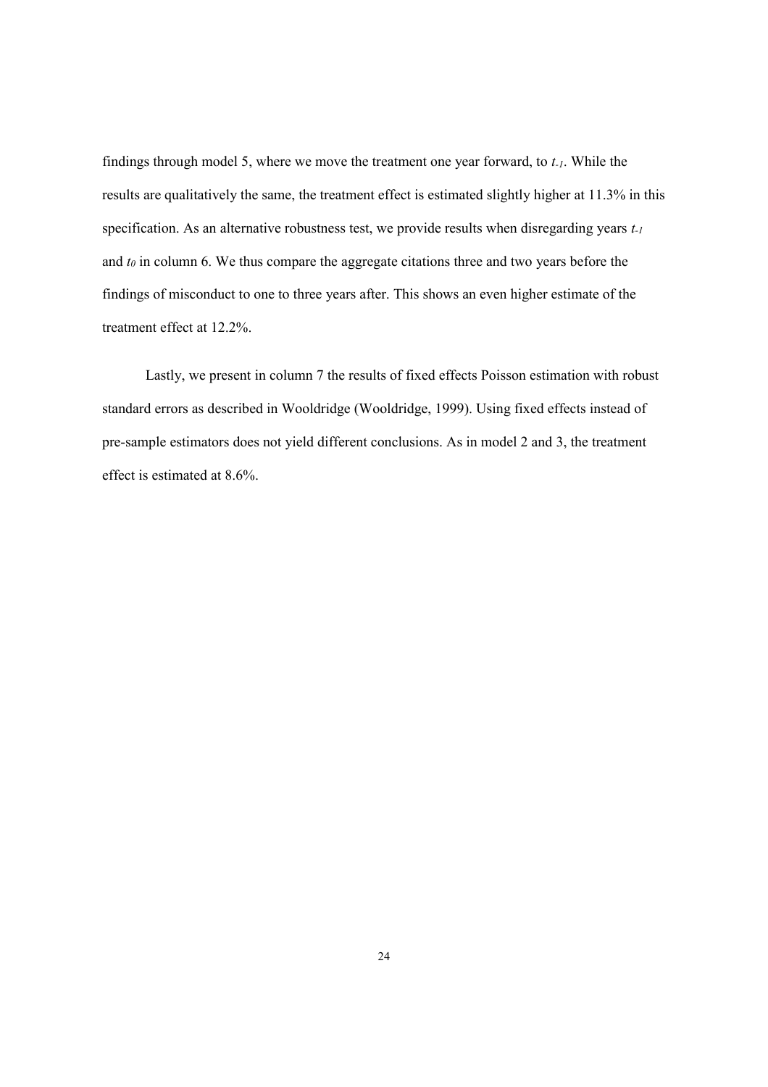findings through model 5, where we move the treatment one year forward, to *t-1*. While the results are qualitatively the same, the treatment effect is estimated slightly higher at 11.3% in this specification. As an alternative robustness test, we provide results when disregarding years *t-1* and *t0* in column 6. We thus compare the aggregate citations three and two years before the findings of misconduct to one to three years after. This shows an even higher estimate of the treatment effect at 12.2%.

Lastly, we present in column 7 the results of fixed effects Poisson estimation with robust standard errors as described in Wooldridge (Wooldridge, 1999). Using fixed effects instead of pre-sample estimators does not yield different conclusions. As in model 2 and 3, the treatment effect is estimated at 8.6%.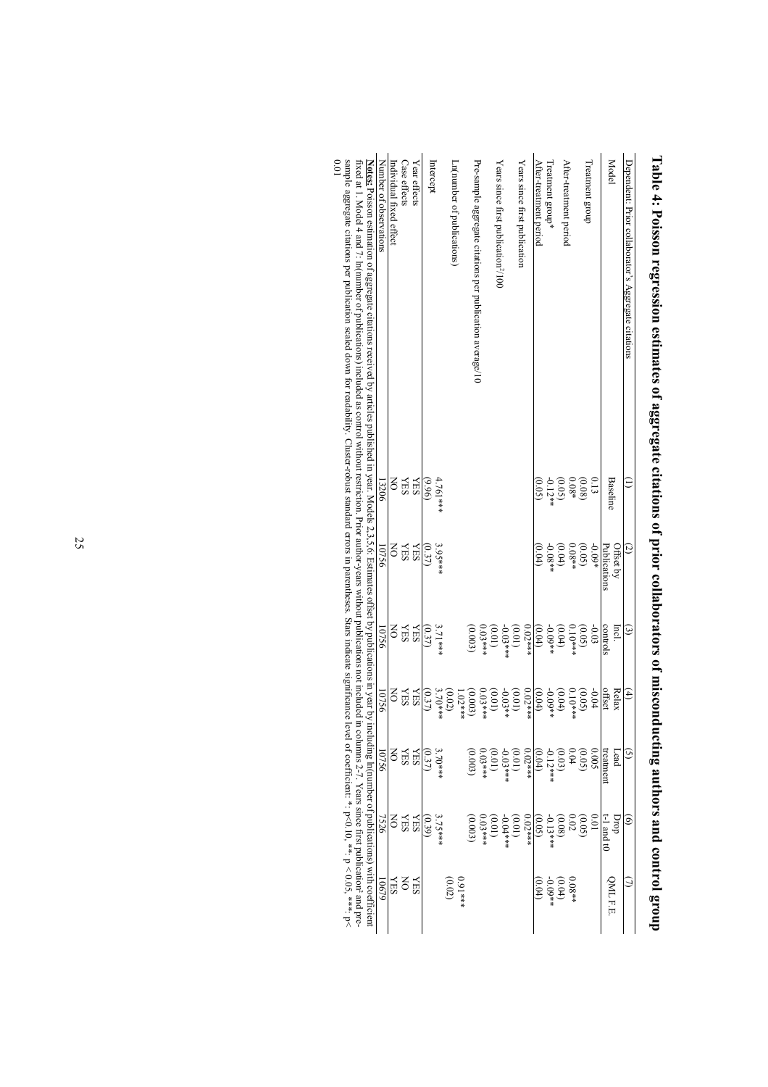| sample aggregate citations per publication scaled down for readability. Cluster-robust standard errors in parentheses. Stars indicate significance level of coefficient: *: p<0.10, **: p<0.05, ***; p<<br>10.0<br>fixed at 1. Model 4 and 7. In(munber of publications) included as control without restriction. Prior author years without publications not mubications not muded in columns 2-7. Years since first publications and pre-<br><b>Notes:</b> Poisson estimation of aggregate citations received by articles published in year. Models 2,3,5,6: Estimates offset by publications in year by including In(number of publications) with coefficient | Number of observations | Individual fixed effect   | Case effects | Year effects | Intercept |           | Ln(number of publications) |           | Pre-sample aggregate citations per publication average/10 |           | Years since first publication <sup>2</sup> /100 |                      | Years since first publication |           | After-treatment period | Treatment group* | After-treatment period |                     | Treatment group |                  |              | Model     | Dependent: Prior collaborator's Aggregate citations |  |
|------------------------------------------------------------------------------------------------------------------------------------------------------------------------------------------------------------------------------------------------------------------------------------------------------------------------------------------------------------------------------------------------------------------------------------------------------------------------------------------------------------------------------------------------------------------------------------------------------------------------------------------------------------------|------------------------|---------------------------|--------------|--------------|-----------|-----------|----------------------------|-----------|-----------------------------------------------------------|-----------|-------------------------------------------------|----------------------|-------------------------------|-----------|------------------------|------------------|------------------------|---------------------|-----------------|------------------|--------------|-----------|-----------------------------------------------------|--|
|                                                                                                                                                                                                                                                                                                                                                                                                                                                                                                                                                                                                                                                                  | 13206                  | g                         | <b>NES</b>   | <b>XES</b>   | (96.9)    | 4.761***  |                            |           |                                                           |           |                                                 |                      |                               |           | (0.05)                 | $-0.12**$        | (0.05)                 | $0.08*$             |                 | 0.13             | Baseline     |           | Ξ                                                   |  |
|                                                                                                                                                                                                                                                                                                                                                                                                                                                                                                                                                                                                                                                                  | 10756                  | $\mathsf{S}$              | <b>NES</b>   | <b>YES</b>   | (0.37)    | $3.95***$ |                            |           |                                                           |           |                                                 |                      |                               |           | $^{(0.04)}$            |                  | $(0.04)$<br>-0.08**    | (0.05)              |                 | $-0.09*$         | Publications | Offset by | $\tilde{c}$                                         |  |
|                                                                                                                                                                                                                                                                                                                                                                                                                                                                                                                                                                                                                                                                  | 10756                  | $\mathsf{S}$              | <b>SHA</b>   | <b>YES</b>   | (0.37)    | $3.71***$ |                            |           | (0.003)                                                   | $0.03***$ | (10.01)                                         | $(0.01)$<br>-0.03*** |                               | $0.02***$ | (0.04)                 | $-0.09**$        | (0.04)                 | $(0.05)$<br>0.10*** |                 | $-0.03$          | controls     | Incl.     | $\widehat{\epsilon}$                                |  |
|                                                                                                                                                                                                                                                                                                                                                                                                                                                                                                                                                                                                                                                                  | 10756                  | $\mathsf{K}^{\mathsf{C}}$ | <b>YES</b>   | <b>YES</b>   | (0.37)    | $3.70***$ | (0.02)                     | $1.02***$ | (0.003)                                                   |           | $(0.01)$<br>$0.03***$                           | $(0.01)$<br>-0.03**  |                               | $0.02***$ | (0.04)                 | $-0.09**$        | (0.04)                 | $0.10***$           | (0.05)          | $-0.04$          | offset       | Relax     | $\hat{4}$                                           |  |
|                                                                                                                                                                                                                                                                                                                                                                                                                                                                                                                                                                                                                                                                  | 10756                  | $\mathsf{S}$              | <b>SHA</b>   | <b>YES</b>   | (0.37)    | $3.70***$ |                            |           | (0.003)                                                   |           | $(0.01)$<br>0.03 ***                            | $0.03***$            | (10.01)                       | $0.02***$ | (0.04)                 | $-0.12***$       | (0.03)                 | $-0.04$             | (0.05)          | <b>SOO.0</b>     | treatment    | Lead      | ତ୍ର                                                 |  |
|                                                                                                                                                                                                                                                                                                                                                                                                                                                                                                                                                                                                                                                                  | 7526                   | š                         | <b>NES</b>   | <b>KES</b>   | (0.39)    | 3.75***   |                            |           | (0.003)                                                   | $0.03***$ | (10.01)                                         | $0.04***$            | (10.0)                        | $0.02***$ | (0.05)                 | $-0.13***$       | (0.08)                 | $\overline{02}$     | (0.05)          | $\overline{0.0}$ | $-1$ and t0  | prop      | $\widehat{e}$                                       |  |
|                                                                                                                                                                                                                                                                                                                                                                                                                                                                                                                                                                                                                                                                  | 10679                  | <b>XES</b>                | š            | <b>NES</b>   |           |           | (0.02)                     | $0.91***$ |                                                           |           |                                                 |                      |                               |           | (0.04)                 | $-0.09**$        | (0.04)                 | $0.08**$            |                 |                  | QML F.E.     |           | Э                                                   |  |

Table 4: Poisson regression estimates of aggregate citations of prior collaborators of misconducting authors and control group **Table 4: Poisson regression estimates of aggregate citations of prior collaborators of misconducting authors and control group**

ud ryd su улиу.<br>К  $\frac{1}{2}$  $\frac{q}{q}$  $\frac{1}{2}$  $-9 - 9.0$  $\frac{1}{\tau}$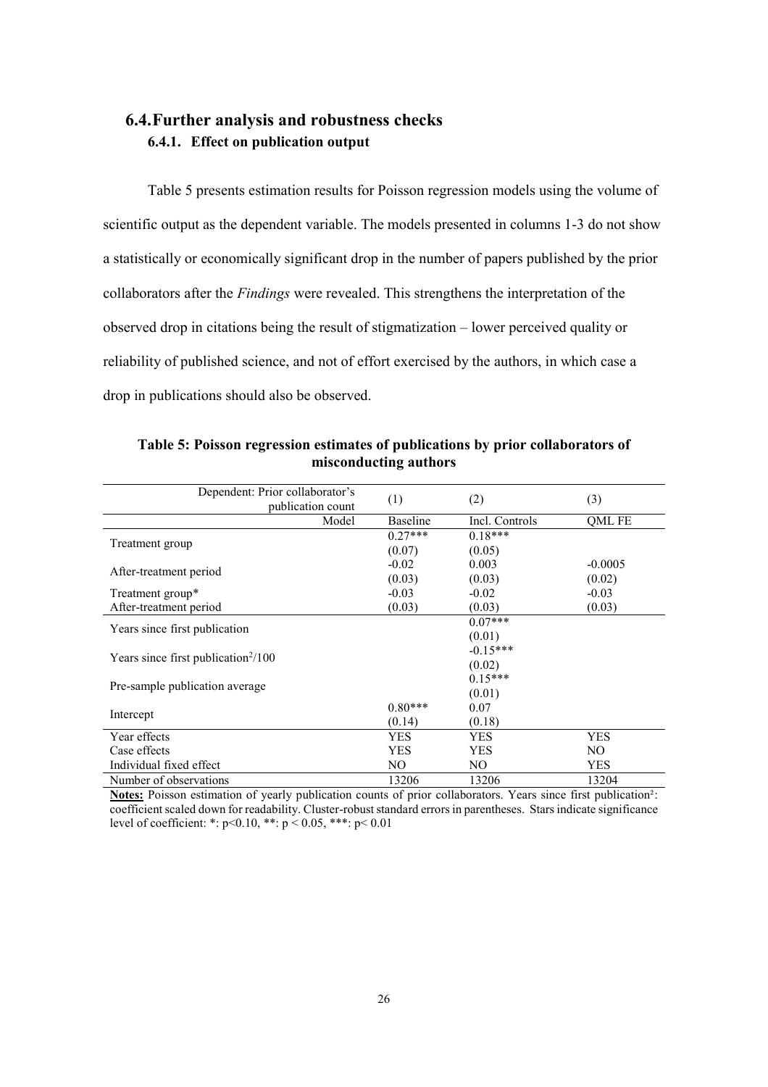## **6.4.Further analysis and robustness checks 6.4.1. Effect on publication output**

Table 5 presents estimation results for Poisson regression models using the volume of scientific output as the dependent variable. The models presented in columns 1-3 do not show a statistically or economically significant drop in the number of papers published by the prior collaborators after the *Findings* were revealed. This strengthens the interpretation of the observed drop in citations being the result of stigmatization – lower perceived quality or reliability of published science, and not of effort exercised by the authors, in which case a drop in publications should also be observed.

| Dependent: Prior collaborator's<br>publication count | (1)             | (2)            | (3)        |
|------------------------------------------------------|-----------------|----------------|------------|
| Model                                                | <b>Baseline</b> | Incl. Controls | OML FE     |
|                                                      | $0.27***$       | $0.18***$      |            |
| Treatment group                                      | (0.07)          | (0.05)         |            |
|                                                      | $-0.02$         | 0.003          | $-0.0005$  |
| After-treatment period                               | (0.03)          | (0.03)         | (0.02)     |
| Treatment group*                                     | $-0.03$         | $-0.02$        | $-0.03$    |
| After-treatment period                               | (0.03)          | (0.03)         | (0.03)     |
|                                                      |                 | $0.07***$      |            |
| Years since first publication                        |                 | (0.01)         |            |
|                                                      |                 | $-0.15***$     |            |
| Years since first publication $\frac{2}{100}$        |                 | (0.02)         |            |
|                                                      |                 | $0.15***$      |            |
| Pre-sample publication average                       |                 | (0.01)         |            |
|                                                      | $0.80***$       | 0.07           |            |
| Intercept                                            | (0.14)          | (0.18)         |            |
| Year effects                                         | <b>YES</b>      | YES            | <b>YES</b> |
| Case effects                                         | <b>YES</b>      | <b>YES</b>     | NO.        |
| Individual fixed effect                              | NO.             | NO.            | <b>YES</b> |
| Number of observations                               | 13206           | 13206          | 13204      |

**Table 5: Poisson regression estimates of publications by prior collaborators of misconducting authors** 

**Notes:** Poisson estimation of yearly publication counts of prior collaborators. Years since first publication²: coefficient scaled down for readability. Cluster-robust standard errors in parentheses. Stars indicate significance level of coefficient: \*:  $p < 0.10$ , \*\*:  $p < 0.05$ , \*\*\*:  $p < 0.01$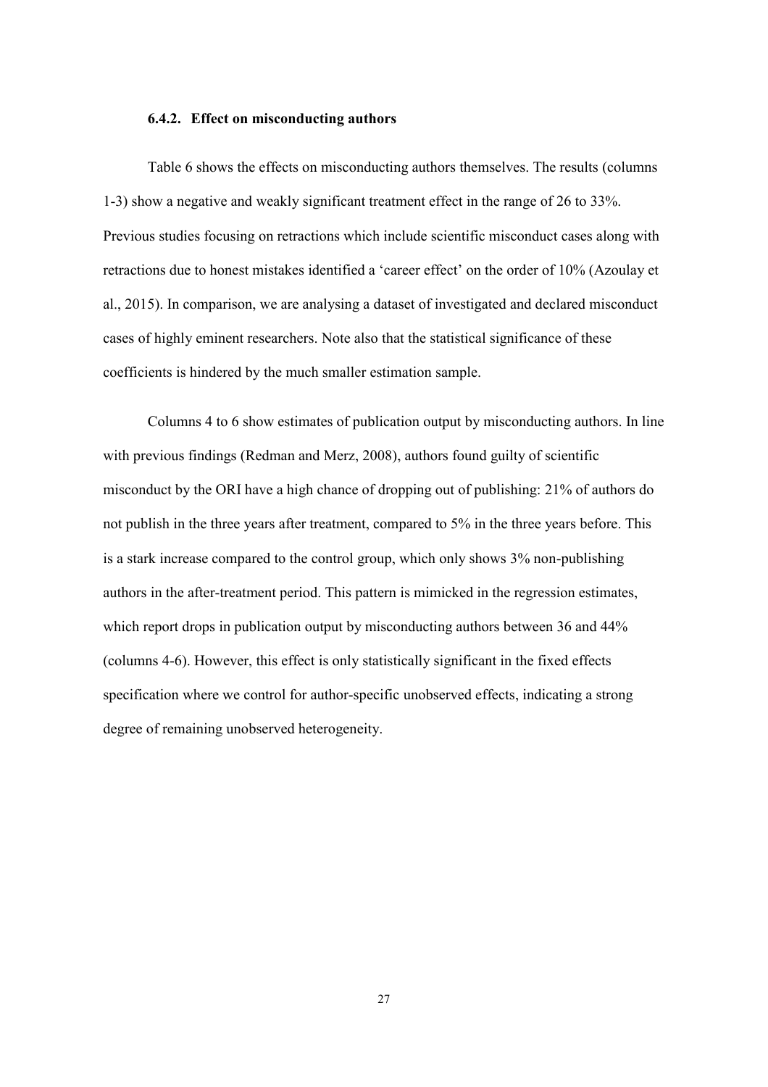#### **6.4.2. Effect on misconducting authors**

Table 6 shows the effects on misconducting authors themselves. The results (columns 1-3) show a negative and weakly significant treatment effect in the range of 26 to 33%. Previous studies focusing on retractions which include scientific misconduct cases along with retractions due to honest mistakes identified a 'career effect' on the order of 10% (Azoulay et al., 2015). In comparison, we are analysing a dataset of investigated and declared misconduct cases of highly eminent researchers. Note also that the statistical significance of these coefficients is hindered by the much smaller estimation sample.

Columns 4 to 6 show estimates of publication output by misconducting authors. In line with previous findings (Redman and Merz, 2008), authors found guilty of scientific misconduct by the ORI have a high chance of dropping out of publishing: 21% of authors do not publish in the three years after treatment, compared to 5% in the three years before. This is a stark increase compared to the control group, which only shows 3% non-publishing authors in the after-treatment period. This pattern is mimicked in the regression estimates, which report drops in publication output by misconducting authors between 36 and 44% (columns 4-6). However, this effect is only statistically significant in the fixed effects specification where we control for author-specific unobserved effects, indicating a strong degree of remaining unobserved heterogeneity.

27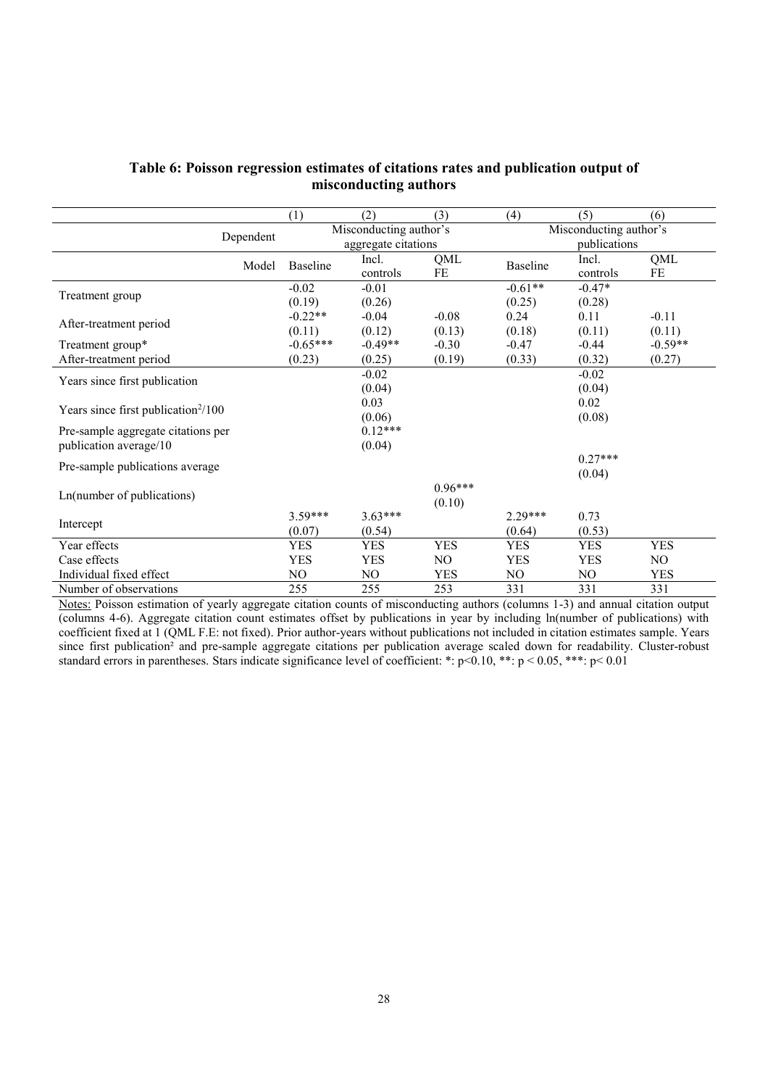|                                                 | (1)             | (2)                    | (3)        | (4)        | (5)                    | (6)        |  |  |  |
|-------------------------------------------------|-----------------|------------------------|------------|------------|------------------------|------------|--|--|--|
| Dependent                                       |                 | Misconducting author's |            |            | Misconducting author's |            |  |  |  |
|                                                 |                 | aggregate citations    |            |            | publications           |            |  |  |  |
| Model                                           | <b>Baseline</b> | Incl.                  | QML        | Baseline   | Incl.                  | QML        |  |  |  |
|                                                 |                 | controls               | FE         |            | controls               | FE         |  |  |  |
|                                                 | $-0.02$         | $-0.01$                |            | $-0.61**$  | $-0.47*$               |            |  |  |  |
| Treatment group                                 | (0.19)          | (0.26)                 |            | (0.25)     | (0.28)                 |            |  |  |  |
|                                                 | $-0.22**$       | $-0.04$                | $-0.08$    | 0.24       | 0.11                   | $-0.11$    |  |  |  |
| After-treatment period                          | (0.11)          | (0.12)                 | (0.13)     | (0.18)     | (0.11)                 | (0.11)     |  |  |  |
| Treatment group*                                | $-0.65***$      | $-0.49**$              | $-0.30$    | $-0.47$    | $-0.44$                | $-0.59**$  |  |  |  |
| After-treatment period                          | (0.23)          | (0.25)                 | (0.19)     | (0.33)     | (0.32)                 | (0.27)     |  |  |  |
|                                                 |                 | $-0.02$                |            |            | $-0.02$                |            |  |  |  |
| Years since first publication                   |                 | (0.04)                 |            |            | (0.04)                 |            |  |  |  |
|                                                 |                 | 0.03                   |            |            | 0.02                   |            |  |  |  |
| Years since first publication <sup>2</sup> /100 |                 | (0.06)                 |            |            | (0.08)                 |            |  |  |  |
| Pre-sample aggregate citations per              |                 | $0.12***$              |            |            |                        |            |  |  |  |
| publication average/10                          |                 | (0.04)                 |            |            |                        |            |  |  |  |
|                                                 |                 |                        |            |            | $0.27***$              |            |  |  |  |
| Pre-sample publications average                 |                 |                        |            |            | (0.04)                 |            |  |  |  |
|                                                 |                 |                        | $0.96***$  |            |                        |            |  |  |  |
| Ln(number of publications)                      |                 |                        | (0.10)     |            |                        |            |  |  |  |
|                                                 | $3.59***$       | $3.63***$              |            | $2.29***$  | 0.73                   |            |  |  |  |
| Intercept                                       | (0.07)          | (0.54)                 |            | (0.64)     | (0.53)                 |            |  |  |  |
| Year effects                                    | <b>YES</b>      | <b>YES</b>             | <b>YES</b> | <b>YES</b> | <b>YES</b>             | <b>YES</b> |  |  |  |
| Case effects                                    | <b>YES</b>      | <b>YES</b>             | NO.        | <b>YES</b> | <b>YES</b>             | NO.        |  |  |  |
| Individual fixed effect                         | NO              | NO                     | <b>YES</b> | NO         | NO                     | <b>YES</b> |  |  |  |
| Number of observations                          | 255             | 255                    | 253        | 331        | 331                    | 331        |  |  |  |

### **Table 6: Poisson regression estimates of citations rates and publication output of misconducting authors**

Notes: Poisson estimation of yearly aggregate citation counts of misconducting authors (columns 1-3) and annual citation output (columns 4-6). Aggregate citation count estimates offset by publications in year by including ln(number of publications) with coefficient fixed at 1 (QML F.E: not fixed). Prior author-years without publications not included in citation estimates sample. Years since first publication<sup>2</sup> and pre-sample aggregate citations per publication average scaled down for readability. Cluster-robust standard errors in parentheses. Stars indicate significance level of coefficient: \*: p<0.10, \*\*: p < 0.05, \*\*\*: p < 0.01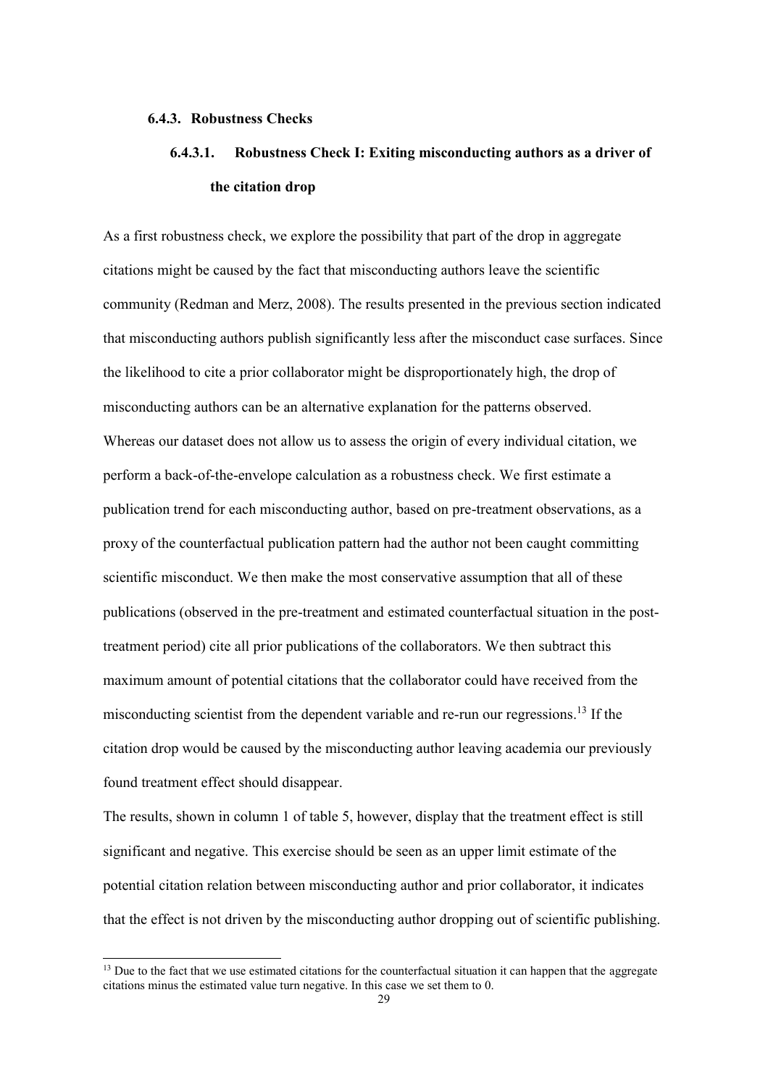#### **6.4.3. Robustness Checks**

## **6.4.3.1. Robustness Check I: Exiting misconducting authors as a driver of the citation drop**

As a first robustness check, we explore the possibility that part of the drop in aggregate citations might be caused by the fact that misconducting authors leave the scientific community (Redman and Merz, 2008). The results presented in the previous section indicated that misconducting authors publish significantly less after the misconduct case surfaces. Since the likelihood to cite a prior collaborator might be disproportionately high, the drop of misconducting authors can be an alternative explanation for the patterns observed. Whereas our dataset does not allow us to assess the origin of every individual citation, we perform a back-of-the-envelope calculation as a robustness check. We first estimate a publication trend for each misconducting author, based on pre-treatment observations, as a proxy of the counterfactual publication pattern had the author not been caught committing scientific misconduct. We then make the most conservative assumption that all of these publications (observed in the pre-treatment and estimated counterfactual situation in the posttreatment period) cite all prior publications of the collaborators. We then subtract this maximum amount of potential citations that the collaborator could have received from the misconducting scientist from the dependent variable and re-run our regressions. <sup>13</sup> If the citation drop would be caused by the misconducting author leaving academia our previously found treatment effect should disappear.

The results, shown in column 1 of table 5, however, display that the treatment effect is still significant and negative. This exercise should be seen as an upper limit estimate of the potential citation relation between misconducting author and prior collaborator, it indicates that the effect is not driven by the misconducting author dropping out of scientific publishing.

<sup>&</sup>lt;sup>13</sup> Due to the fact that we use estimated citations for the counterfactual situation it can happen that the aggregate citations minus the estimated value turn negative. In this case we set them to 0.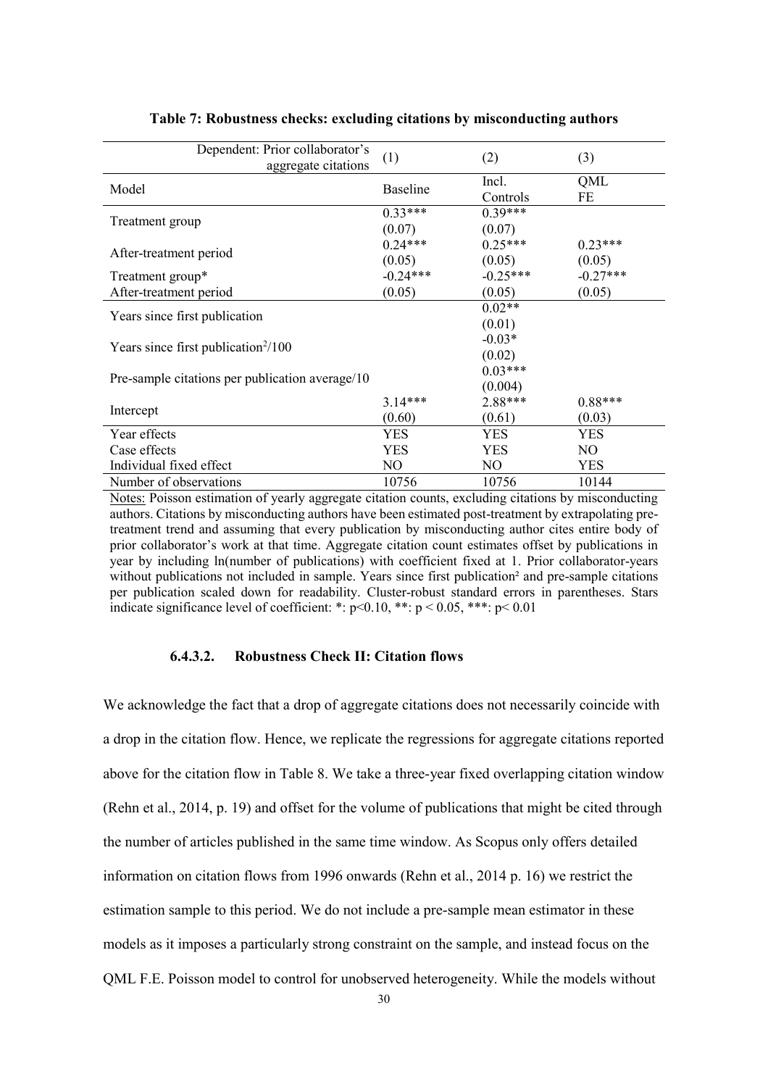| Dependent: Prior collaborator's                 | (1)             | (2)        | (3)        |
|-------------------------------------------------|-----------------|------------|------------|
| aggregate citations                             |                 |            |            |
| Model                                           | <b>Baseline</b> | Incl.      | QML        |
|                                                 |                 | Controls   | FE         |
|                                                 | $0.33***$       | $0.39***$  |            |
| Treatment group                                 | (0.07)          | (0.07)     |            |
|                                                 | $0.24***$       | $0.25***$  | $0.23***$  |
| After-treatment period                          | (0.05)          | (0.05)     | (0.05)     |
| Treatment group*                                | $-0.24***$      | $-0.25***$ | $-0.27***$ |
| After-treatment period                          | (0.05)          | (0.05)     | (0.05)     |
|                                                 |                 | $0.02**$   |            |
| Years since first publication                   |                 | (0.01)     |            |
|                                                 |                 | $-0.03*$   |            |
| Years since first publication $\frac{2}{100}$   |                 | (0.02)     |            |
|                                                 |                 | $0.03***$  |            |
| Pre-sample citations per publication average/10 |                 | (0.004)    |            |
|                                                 | $3.14***$       | 2.88***    | $0.88***$  |
| Intercept                                       | (0.60)          | (0.61)     | (0.03)     |
| Year effects                                    | YES             | <b>YES</b> | <b>YES</b> |
| Case effects                                    | YES             | YES        | NO.        |
| Individual fixed effect                         | NO              | NO.        | <b>YES</b> |
| Number of observations                          | 10756           | 10756      | 10144      |

#### **Table 7: Robustness checks: excluding citations by misconducting authors**

Notes: Poisson estimation of yearly aggregate citation counts, excluding citations by misconducting authors. Citations by misconducting authors have been estimated post-treatment by extrapolating pretreatment trend and assuming that every publication by misconducting author cites entire body of prior collaborator's work at that time. Aggregate citation count estimates offset by publications in year by including ln(number of publications) with coefficient fixed at 1. Prior collaborator-years without publications not included in sample. Years since first publication<sup>2</sup> and pre-sample citations per publication scaled down for readability. Cluster-robust standard errors in parentheses. Stars indicate significance level of coefficient: \*:  $p < 0.10$ , \*\*:  $p < 0.05$ , \*\*\*:  $p < 0.01$ 

#### **6.4.3.2. Robustness Check II: Citation flows**

We acknowledge the fact that a drop of aggregate citations does not necessarily coincide with a drop in the citation flow. Hence, we replicate the regressions for aggregate citations reported above for the citation flow in Table 8. We take a three-year fixed overlapping citation window (Rehn et al., 2014, p. 19) and offset for the volume of publications that might be cited through the number of articles published in the same time window. As Scopus only offers detailed information on citation flows from 1996 onwards (Rehn et al., 2014 p. 16) we restrict the estimation sample to this period. We do not include a pre-sample mean estimator in these models as it imposes a particularly strong constraint on the sample, and instead focus on the QML F.E. Poisson model to control for unobserved heterogeneity. While the models without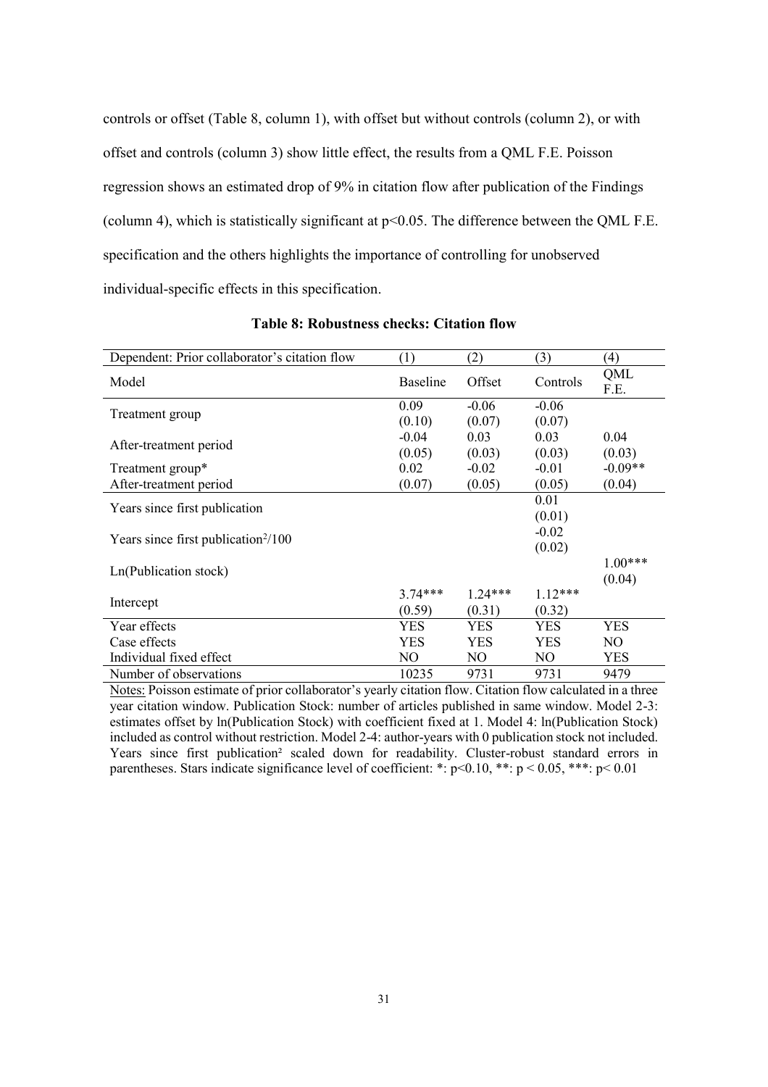controls or offset (Table 8, column 1), with offset but without controls (column 2), or with offset and controls (column 3) show little effect, the results from a QML F.E. Poisson regression shows an estimated drop of 9% in citation flow after publication of the Findings (column 4), which is statistically significant at p<0.05. The difference between the QML F.E. specification and the others highlights the importance of controlling for unobserved individual-specific effects in this specification.

| Dependent: Prior collaborator's citation flow   | (1)             | (2)       | (3)            | (4)         |
|-------------------------------------------------|-----------------|-----------|----------------|-------------|
| Model                                           | <b>Baseline</b> | Offset    | Controls       | QML<br>F.E. |
|                                                 | 0.09            | $-0.06$   | $-0.06$        |             |
| Treatment group                                 | (0.10)          | (0.07)    | (0.07)         |             |
| After-treatment period                          | $-0.04$         | 0.03      | 0.03           | 0.04        |
|                                                 | (0.05)          | (0.03)    | (0.03)         | (0.03)      |
| Treatment group*                                | 0.02            | $-0.02$   | $-0.01$        | $-0.09**$   |
| After-treatment period                          | (0.07)          | (0.05)    | (0.05)         | (0.04)      |
| Years since first publication                   |                 |           | 0.01           |             |
|                                                 |                 |           | (0.01)         |             |
| Years since first publication <sup>2</sup> /100 |                 |           | $-0.02$        |             |
|                                                 |                 |           | (0.02)         |             |
| Ln(Publication stock)                           |                 |           |                | $1.00***$   |
|                                                 |                 |           |                | (0.04)      |
| Intercept                                       | $3.74***$       | $1.24***$ | $1.12***$      |             |
|                                                 | (0.59)          | (0.31)    | (0.32)         |             |
| Year effects                                    | <b>YES</b>      | YES       | YES            | YES         |
| Case effects                                    | YES             | YES       | <b>YES</b>     | NO          |
| Individual fixed effect                         | NO.             | NO.       | N <sub>O</sub> | <b>YES</b>  |
| Number of observations                          | 10235           | 9731      | 9731           | 9479        |

**Table 8: Robustness checks: Citation flow**

Notes: Poisson estimate of prior collaborator's yearly citation flow. Citation flow calculated in a three year citation window. Publication Stock: number of articles published in same window. Model 2-3: estimates offset by ln(Publication Stock) with coefficient fixed at 1. Model 4: ln(Publication Stock) included as control without restriction. Model 2-4: author-years with 0 publication stock not included. Years since first publication<sup>2</sup> scaled down for readability. Cluster-robust standard errors in parentheses. Stars indicate significance level of coefficient: \*:  $p$  < 0.10, \*\*:  $p$  < 0.05, \*\*\*:  $p$  < 0.01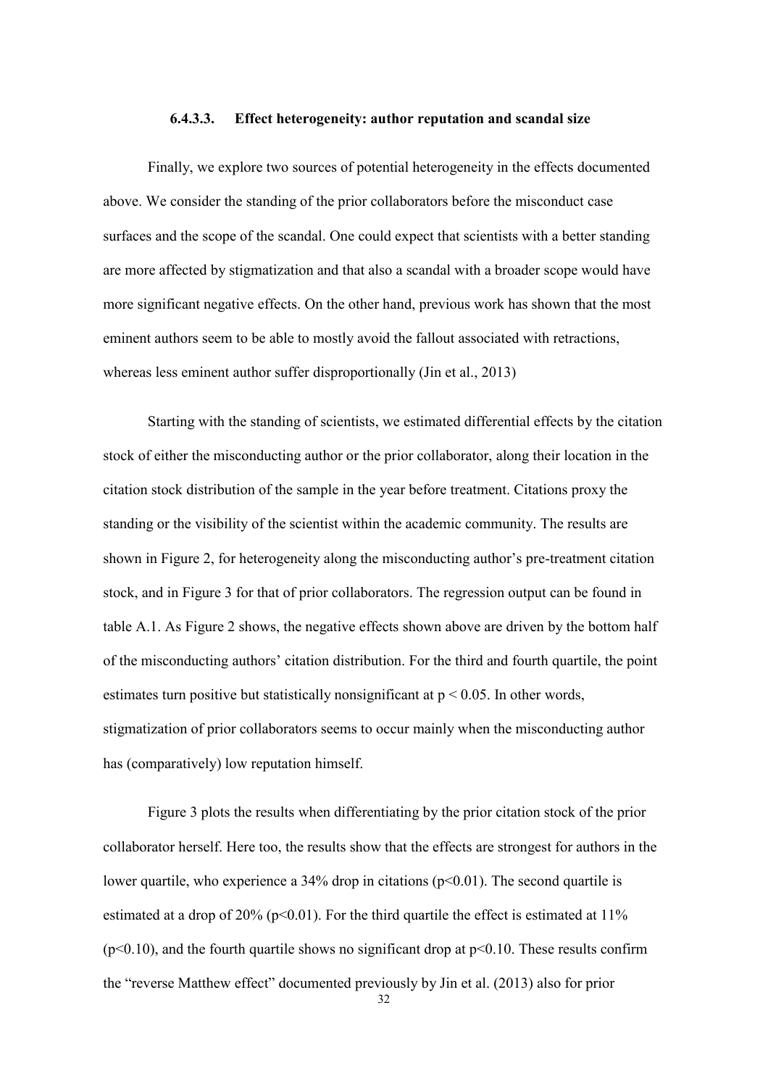#### **6.4.3.3. Effect heterogeneity: author reputation and scandal size**

Finally, we explore two sources of potential heterogeneity in the effects documented above. We consider the standing of the prior collaborators before the misconduct case surfaces and the scope of the scandal. One could expect that scientists with a better standing are more affected by stigmatization and that also a scandal with a broader scope would have more significant negative effects. On the other hand, previous work has shown that the most eminent authors seem to be able to mostly avoid the fallout associated with retractions, whereas less eminent author suffer disproportionally (Jin et al., 2013)

Starting with the standing of scientists, we estimated differential effects by the citation stock of either the misconducting author or the prior collaborator, along their location in the citation stock distribution of the sample in the year before treatment. Citations proxy the standing or the visibility of the scientist within the academic community. The results are shown in Figure 2, for heterogeneity along the misconducting author's pre-treatment citation stock, and in Figure 3 for that of prior collaborators. The regression output can be found in table A.1. As Figure 2 shows, the negative effects shown above are driven by the bottom half of the misconducting authors' citation distribution. For the third and fourth quartile, the point estimates turn positive but statistically nonsignificant at  $p < 0.05$ . In other words, stigmatization of prior collaborators seems to occur mainly when the misconducting author has (comparatively) low reputation himself.

Figure 3 plots the results when differentiating by the prior citation stock of the prior collaborator herself. Here too, the results show that the effects are strongest for authors in the lower quartile, who experience a  $34\%$  drop in citations ( $p<0.01$ ). The second quartile is estimated at a drop of  $20\%$  (p<0.01). For the third quartile the effect is estimated at 11%  $(p<0.10)$ , and the fourth quartile shows no significant drop at  $p<0.10$ . These results confirm the "reverse Matthew effect" documented previously by Jin et al. (2013) also for prior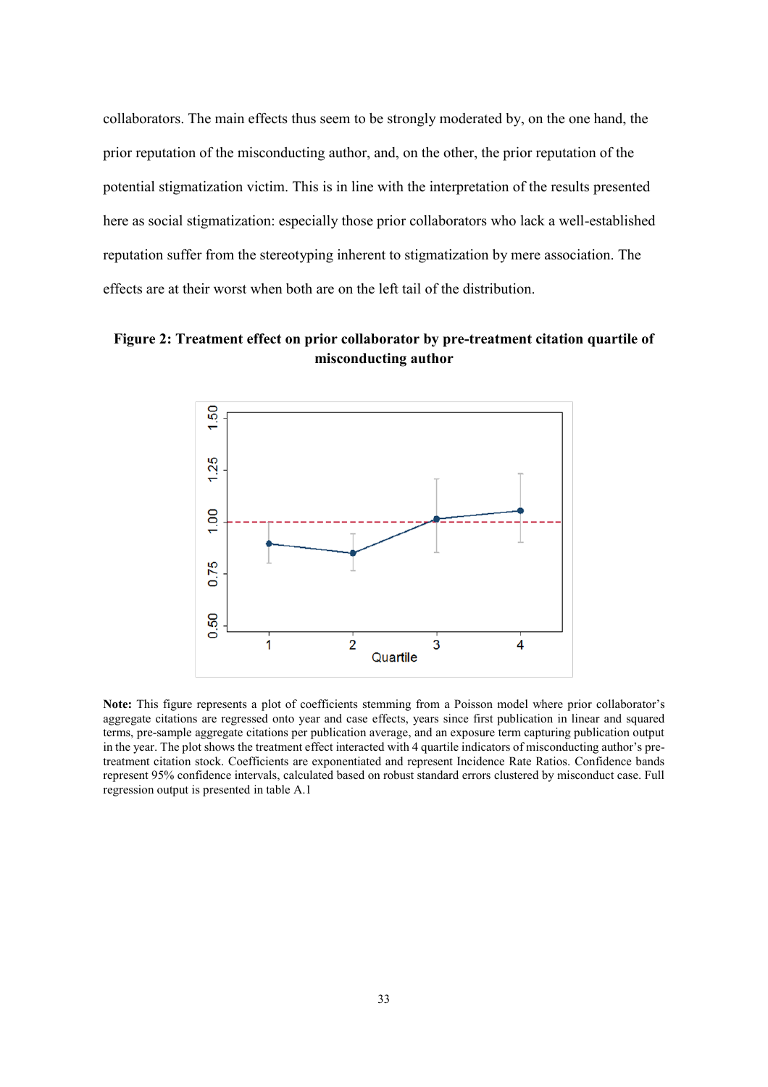collaborators. The main effects thus seem to be strongly moderated by, on the one hand, the prior reputation of the misconducting author, and, on the other, the prior reputation of the potential stigmatization victim. This is in line with the interpretation of the results presented here as social stigmatization: especially those prior collaborators who lack a well-established reputation suffer from the stereotyping inherent to stigmatization by mere association. The effects are at their worst when both are on the left tail of the distribution.

**Figure 2: Treatment effect on prior collaborator by pre-treatment citation quartile of misconducting author**



**Note:** This figure represents a plot of coefficients stemming from a Poisson model where prior collaborator's aggregate citations are regressed onto year and case effects, years since first publication in linear and squared terms, pre-sample aggregate citations per publication average, and an exposure term capturing publication output in the year. The plot shows the treatment effect interacted with 4 quartile indicators of misconducting author's pretreatment citation stock. Coefficients are exponentiated and represent Incidence Rate Ratios. Confidence bands represent 95% confidence intervals, calculated based on robust standard errors clustered by misconduct case. Full regression output is presented in table A.1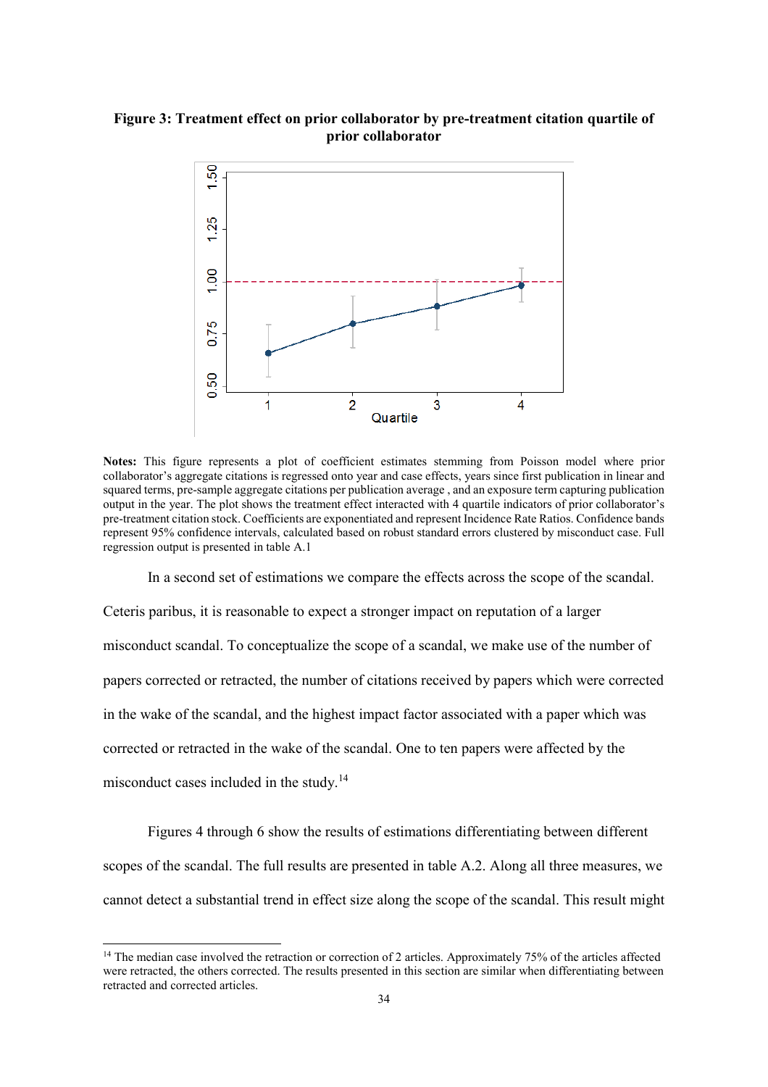#### **Figure 3: Treatment effect on prior collaborator by pre-treatment citation quartile of prior collaborator**



**Notes:** This figure represents a plot of coefficient estimates stemming from Poisson model where prior collaborator's aggregate citations is regressed onto year and case effects, years since first publication in linear and squared terms, pre-sample aggregate citations per publication average , and an exposure term capturing publication output in the year. The plot shows the treatment effect interacted with 4 quartile indicators of prior collaborator's pre-treatment citation stock. Coefficients are exponentiated and represent Incidence Rate Ratios. Confidence bands represent 95% confidence intervals, calculated based on robust standard errors clustered by misconduct case. Full regression output is presented in table A.1

In a second set of estimations we compare the effects across the scope of the scandal.

Ceteris paribus, it is reasonable to expect a stronger impact on reputation of a larger misconduct scandal. To conceptualize the scope of a scandal, we make use of the number of papers corrected or retracted, the number of citations received by papers which were corrected in the wake of the scandal, and the highest impact factor associated with a paper which was corrected or retracted in the wake of the scandal. One to ten papers were affected by the misconduct cases included in the study.<sup>14</sup>

Figures 4 through 6 show the results of estimations differentiating between different scopes of the scandal. The full results are presented in table A.2. Along all three measures, we cannot detect a substantial trend in effect size along the scope of the scandal. This result might

<sup>&</sup>lt;sup>14</sup> The median case involved the retraction or correction of 2 articles. Approximately 75% of the articles affected were retracted, the others corrected. The results presented in this section are similar when differentiating between retracted and corrected articles.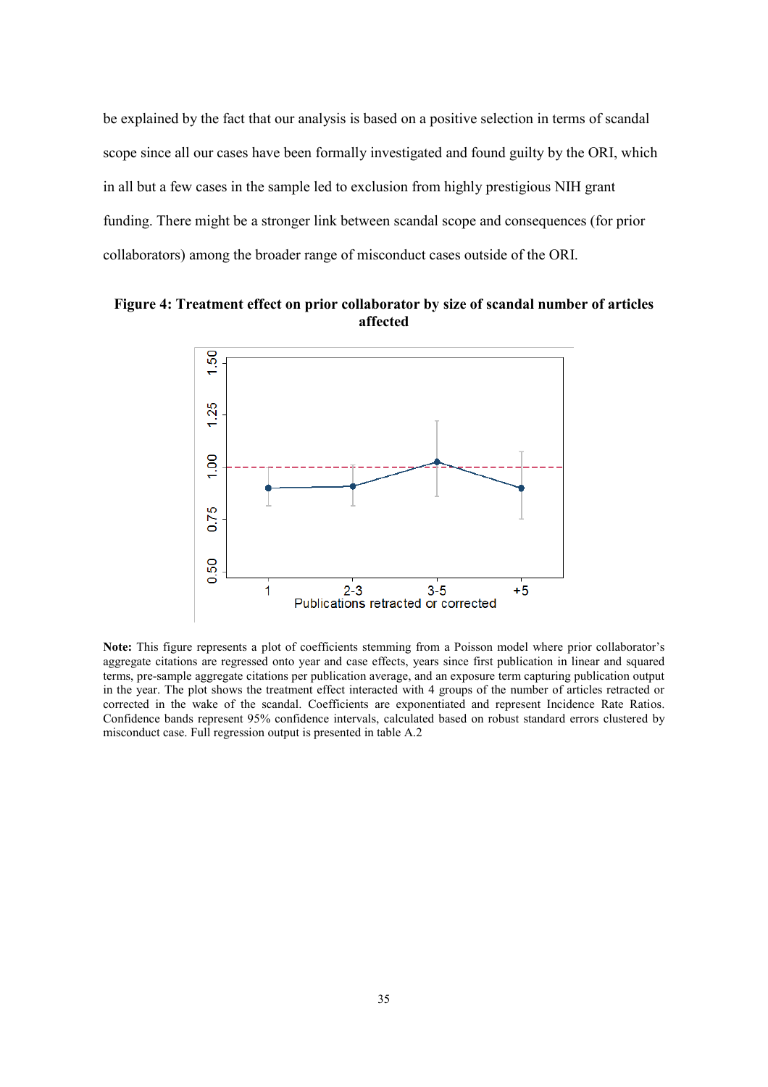be explained by the fact that our analysis is based on a positive selection in terms of scandal scope since all our cases have been formally investigated and found guilty by the ORI, which in all but a few cases in the sample led to exclusion from highly prestigious NIH grant funding. There might be a stronger link between scandal scope and consequences (for prior collaborators) among the broader range of misconduct cases outside of the ORI.

**Figure 4: Treatment effect on prior collaborator by size of scandal number of articles affected**



**Note:** This figure represents a plot of coefficients stemming from a Poisson model where prior collaborator's aggregate citations are regressed onto year and case effects, years since first publication in linear and squared terms, pre-sample aggregate citations per publication average, and an exposure term capturing publication output in the year. The plot shows the treatment effect interacted with 4 groups of the number of articles retracted or corrected in the wake of the scandal. Coefficients are exponentiated and represent Incidence Rate Ratios. Confidence bands represent 95% confidence intervals, calculated based on robust standard errors clustered by misconduct case. Full regression output is presented in table A.2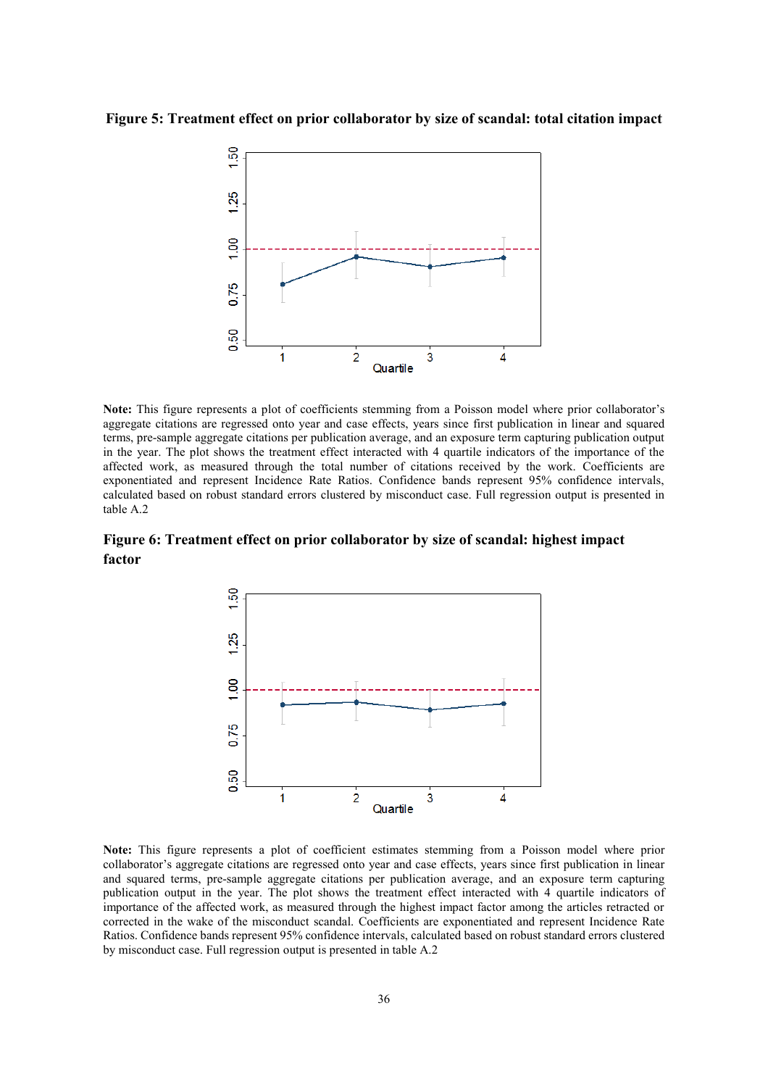**Figure 5: Treatment effect on prior collaborator by size of scandal: total citation impact**



**Note:** This figure represents a plot of coefficients stemming from a Poisson model where prior collaborator's aggregate citations are regressed onto year and case effects, years since first publication in linear and squared terms, pre-sample aggregate citations per publication average, and an exposure term capturing publication output in the year. The plot shows the treatment effect interacted with 4 quartile indicators of the importance of the affected work, as measured through the total number of citations received by the work. Coefficients are exponentiated and represent Incidence Rate Ratios. Confidence bands represent 95% confidence intervals, calculated based on robust standard errors clustered by misconduct case. Full regression output is presented in table A.2

**Figure 6: Treatment effect on prior collaborator by size of scandal: highest impact factor**



**Note:** This figure represents a plot of coefficient estimates stemming from a Poisson model where prior collaborator's aggregate citations are regressed onto year and case effects, years since first publication in linear and squared terms, pre-sample aggregate citations per publication average, and an exposure term capturing publication output in the year. The plot shows the treatment effect interacted with 4 quartile indicators of importance of the affected work, as measured through the highest impact factor among the articles retracted or corrected in the wake of the misconduct scandal. Coefficients are exponentiated and represent Incidence Rate Ratios. Confidence bands represent 95% confidence intervals, calculated based on robust standard errors clustered by misconduct case. Full regression output is presented in table A.2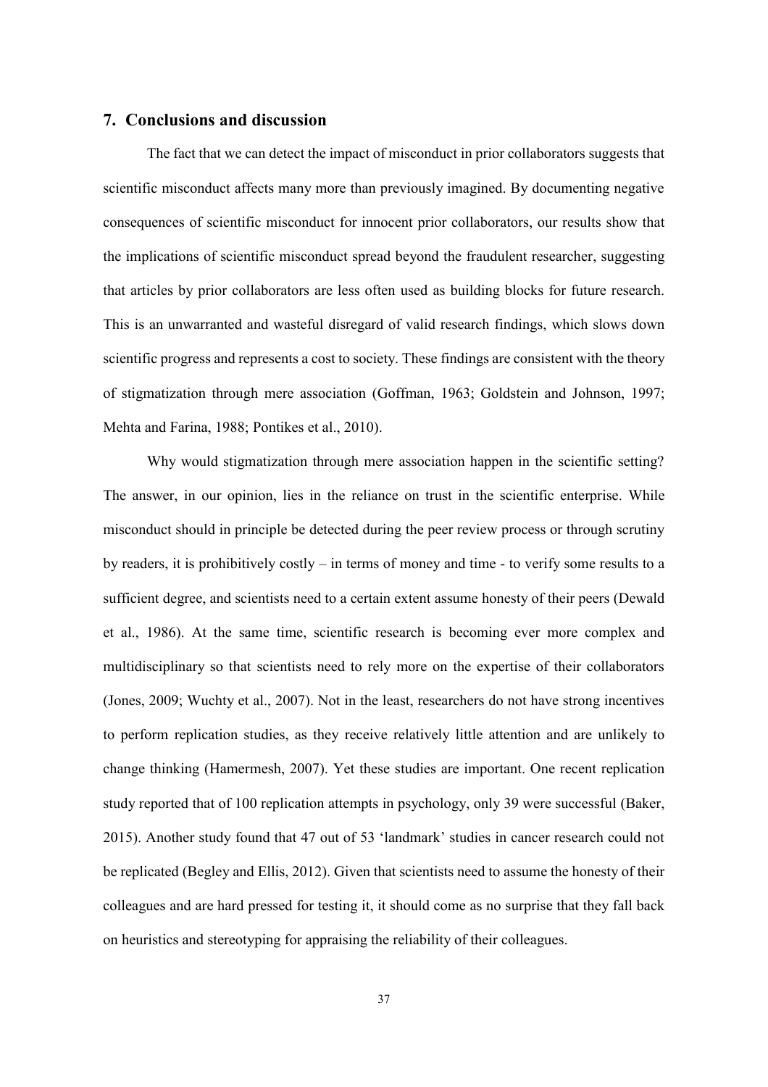#### **7. Conclusions and discussion**

The fact that we can detect the impact of misconduct in prior collaborators suggests that scientific misconduct affects many more than previously imagined. By documenting negative consequences of scientific misconduct for innocent prior collaborators, our results show that the implications of scientific misconduct spread beyond the fraudulent researcher, suggesting that articles by prior collaborators are less often used as building blocks for future research. This is an unwarranted and wasteful disregard of valid research findings, which slows down scientific progress and represents a cost to society. These findings are consistent with the theory of stigmatization through mere association (Goffman, 1963; Goldstein and Johnson, 1997; Mehta and Farina, 1988; Pontikes et al., 2010).

Why would stigmatization through mere association happen in the scientific setting? The answer, in our opinion, lies in the reliance on trust in the scientific enterprise. While misconduct should in principle be detected during the peer review process or through scrutiny by readers, it is prohibitively costly – in terms of money and time - to verify some results to a sufficient degree, and scientists need to a certain extent assume honesty of their peers (Dewald et al., 1986). At the same time, scientific research is becoming ever more complex and multidisciplinary so that scientists need to rely more on the expertise of their collaborators (Jones, 2009; Wuchty et al., 2007). Not in the least, researchers do not have strong incentives to perform replication studies, as they receive relatively little attention and are unlikely to change thinking (Hamermesh, 2007). Yet these studies are important. One recent replication study reported that of 100 replication attempts in psychology, only 39 were successful (Baker, 2015). Another study found that 47 out of 53 'landmark' studies in cancer research could not be replicated (Begley and Ellis, 2012). Given that scientists need to assume the honesty of their colleagues and are hard pressed for testing it, it should come as no surprise that they fall back on heuristics and stereotyping for appraising the reliability of their colleagues.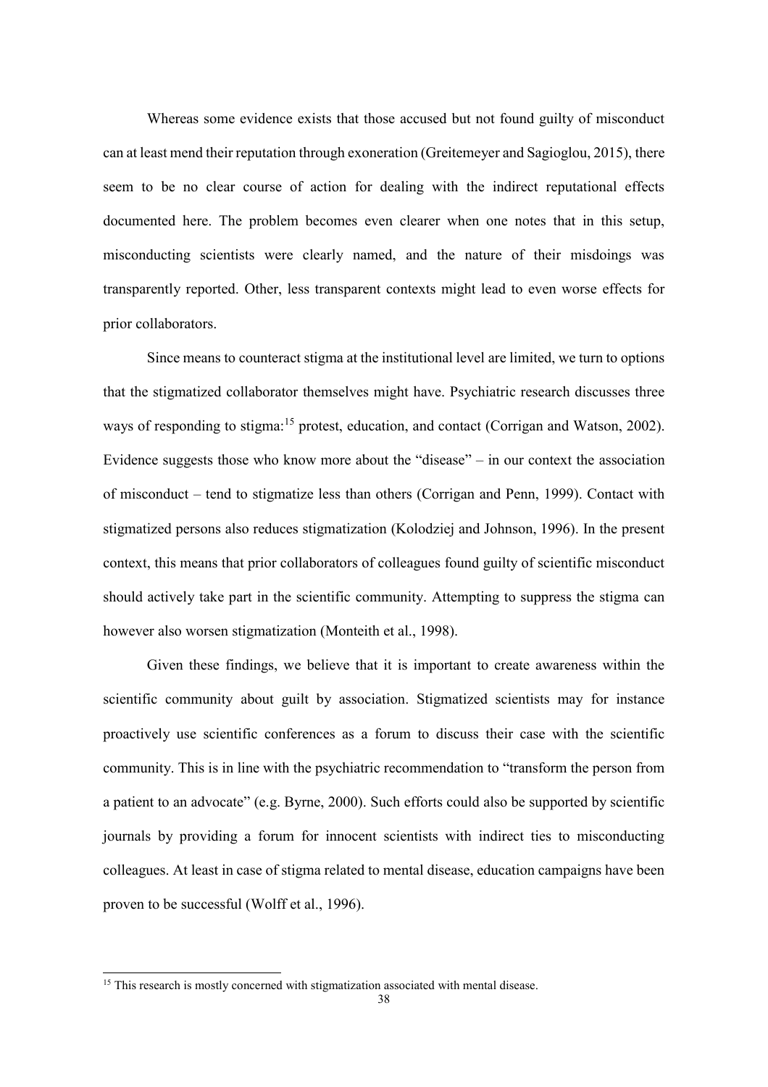Whereas some evidence exists that those accused but not found guilty of misconduct can at least mend their reputation through exoneration (Greitemeyer and Sagioglou, 2015), there seem to be no clear course of action for dealing with the indirect reputational effects documented here. The problem becomes even clearer when one notes that in this setup, misconducting scientists were clearly named, and the nature of their misdoings was transparently reported. Other, less transparent contexts might lead to even worse effects for prior collaborators.

Since means to counteract stigma at the institutional level are limited, we turn to options that the stigmatized collaborator themselves might have. Psychiatric research discusses three ways of responding to stigma:<sup>15</sup> protest, education, and contact (Corrigan and Watson, 2002). Evidence suggests those who know more about the "disease" – in our context the association of misconduct – tend to stigmatize less than others (Corrigan and Penn, 1999). Contact with stigmatized persons also reduces stigmatization (Kolodziej and Johnson, 1996). In the present context, this means that prior collaborators of colleagues found guilty of scientific misconduct should actively take part in the scientific community. Attempting to suppress the stigma can however also worsen stigmatization (Monteith et al., 1998).

Given these findings, we believe that it is important to create awareness within the scientific community about guilt by association. Stigmatized scientists may for instance proactively use scientific conferences as a forum to discuss their case with the scientific community. This is in line with the psychiatric recommendation to "transform the person from a patient to an advocate" (e.g. Byrne, 2000). Such efforts could also be supported by scientific journals by providing a forum for innocent scientists with indirect ties to misconducting colleagues. At least in case of stigma related to mental disease, education campaigns have been proven to be successful (Wolff et al., 1996).

<sup>&</sup>lt;sup>15</sup> This research is mostly concerned with stigmatization associated with mental disease.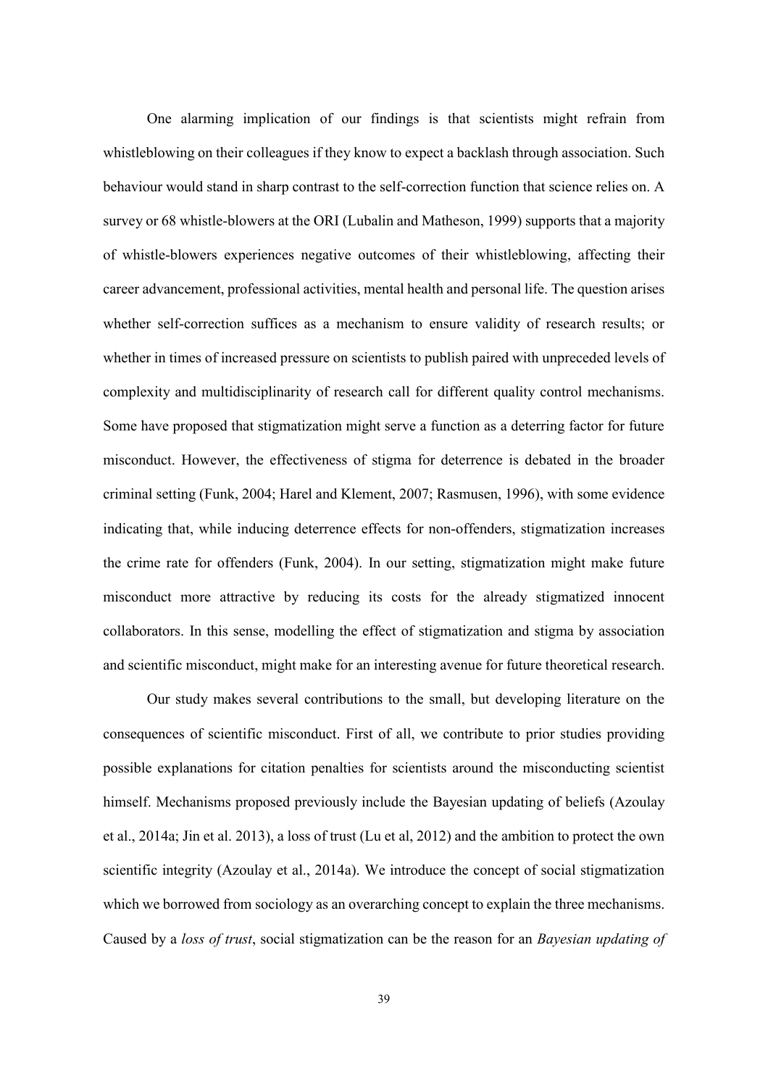One alarming implication of our findings is that scientists might refrain from whistleblowing on their colleagues if they know to expect a backlash through association. Such behaviour would stand in sharp contrast to the self-correction function that science relies on. A survey or 68 whistle-blowers at the ORI (Lubalin and Matheson, 1999) supports that a majority of whistle-blowers experiences negative outcomes of their whistleblowing, affecting their career advancement, professional activities, mental health and personal life. The question arises whether self-correction suffices as a mechanism to ensure validity of research results; or whether in times of increased pressure on scientists to publish paired with unpreceded levels of complexity and multidisciplinarity of research call for different quality control mechanisms. Some have proposed that stigmatization might serve a function as a deterring factor for future misconduct. However, the effectiveness of stigma for deterrence is debated in the broader criminal setting (Funk, 2004; Harel and Klement, 2007; Rasmusen, 1996), with some evidence indicating that, while inducing deterrence effects for non-offenders, stigmatization increases the crime rate for offenders (Funk, 2004). In our setting, stigmatization might make future misconduct more attractive by reducing its costs for the already stigmatized innocent collaborators. In this sense, modelling the effect of stigmatization and stigma by association and scientific misconduct, might make for an interesting avenue for future theoretical research.

Our study makes several contributions to the small, but developing literature on the consequences of scientific misconduct. First of all, we contribute to prior studies providing possible explanations for citation penalties for scientists around the misconducting scientist himself. Mechanisms proposed previously include the Bayesian updating of beliefs (Azoulay et al., 2014a; Jin et al. 2013), a loss of trust (Lu et al, 2012) and the ambition to protect the own scientific integrity (Azoulay et al., 2014a). We introduce the concept of social stigmatization which we borrowed from sociology as an overarching concept to explain the three mechanisms. Caused by a *loss of trust*, social stigmatization can be the reason for an *Bayesian updating of*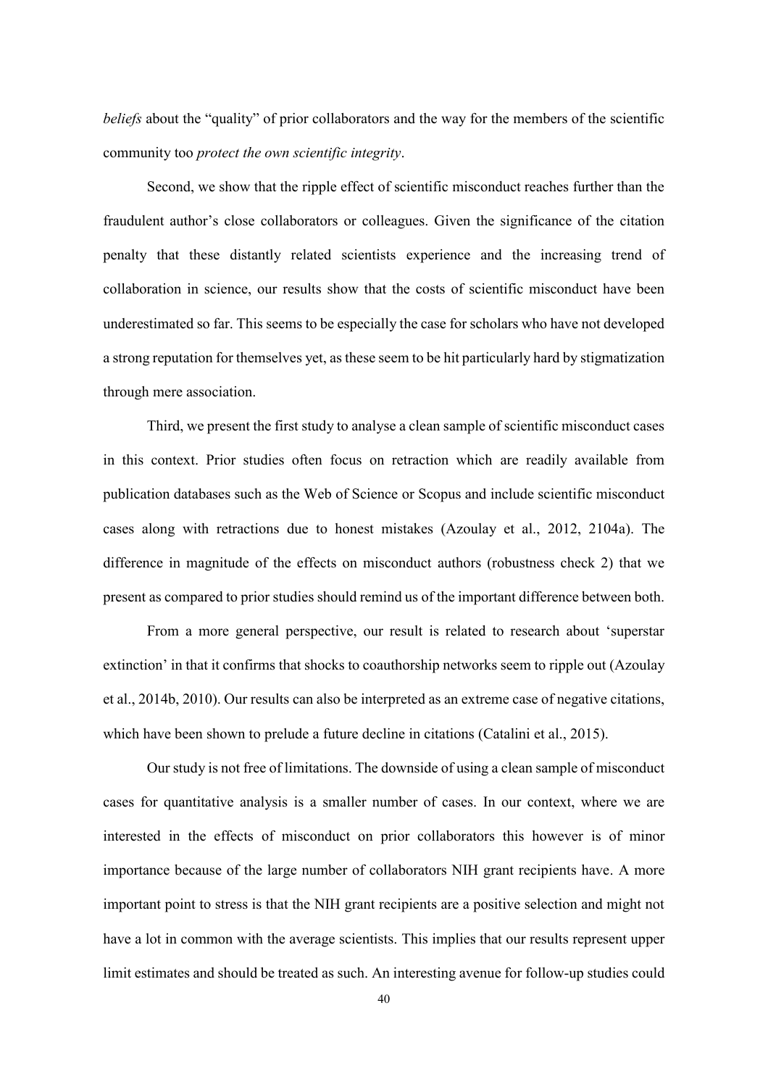*beliefs* about the "quality" of prior collaborators and the way for the members of the scientific community too *protect the own scientific integrity*.

Second, we show that the ripple effect of scientific misconduct reaches further than the fraudulent author's close collaborators or colleagues. Given the significance of the citation penalty that these distantly related scientists experience and the increasing trend of collaboration in science, our results show that the costs of scientific misconduct have been underestimated so far. This seems to be especially the case for scholars who have not developed a strong reputation for themselves yet, as these seem to be hit particularly hard by stigmatization through mere association.

Third, we present the first study to analyse a clean sample of scientific misconduct cases in this context. Prior studies often focus on retraction which are readily available from publication databases such as the Web of Science or Scopus and include scientific misconduct cases along with retractions due to honest mistakes (Azoulay et al., 2012, 2104a). The difference in magnitude of the effects on misconduct authors (robustness check 2) that we present as compared to prior studies should remind us of the important difference between both.

From a more general perspective, our result is related to research about 'superstar extinction' in that it confirms that shocks to coauthorship networks seem to ripple out (Azoulay et al., 2014b, 2010). Our results can also be interpreted as an extreme case of negative citations, which have been shown to prelude a future decline in citations (Catalini et al., 2015).

Our study is not free of limitations. The downside of using a clean sample of misconduct cases for quantitative analysis is a smaller number of cases. In our context, where we are interested in the effects of misconduct on prior collaborators this however is of minor importance because of the large number of collaborators NIH grant recipients have. A more important point to stress is that the NIH grant recipients are a positive selection and might not have a lot in common with the average scientists. This implies that our results represent upper limit estimates and should be treated as such. An interesting avenue for follow-up studies could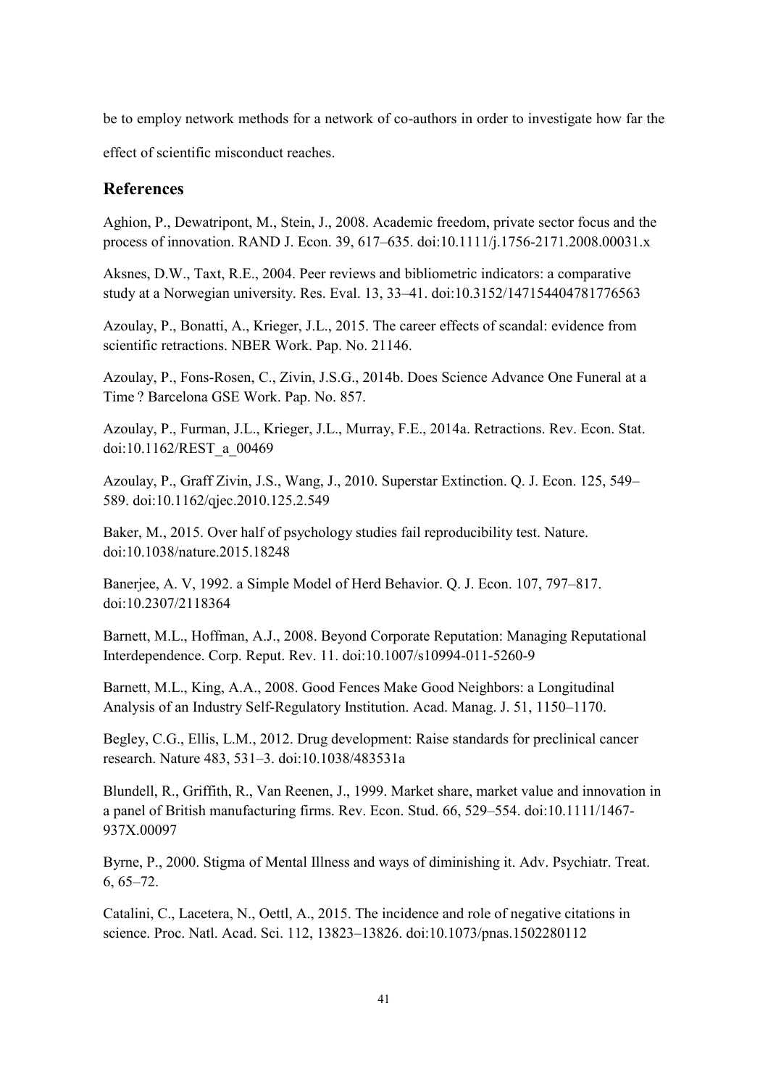be to employ network methods for a network of co-authors in order to investigate how far the

effect of scientific misconduct reaches.

## **References**

Aghion, P., Dewatripont, M., Stein, J., 2008. Academic freedom, private sector focus and the process of innovation. RAND J. Econ. 39, 617–635. doi:10.1111/j.1756-2171.2008.00031.x

Aksnes, D.W., Taxt, R.E., 2004. Peer reviews and bibliometric indicators: a comparative study at a Norwegian university. Res. Eval. 13, 33–41. doi:10.3152/147154404781776563

Azoulay, P., Bonatti, A., Krieger, J.L., 2015. The career effects of scandal: evidence from scientific retractions. NBER Work. Pap. No. 21146.

Azoulay, P., Fons-Rosen, C., Zivin, J.S.G., 2014b. Does Science Advance One Funeral at a Time ? Barcelona GSE Work. Pap. No. 857.

Azoulay, P., Furman, J.L., Krieger, J.L., Murray, F.E., 2014a. Retractions. Rev. Econ. Stat. doi:10.1162/REST\_a\_00469

Azoulay, P., Graff Zivin, J.S., Wang, J., 2010. Superstar Extinction. Q. J. Econ. 125, 549– 589. doi:10.1162/qjec.2010.125.2.549

Baker, M., 2015. Over half of psychology studies fail reproducibility test. Nature. doi:10.1038/nature.2015.18248

Banerjee, A. V, 1992. a Simple Model of Herd Behavior. Q. J. Econ. 107, 797–817. doi:10.2307/2118364

Barnett, M.L., Hoffman, A.J., 2008. Beyond Corporate Reputation: Managing Reputational Interdependence. Corp. Reput. Rev. 11. doi:10.1007/s10994-011-5260-9

Barnett, M.L., King, A.A., 2008. Good Fences Make Good Neighbors: a Longitudinal Analysis of an Industry Self-Regulatory Institution. Acad. Manag. J. 51, 1150–1170.

Begley, C.G., Ellis, L.M., 2012. Drug development: Raise standards for preclinical cancer research. Nature 483, 531–3. doi:10.1038/483531a

Blundell, R., Griffith, R., Van Reenen, J., 1999. Market share, market value and innovation in a panel of British manufacturing firms. Rev. Econ. Stud. 66, 529–554. doi:10.1111/1467- 937X.00097

Byrne, P., 2000. Stigma of Mental Illness and ways of diminishing it. Adv. Psychiatr. Treat. 6, 65–72.

Catalini, C., Lacetera, N., Oettl, A., 2015. The incidence and role of negative citations in science. Proc. Natl. Acad. Sci. 112, 13823–13826. doi:10.1073/pnas.1502280112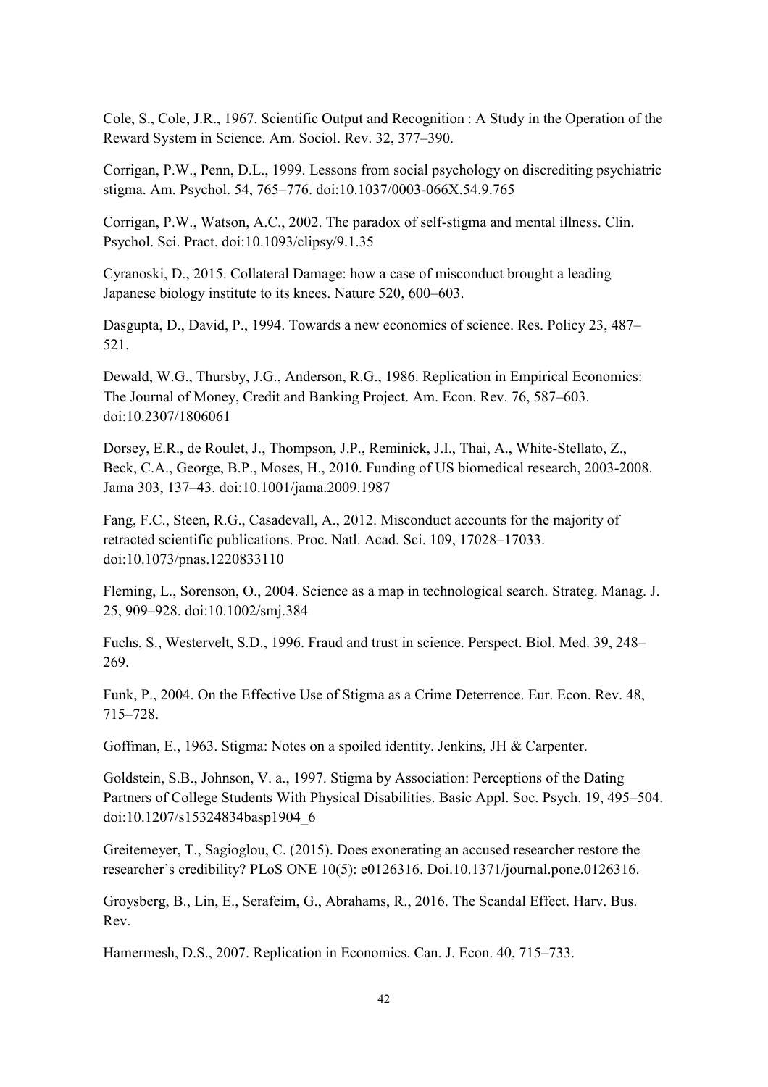Cole, S., Cole, J.R., 1967. Scientific Output and Recognition : A Study in the Operation of the Reward System in Science. Am. Sociol. Rev. 32, 377–390.

Corrigan, P.W., Penn, D.L., 1999. Lessons from social psychology on discrediting psychiatric stigma. Am. Psychol. 54, 765–776. doi:10.1037/0003-066X.54.9.765

Corrigan, P.W., Watson, A.C., 2002. The paradox of self-stigma and mental illness. Clin. Psychol. Sci. Pract. doi:10.1093/clipsy/9.1.35

Cyranoski, D., 2015. Collateral Damage: how a case of misconduct brought a leading Japanese biology institute to its knees. Nature 520, 600–603.

Dasgupta, D., David, P., 1994. Towards a new economics of science. Res. Policy 23, 487– 521.

Dewald, W.G., Thursby, J.G., Anderson, R.G., 1986. Replication in Empirical Economics: The Journal of Money, Credit and Banking Project. Am. Econ. Rev. 76, 587–603. doi:10.2307/1806061

Dorsey, E.R., de Roulet, J., Thompson, J.P., Reminick, J.I., Thai, A., White-Stellato, Z., Beck, C.A., George, B.P., Moses, H., 2010. Funding of US biomedical research, 2003-2008. Jama 303, 137–43. doi:10.1001/jama.2009.1987

Fang, F.C., Steen, R.G., Casadevall, A., 2012. Misconduct accounts for the majority of retracted scientific publications. Proc. Natl. Acad. Sci. 109, 17028–17033. doi:10.1073/pnas.1220833110

Fleming, L., Sorenson, O., 2004. Science as a map in technological search. Strateg. Manag. J. 25, 909–928. doi:10.1002/smj.384

Fuchs, S., Westervelt, S.D., 1996. Fraud and trust in science. Perspect. Biol. Med. 39, 248– 269.

Funk, P., 2004. On the Effective Use of Stigma as a Crime Deterrence. Eur. Econ. Rev. 48, 715–728.

Goffman, E., 1963. Stigma: Notes on a spoiled identity. Jenkins, JH & Carpenter.

Goldstein, S.B., Johnson, V. a., 1997. Stigma by Association: Perceptions of the Dating Partners of College Students With Physical Disabilities. Basic Appl. Soc. Psych. 19, 495–504. doi:10.1207/s15324834basp1904\_6

Greitemeyer, T., Sagioglou, C. (2015). Does exonerating an accused researcher restore the researcher's credibility? PLoS ONE 10(5): e0126316. Doi.10.1371/journal.pone.0126316.

Groysberg, B., Lin, E., Serafeim, G., Abrahams, R., 2016. The Scandal Effect. Harv. Bus. Rev.

Hamermesh, D.S., 2007. Replication in Economics. Can. J. Econ. 40, 715–733.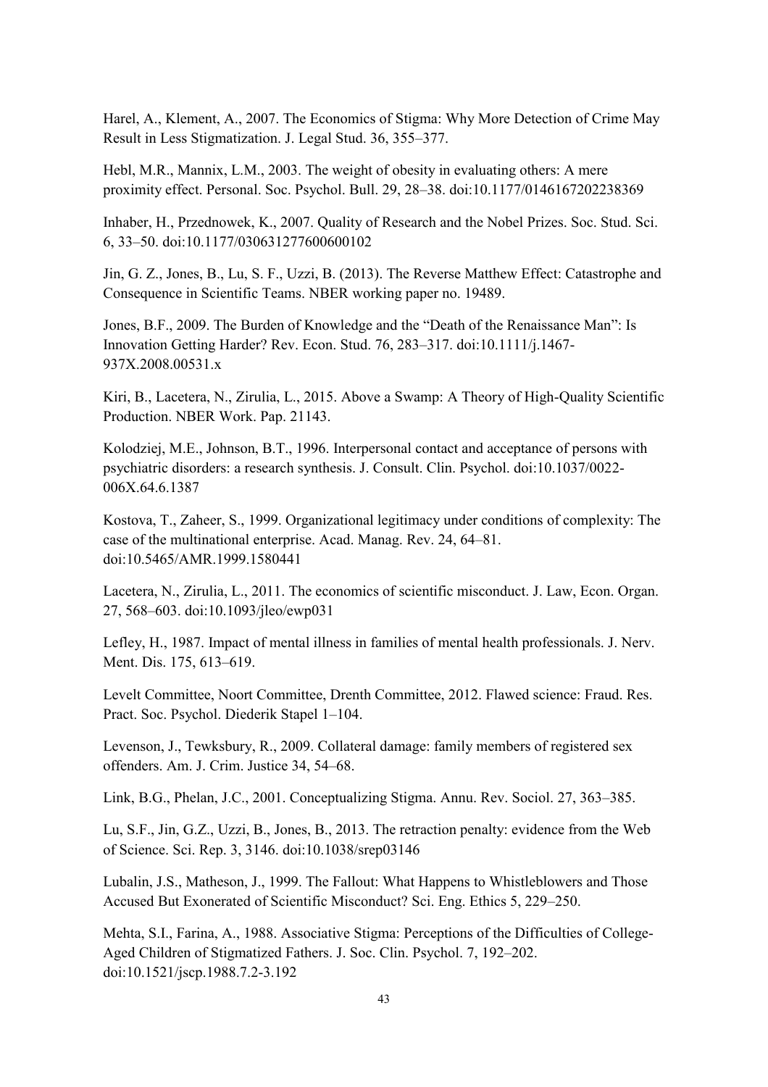Harel, A., Klement, A., 2007. The Economics of Stigma: Why More Detection of Crime May Result in Less Stigmatization. J. Legal Stud. 36, 355–377.

Hebl, M.R., Mannix, L.M., 2003. The weight of obesity in evaluating others: A mere proximity effect. Personal. Soc. Psychol. Bull. 29, 28–38. doi:10.1177/0146167202238369

Inhaber, H., Przednowek, K., 2007. Quality of Research and the Nobel Prizes. Soc. Stud. Sci. 6, 33–50. doi:10.1177/030631277600600102

Jin, G. Z., Jones, B., Lu, S. F., Uzzi, B. (2013). The Reverse Matthew Effect: Catastrophe and Consequence in Scientific Teams. NBER working paper no. 19489.

Jones, B.F., 2009. The Burden of Knowledge and the "Death of the Renaissance Man": Is Innovation Getting Harder? Rev. Econ. Stud. 76, 283–317. doi:10.1111/j.1467- 937X.2008.00531.x

Kiri, B., Lacetera, N., Zirulia, L., 2015. Above a Swamp: A Theory of High-Quality Scientific Production. NBER Work. Pap. 21143.

Kolodziej, M.E., Johnson, B.T., 1996. Interpersonal contact and acceptance of persons with psychiatric disorders: a research synthesis. J. Consult. Clin. Psychol. doi:10.1037/0022- 006X.64.6.1387

Kostova, T., Zaheer, S., 1999. Organizational legitimacy under conditions of complexity: The case of the multinational enterprise. Acad. Manag. Rev. 24, 64–81. doi:10.5465/AMR.1999.1580441

Lacetera, N., Zirulia, L., 2011. The economics of scientific misconduct. J. Law, Econ. Organ. 27, 568–603. doi:10.1093/jleo/ewp031

Lefley, H., 1987. Impact of mental illness in families of mental health professionals. J. Nerv. Ment. Dis. 175, 613–619.

Levelt Committee, Noort Committee, Drenth Committee, 2012. Flawed science: Fraud. Res. Pract. Soc. Psychol. Diederik Stapel 1–104.

Levenson, J., Tewksbury, R., 2009. Collateral damage: family members of registered sex offenders. Am. J. Crim. Justice 34, 54–68.

Link, B.G., Phelan, J.C., 2001. Conceptualizing Stigma. Annu. Rev. Sociol. 27, 363–385.

Lu, S.F., Jin, G.Z., Uzzi, B., Jones, B., 2013. The retraction penalty: evidence from the Web of Science. Sci. Rep. 3, 3146. doi:10.1038/srep03146

Lubalin, J.S., Matheson, J., 1999. The Fallout: What Happens to Whistleblowers and Those Accused But Exonerated of Scientific Misconduct? Sci. Eng. Ethics 5, 229–250.

Mehta, S.I., Farina, A., 1988. Associative Stigma: Perceptions of the Difficulties of College-Aged Children of Stigmatized Fathers. J. Soc. Clin. Psychol. 7, 192–202. doi:10.1521/jscp.1988.7.2-3.192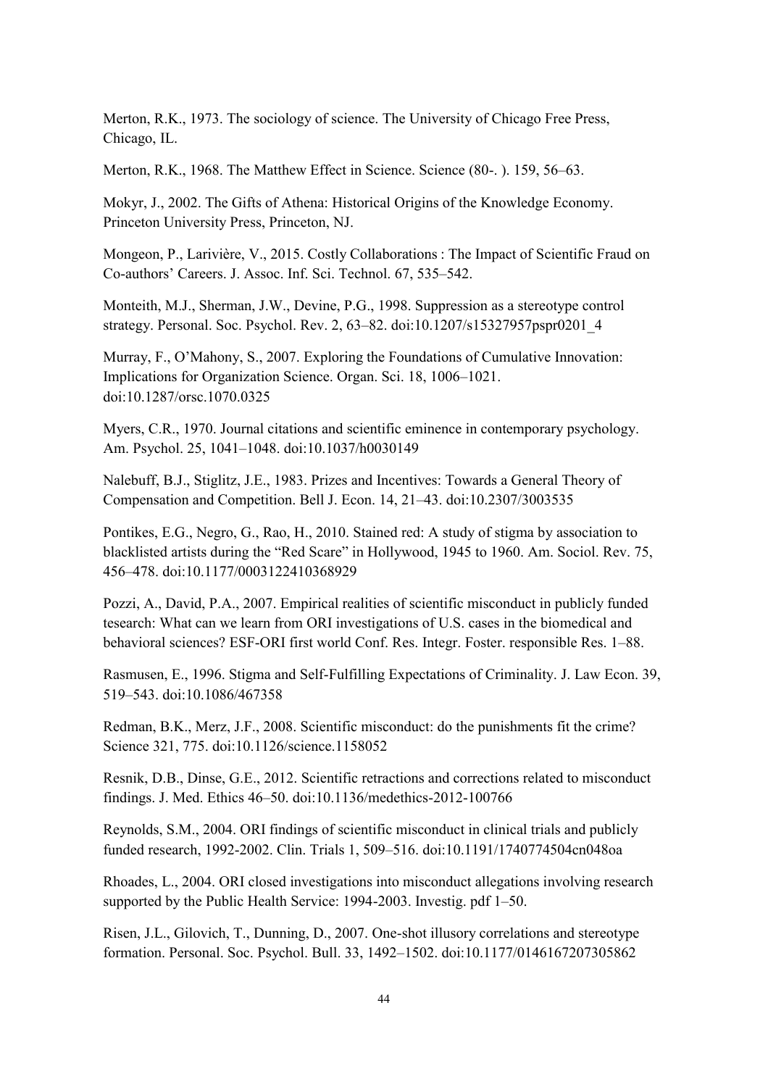Merton, R.K., 1973. The sociology of science. The University of Chicago Free Press, Chicago, IL.

Merton, R.K., 1968. The Matthew Effect in Science. Science (80-. ). 159, 56–63.

Mokyr, J., 2002. The Gifts of Athena: Historical Origins of the Knowledge Economy. Princeton University Press, Princeton, NJ.

Mongeon, P., Larivière, V., 2015. Costly Collaborations : The Impact of Scientific Fraud on Co-authors' Careers. J. Assoc. Inf. Sci. Technol. 67, 535–542.

Monteith, M.J., Sherman, J.W., Devine, P.G., 1998. Suppression as a stereotype control strategy. Personal. Soc. Psychol. Rev. 2, 63–82. doi:10.1207/s15327957pspr0201\_4

Murray, F., O'Mahony, S., 2007. Exploring the Foundations of Cumulative Innovation: Implications for Organization Science. Organ. Sci. 18, 1006–1021. doi:10.1287/orsc.1070.0325

Myers, C.R., 1970. Journal citations and scientific eminence in contemporary psychology. Am. Psychol. 25, 1041–1048. doi:10.1037/h0030149

Nalebuff, B.J., Stiglitz, J.E., 1983. Prizes and Incentives: Towards a General Theory of Compensation and Competition. Bell J. Econ. 14, 21–43. doi:10.2307/3003535

Pontikes, E.G., Negro, G., Rao, H., 2010. Stained red: A study of stigma by association to blacklisted artists during the "Red Scare" in Hollywood, 1945 to 1960. Am. Sociol. Rev. 75, 456–478. doi:10.1177/0003122410368929

Pozzi, A., David, P.A., 2007. Empirical realities of scientific misconduct in publicly funded tesearch: What can we learn from ORI investigations of U.S. cases in the biomedical and behavioral sciences? ESF-ORI first world Conf. Res. Integr. Foster. responsible Res. 1–88.

Rasmusen, E., 1996. Stigma and Self-Fulfilling Expectations of Criminality. J. Law Econ. 39, 519–543. doi:10.1086/467358

Redman, B.K., Merz, J.F., 2008. Scientific misconduct: do the punishments fit the crime? Science 321, 775. doi:10.1126/science.1158052

Resnik, D.B., Dinse, G.E., 2012. Scientific retractions and corrections related to misconduct findings. J. Med. Ethics 46–50. doi:10.1136/medethics-2012-100766

Reynolds, S.M., 2004. ORI findings of scientific misconduct in clinical trials and publicly funded research, 1992-2002. Clin. Trials 1, 509–516. doi:10.1191/1740774504cn048oa

Rhoades, L., 2004. ORI closed investigations into misconduct allegations involving research supported by the Public Health Service: 1994-2003. Investig. pdf 1–50.

Risen, J.L., Gilovich, T., Dunning, D., 2007. One-shot illusory correlations and stereotype formation. Personal. Soc. Psychol. Bull. 33, 1492–1502. doi:10.1177/0146167207305862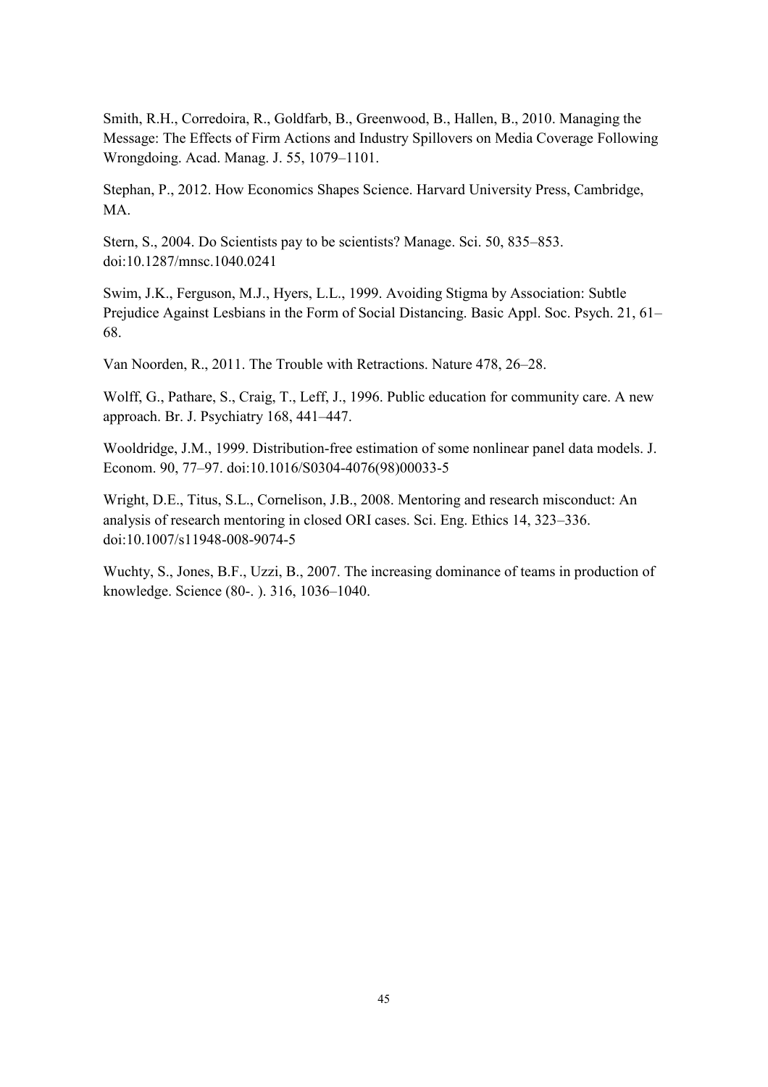Smith, R.H., Corredoira, R., Goldfarb, B., Greenwood, B., Hallen, B., 2010. Managing the Message: The Effects of Firm Actions and Industry Spillovers on Media Coverage Following Wrongdoing. Acad. Manag. J. 55, 1079–1101.

Stephan, P., 2012. How Economics Shapes Science. Harvard University Press, Cambridge, MA.

Stern, S., 2004. Do Scientists pay to be scientists? Manage. Sci. 50, 835–853. doi:10.1287/mnsc.1040.0241

Swim, J.K., Ferguson, M.J., Hyers, L.L., 1999. Avoiding Stigma by Association: Subtle Prejudice Against Lesbians in the Form of Social Distancing. Basic Appl. Soc. Psych. 21, 61– 68.

Van Noorden, R., 2011. The Trouble with Retractions. Nature 478, 26–28.

Wolff, G., Pathare, S., Craig, T., Leff, J., 1996. Public education for community care. A new approach. Br. J. Psychiatry 168, 441–447.

Wooldridge, J.M., 1999. Distribution-free estimation of some nonlinear panel data models. J. Econom. 90, 77–97. doi:10.1016/S0304-4076(98)00033-5

Wright, D.E., Titus, S.L., Cornelison, J.B., 2008. Mentoring and research misconduct: An analysis of research mentoring in closed ORI cases. Sci. Eng. Ethics 14, 323–336. doi:10.1007/s11948-008-9074-5

Wuchty, S., Jones, B.F., Uzzi, B., 2007. The increasing dominance of teams in production of knowledge. Science (80-. ). 316, 1036–1040.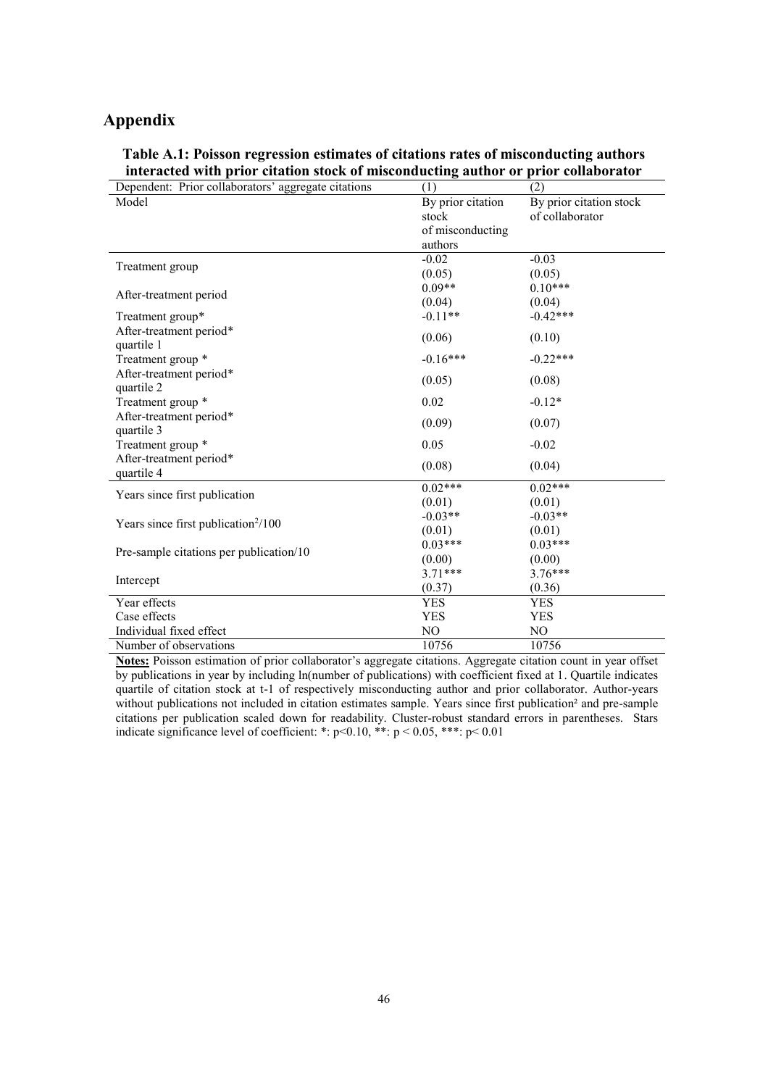## **Appendix**

**Table A.1: Poisson regression estimates of citations rates of misconducting authors interacted with prior citation stock of misconducting author or prior collaborator** 

| Dependent: Prior collaborators' aggregate citations | (1)                        | (2)                                        |
|-----------------------------------------------------|----------------------------|--------------------------------------------|
| Model                                               | By prior citation<br>stock | By prior citation stock<br>of collaborator |
|                                                     | of misconducting           |                                            |
|                                                     | authors                    |                                            |
|                                                     | $-0.02$                    | $-0.03$                                    |
| Treatment group                                     | (0.05)                     | (0.05)                                     |
|                                                     | $0.09**$                   | $0.10***$                                  |
| After-treatment period                              | (0.04)                     | (0.04)                                     |
| Treatment group*                                    | $-0.11**$                  | $-0.42***$                                 |
| After-treatment period*                             |                            |                                            |
| quartile 1                                          | (0.06)                     | (0.10)                                     |
| Treatment group *                                   | $-0.16***$                 | $-0.22***$                                 |
| After-treatment period*                             |                            |                                            |
| quartile 2                                          | (0.05)                     | (0.08)                                     |
| Treatment group *                                   | 0.02                       | $-0.12*$                                   |
| After-treatment period*                             |                            |                                            |
| quartile 3                                          | (0.09)                     | (0.07)                                     |
| Treatment group *                                   | 0.05                       | $-0.02$                                    |
| After-treatment period*                             | (0.08)                     | (0.04)                                     |
| quartile 4                                          |                            |                                            |
| Years since first publication                       | $0.02***$                  | $0.02***$                                  |
|                                                     | (0.01)                     | (0.01)                                     |
| Years since first publication $2/100$               | $-0.03**$                  | $-0.03**$                                  |
|                                                     | (0.01)                     | (0.01)                                     |
| Pre-sample citations per publication/10             | $0.03***$                  | $0.03***$                                  |
|                                                     | (0.00)                     | (0.00)                                     |
| Intercept                                           | $3.71***$                  | $3.76***$                                  |
|                                                     | (0.37)                     | (0.36)                                     |
| Year effects                                        | <b>YES</b>                 | <b>YES</b>                                 |
| Case effects                                        | <b>YES</b>                 | <b>YES</b>                                 |
| Individual fixed effect                             | N <sub>O</sub>             | N <sub>O</sub>                             |
| Number of observations                              | 10756                      | 10756                                      |

**Notes:** Poisson estimation of prior collaborator's aggregate citations. Aggregate citation count in year offset by publications in year by including ln(number of publications) with coefficient fixed at 1. Quartile indicates quartile of citation stock at t-1 of respectively misconducting author and prior collaborator. Author-years without publications not included in citation estimates sample. Years since first publication<sup>2</sup> and pre-sample citations per publication scaled down for readability. Cluster-robust standard errors in parentheses. Stars indicate significance level of coefficient: \*: p<0.10, \*\*: p < 0.05, \*\*\*: p < 0.01